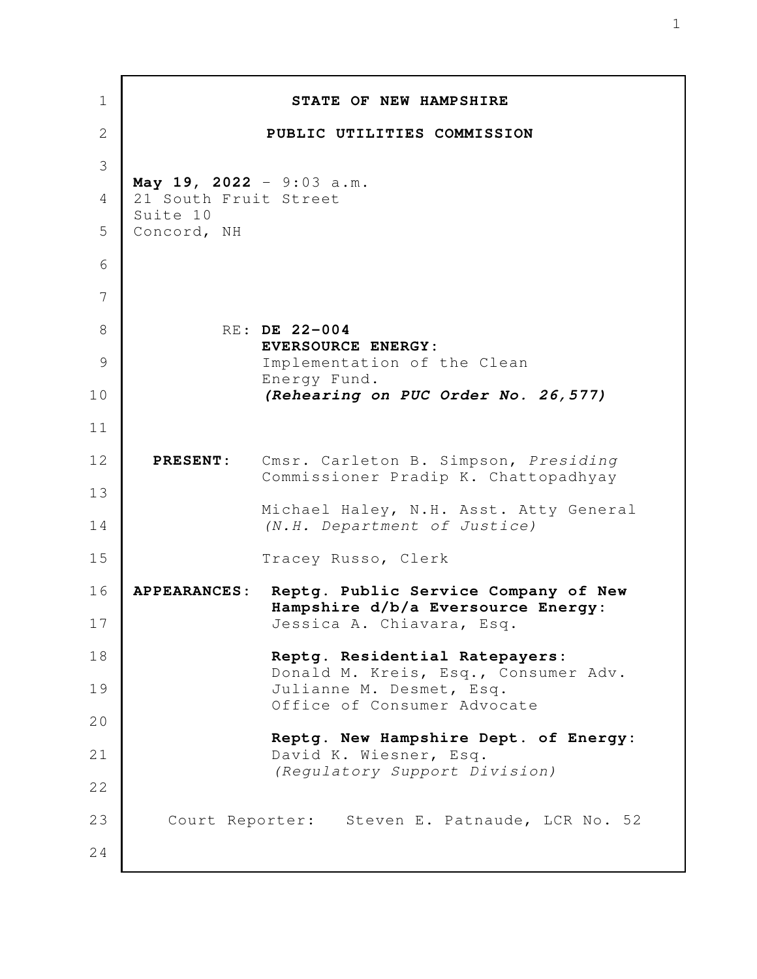| $\mathbf 1$  |                                                   | STATE OF NEW HAMPSHIRE                                                       |
|--------------|---------------------------------------------------|------------------------------------------------------------------------------|
| $\mathbf{2}$ |                                                   | PUBLIC UTILITIES COMMISSION                                                  |
| 3            |                                                   |                                                                              |
| 4            | May 19, 2022 - 9:03 a.m.<br>21 South Fruit Street |                                                                              |
| 5            | Suite 10<br>Concord, NH                           |                                                                              |
| 6            |                                                   |                                                                              |
| 7            |                                                   |                                                                              |
| 8            |                                                   | RE: DE 22-004                                                                |
| 9            |                                                   | EVERSOURCE ENERGY:<br>Implementation of the Clean                            |
| 10           |                                                   | Energy Fund.<br>(Rehearing on PUC Order No. 26, 577)                         |
| 11           |                                                   |                                                                              |
| 12           | <b>PRESENT:</b>                                   | Cmsr. Carleton B. Simpson, Presiding<br>Commissioner Pradip K. Chattopadhyay |
| 13<br>14     |                                                   | Michael Haley, N.H. Asst. Atty General<br>(N.H. Department of Justice)       |
| 15           |                                                   | Tracey Russo, Clerk                                                          |
| 16           | <b>APPEARANCES:</b>                               | Reptg. Public Service Company of New<br>Hampshire d/b/a Eversource Energy:   |
| 17           |                                                   | Jessica A. Chiavara, Esq.                                                    |
| 18           |                                                   | Reptg. Residential Ratepayers:<br>Donald M. Kreis, Esq., Consumer Adv.       |
| 19           |                                                   | Julianne M. Desmet, Esq.<br>Office of Consumer Advocate                      |
| 20           |                                                   | Reptg. New Hampshire Dept. of Energy:                                        |
| 21           |                                                   | David K. Wiesner, Esq.                                                       |
| 22           |                                                   | (Regulatory Support Division)                                                |
| 23           |                                                   | Court Reporter: Steven E. Patnaude, LCR No. 52                               |
| 24           |                                                   |                                                                              |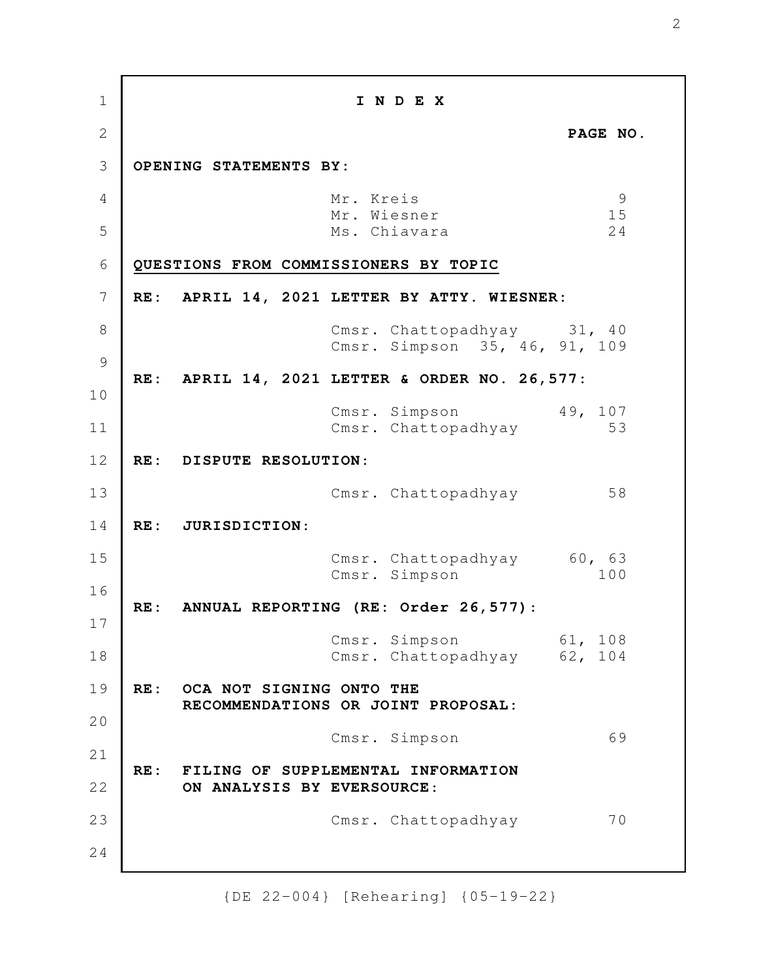**I N D E X PAGE NO. OPENING STATEMENTS BY:**  Mr. Kreis 9 Mr. Wiesner 15 Ms. Chiavara 24 **QUESTIONS FROM COMMISSIONERS BY TOPIC RE: APRIL 14, 2021 LETTER BY ATTY. WIESNER:** Cmsr. Chattopadhyay 31, 40 Cmsr. Simpson 35, 46, 91, 109 **RE: APRIL 14, 2021 LETTER & ORDER NO. 26,577:** Cmsr. Simpson 49, 107 Cmsr. Chattopadhyay 53 **RE: DISPUTE RESOLUTION**: Cmsr. Chattopadhyay 58 **RE: JURISDICTION**: Cmsr. Chattopadhyay 60, 63 Cmsr. Simpson 100 **RE: ANNUAL REPORTING (RE: Order 26,577)**: Cmsr. Simpson 61, 108 Cmsr. Chattopadhyay 62, 104 **RE: OCA NOT SIGNING ONTO THE RECOMMENDATIONS OR JOINT PROPOSAL:** Cmsr. Simpson 69 **RE: FILING OF SUPPLEMENTAL INFORMATION ON ANALYSIS BY EVERSOURCE**: Cmsr. Chattopadhyay 70 1 2 3 4 5 6 7 8 9 10 11 12 13 14 15 16 17 18 19 20 21 22 23 24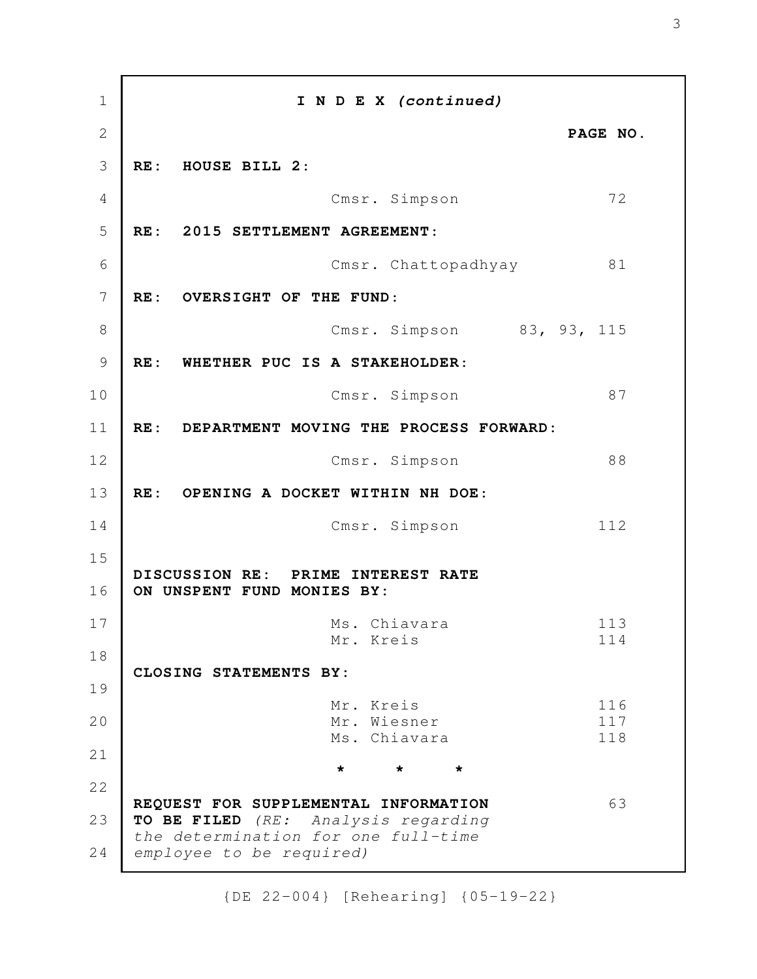**I N D E X** *(continued)* **PAGE NO. RE: HOUSE BILL 2**: Cmsr. Simpson 72 **RE: 2015 SETTLEMENT AGREEMENT**: Cmsr. Chattopadhyay 81 **RE: OVERSIGHT OF THE FUND**: Cmsr. Simpson 83, 93, 115 **RE: WHETHER PUC IS A STAKEHOLDER**: Cmsr. Simpson 87 **RE: DEPARTMENT MOVING THE PROCESS FORWARD:** Cmsr. Simpson 88 **RE: OPENING A DOCKET WITHIN NH DOE**: Cmsr. Simpson 112 **DISCUSSION RE: PRIME INTEREST RATE ON UNSPENT FUND MONIES BY:** Ms. Chiavara 113 Mr. Kreis 114 **CLOSING STATEMENTS BY:** Mr. Kreis 116 Mr. Wiesner 117 Ms. Chiavara 118 **\* \* \* REQUEST FOR SUPPLEMENTAL INFORMATION** 63 **TO BE FILED** *(RE: Analysis regarding the determination for one full-time employee to be required)* 1 2 3 4 5 6 7 8 9 10 11 12 13 14 15 16 17 18 19 20 21 22 23 24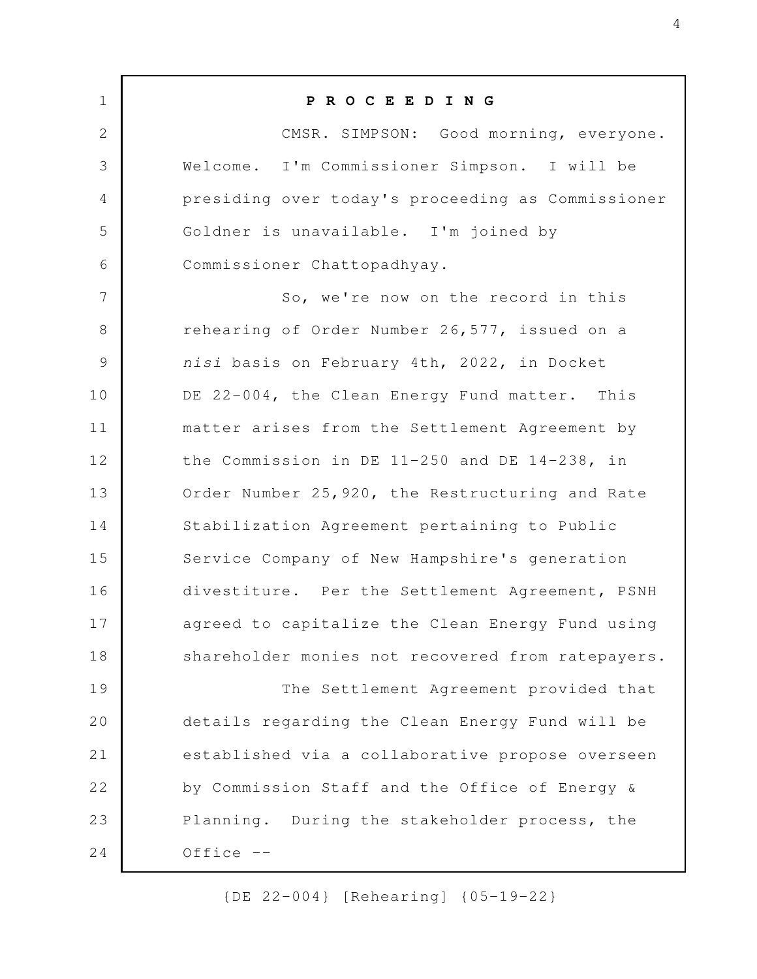**P R O C E E D I N G** CMSR. SIMPSON: Good morning, everyone. Welcome. I'm Commissioner Simpson. I will be presiding over today's proceeding as Commissioner Goldner is unavailable. I'm joined by Commissioner Chattopadhyay. So, we're now on the record in this rehearing of Order Number 26,577, issued on a *nisi* basis on February 4th, 2022, in Docket DE 22-004, the Clean Energy Fund matter. This matter arises from the Settlement Agreement by the Commission in DE 11-250 and DE 14-238, in Order Number 25,920, the Restructuring and Rate Stabilization Agreement pertaining to Public Service Company of New Hampshire's generation divestiture. Per the Settlement Agreement, PSNH agreed to capitalize the Clean Energy Fund using shareholder monies not recovered from ratepayers. The Settlement Agreement provided that details regarding the Clean Energy Fund will be established via a collaborative propose overseen by Commission Staff and the Office of Energy & Planning. During the stakeholder process, the  $Office --$  1 2 3 4 5 6 7 8 9 10 11 12 13 14 15 16 17 18 19 20 21 22 23 24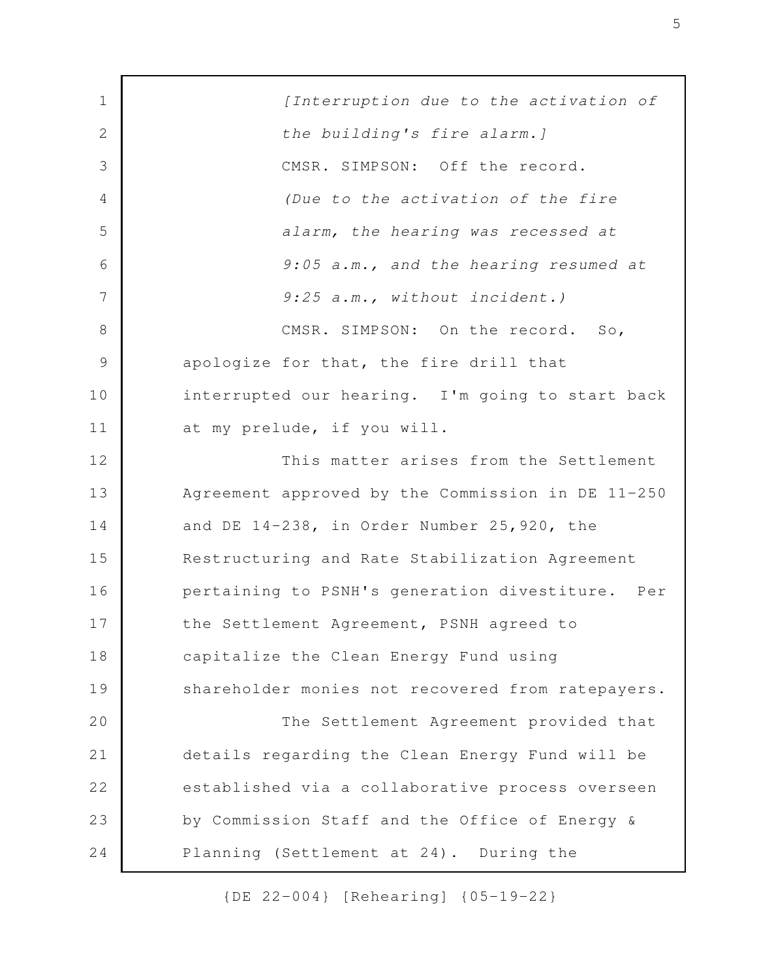*[Interruption due to the activation of the building's fire alarm.]* CMSR. SIMPSON: Off the record. *(Due to the activation of the fire alarm, the hearing was recessed at 9:05 a.m., and the hearing resumed at 9:25 a.m., without incident.)* CMSR. SIMPSON: On the record. So, apologize for that, the fire drill that interrupted our hearing. I'm going to start back at my prelude, if you will. This matter arises from the Settlement Agreement approved by the Commission in DE 11-250 and DE 14-238, in Order Number 25,920, the Restructuring and Rate Stabilization Agreement pertaining to PSNH's generation divestiture. Per the Settlement Agreement, PSNH agreed to capitalize the Clean Energy Fund using shareholder monies not recovered from ratepayers. The Settlement Agreement provided that details regarding the Clean Energy Fund will be established via a collaborative process overseen by Commission Staff and the Office of Energy & Planning (Settlement at 24). During the 1 2 3 4 5 6 7 8 9 10 11 12 13 14 15 16 17 18 19 20 21 22 23 24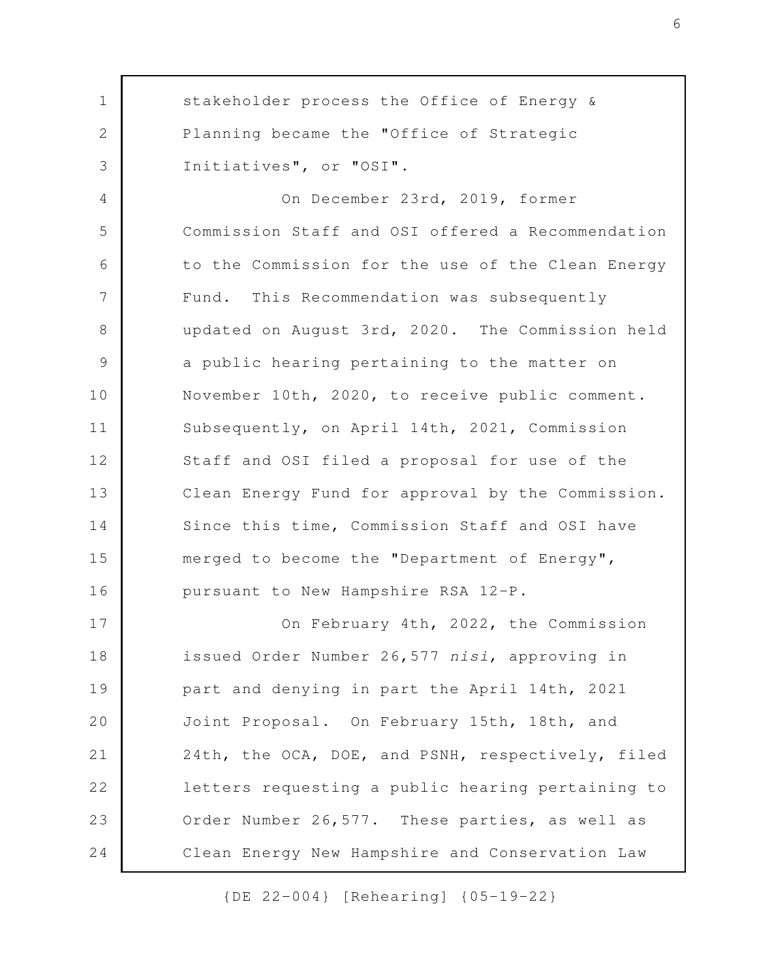stakeholder process the Office of Energy & Planning became the "Office of Strategic Initiatives", or "OSI". On December 23rd, 2019, former Commission Staff and OSI offered a Recommendation to the Commission for the use of the Clean Energy Fund. This Recommendation was subsequently updated on August 3rd, 2020. The Commission held a public hearing pertaining to the matter on November 10th, 2020, to receive public comment. Subsequently, on April 14th, 2021, Commission Staff and OSI filed a proposal for use of the Clean Energy Fund for approval by the Commission. Since this time, Commission Staff and OSI have merged to become the "Department of Energy", pursuant to New Hampshire RSA 12-P. On February 4th, 2022, the Commission issued Order Number 26,577 *nisi*, approving in part and denying in part the April 14th, 2021 Joint Proposal. On February 15th, 18th, and 24th, the OCA, DOE, and PSNH, respectively, filed letters requesting a public hearing pertaining to Order Number 26,577. These parties, as well as Clean Energy New Hampshire and Conservation Law 1 2 3 4 5 6 7 8 9 10 11 12 13 14 15 16 17 18 19 20 21 22 23 24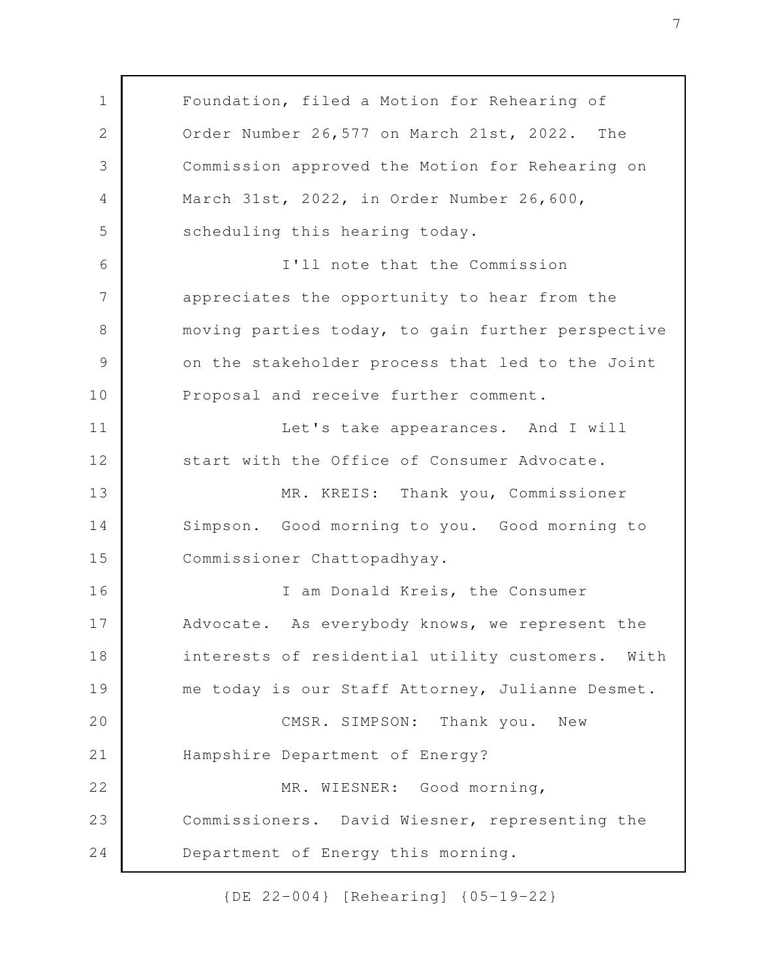Foundation, filed a Motion for Rehearing of Order Number 26,577 on March 21st, 2022. The Commission approved the Motion for Rehearing on March 31st, 2022, in Order Number 26,600, scheduling this hearing today. I'll note that the Commission appreciates the opportunity to hear from the moving parties today, to gain further perspective on the stakeholder process that led to the Joint Proposal and receive further comment. Let's take appearances. And I will start with the Office of Consumer Advocate. MR. KREIS: Thank you, Commissioner Simpson. Good morning to you. Good morning to Commissioner Chattopadhyay. I am Donald Kreis, the Consumer Advocate. As everybody knows, we represent the interests of residential utility customers. With me today is our Staff Attorney, Julianne Desmet. CMSR. SIMPSON: Thank you. New Hampshire Department of Energy? MR. WIESNER: Good morning, Commissioners. David Wiesner, representing the Department of Energy this morning. 1 2 3 4 5 6 7 8 9 10 11 12 13 14 15 16 17 18 19 20 21 22 23 24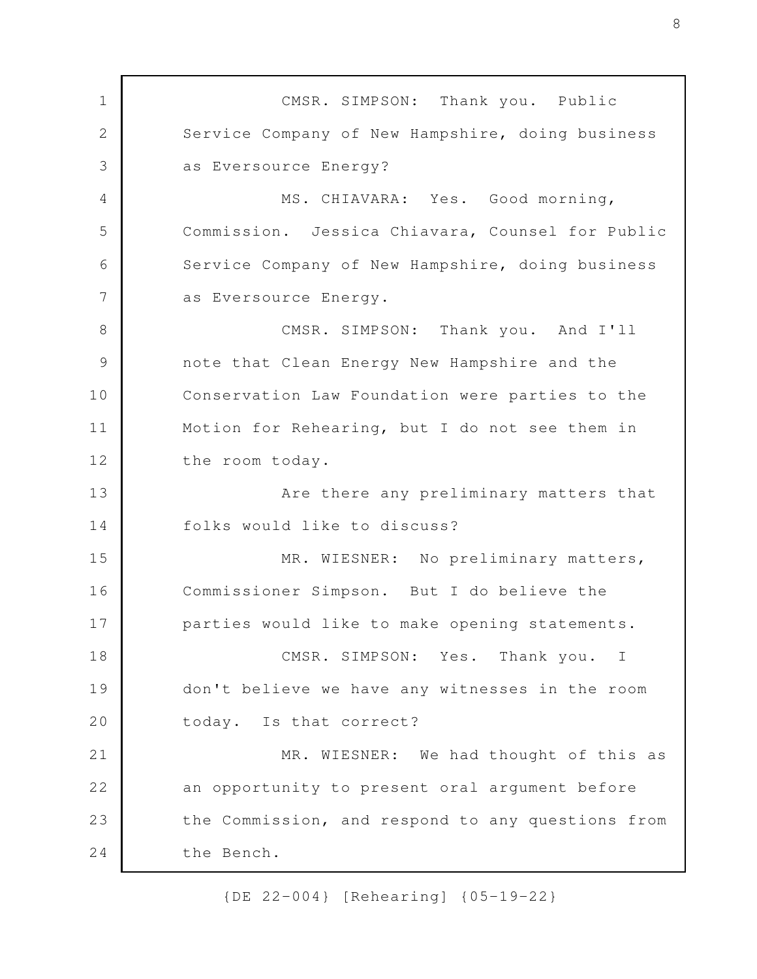CMSR. SIMPSON: Thank you. Public Service Company of New Hampshire, doing business as Eversource Energy? MS. CHIAVARA: Yes. Good morning, Commission. Jessica Chiavara, Counsel for Public Service Company of New Hampshire, doing business as Eversource Energy. CMSR. SIMPSON: Thank you. And I'll note that Clean Energy New Hampshire and the Conservation Law Foundation were parties to the Motion for Rehearing, but I do not see them in the room today. Are there any preliminary matters that folks would like to discuss? MR. WIESNER: No preliminary matters, Commissioner Simpson. But I do believe the parties would like to make opening statements. CMSR. SIMPSON: Yes. Thank you. I don't believe we have any witnesses in the room today. Is that correct? MR. WIESNER: We had thought of this as an opportunity to present oral argument before the Commission, and respond to any questions from the Bench. 1 2 3 4 5 6 7 8 9 10 11 12 13 14 15 16 17 18 19 20 21 22 23 24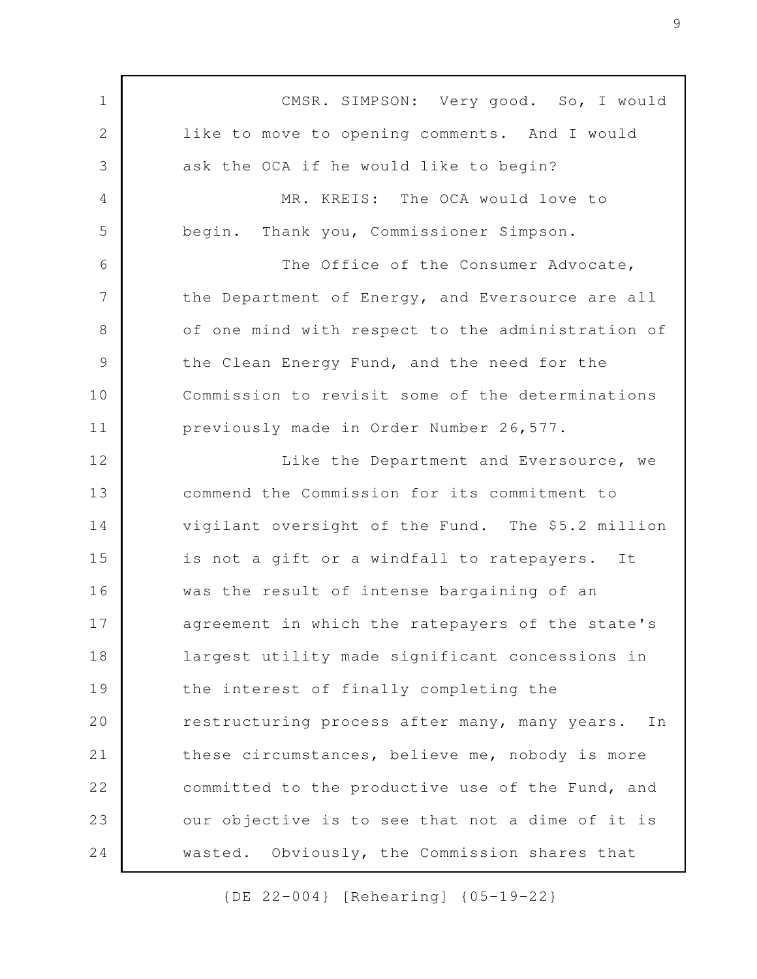CMSR. SIMPSON: Very good. So, I would like to move to opening comments. And I would ask the OCA if he would like to begin? MR. KREIS: The OCA would love to begin. Thank you, Commissioner Simpson. The Office of the Consumer Advocate, the Department of Energy, and Eversource are all of one mind with respect to the administration of the Clean Energy Fund, and the need for the Commission to revisit some of the determinations previously made in Order Number 26,577. Like the Department and Eversource, we commend the Commission for its commitment to vigilant oversight of the Fund. The \$5.2 million is not a gift or a windfall to ratepayers. It was the result of intense bargaining of an agreement in which the ratepayers of the state's largest utility made significant concessions in the interest of finally completing the restructuring process after many, many years. In these circumstances, believe me, nobody is more committed to the productive use of the Fund, and our objective is to see that not a dime of it is wasted. Obviously, the Commission shares that 1 2 3 4 5 6 7 8 9 10 11 12 13 14 15 16 17 18 19 20 21 22 23 24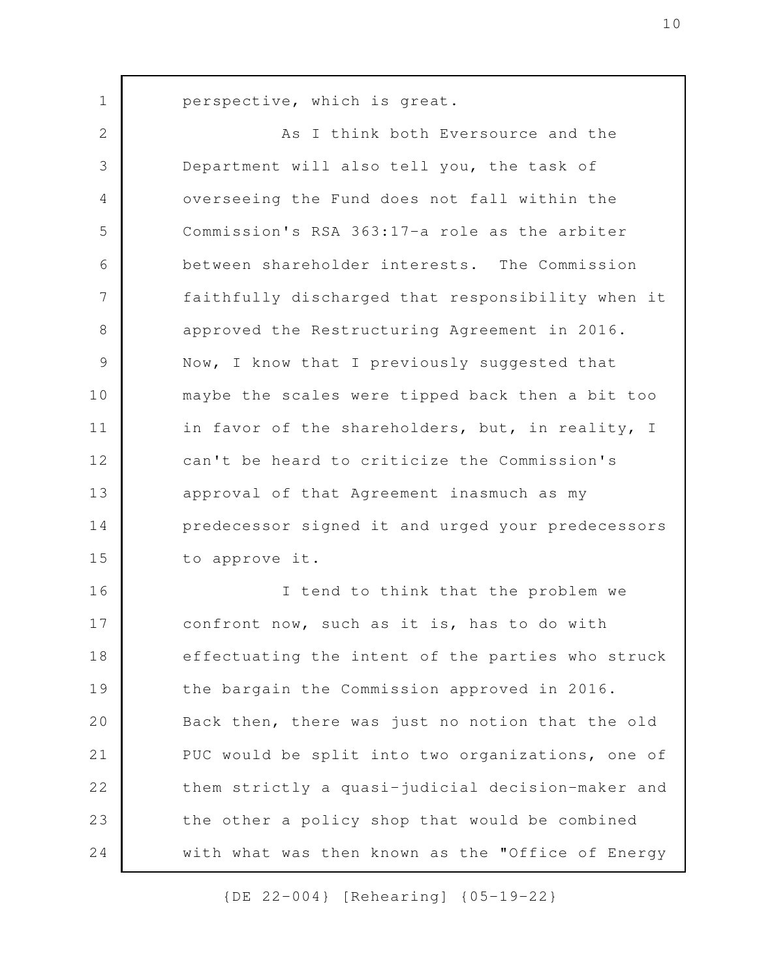perspective, which is great.

1

As I think both Eversource and the Department will also tell you, the task of overseeing the Fund does not fall within the Commission's RSA 363:17-a role as the arbiter between shareholder interests. The Commission faithfully discharged that responsibility when it approved the Restructuring Agreement in 2016. Now, I know that I previously suggested that maybe the scales were tipped back then a bit too in favor of the shareholders, but, in reality, I can't be heard to criticize the Commission's approval of that Agreement inasmuch as my predecessor signed it and urged your predecessors to approve it. I tend to think that the problem we confront now, such as it is, has to do with effectuating the intent of the parties who struck the bargain the Commission approved in 2016. Back then, there was just no notion that the old PUC would be split into two organizations, one of them strictly a quasi-judicial decision-maker and the other a policy shop that would be combined with what was then known as the "Office of Energy 2 3 4 5 6 7 8 9 10 11 12 13 14 15 16 17 18 19 20 21 22 23 24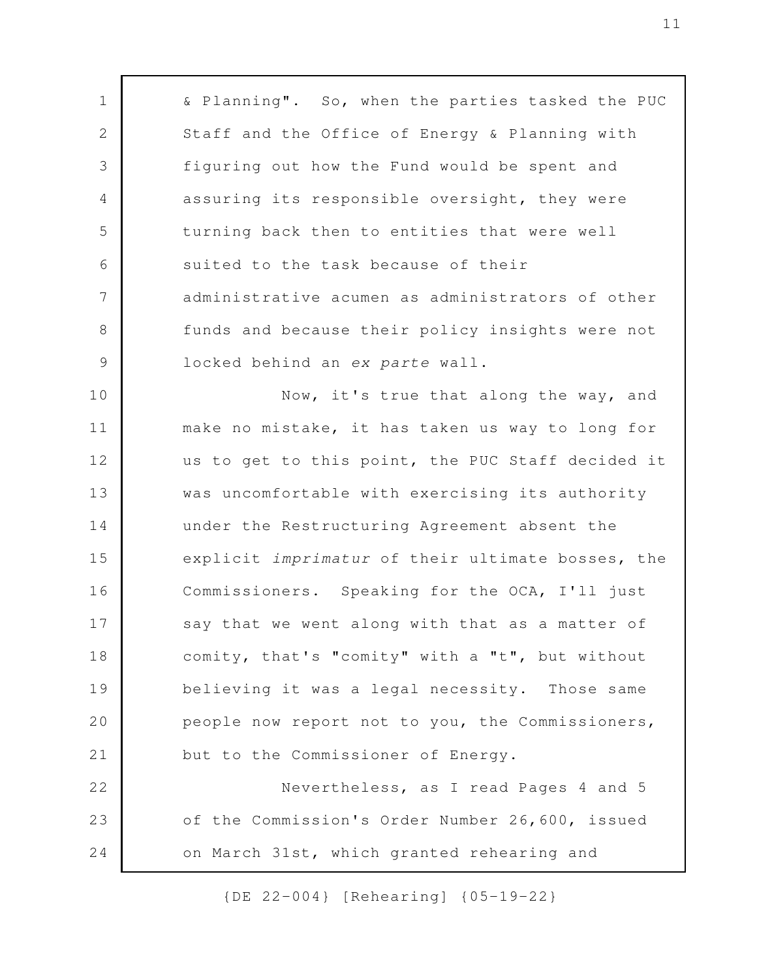& Planning". So, when the parties tasked the PUC Staff and the Office of Energy & Planning with figuring out how the Fund would be spent and assuring its responsible oversight, they were turning back then to entities that were well suited to the task because of their administrative acumen as administrators of other funds and because their policy insights were not locked behind an *ex parte* wall. Now, it's true that along the way, and make no mistake, it has taken us way to long for us to get to this point, the PUC Staff decided it was uncomfortable with exercising its authority under the Restructuring Agreement absent the explicit *imprimatur* of their ultimate bosses, the Commissioners. Speaking for the OCA, I'll just say that we went along with that as a matter of comity, that's "comity" with a "t", but without believing it was a legal necessity. Those same people now report not to you, the Commissioners, but to the Commissioner of Energy. Nevertheless, as I read Pages 4 and 5 of the Commission's Order Number 26,600, issued on March 31st, which granted rehearing and 1 2 3 4 5 6 7 8 9 10 11 12 13 14 15 16 17 18 19 20 21 22 23 24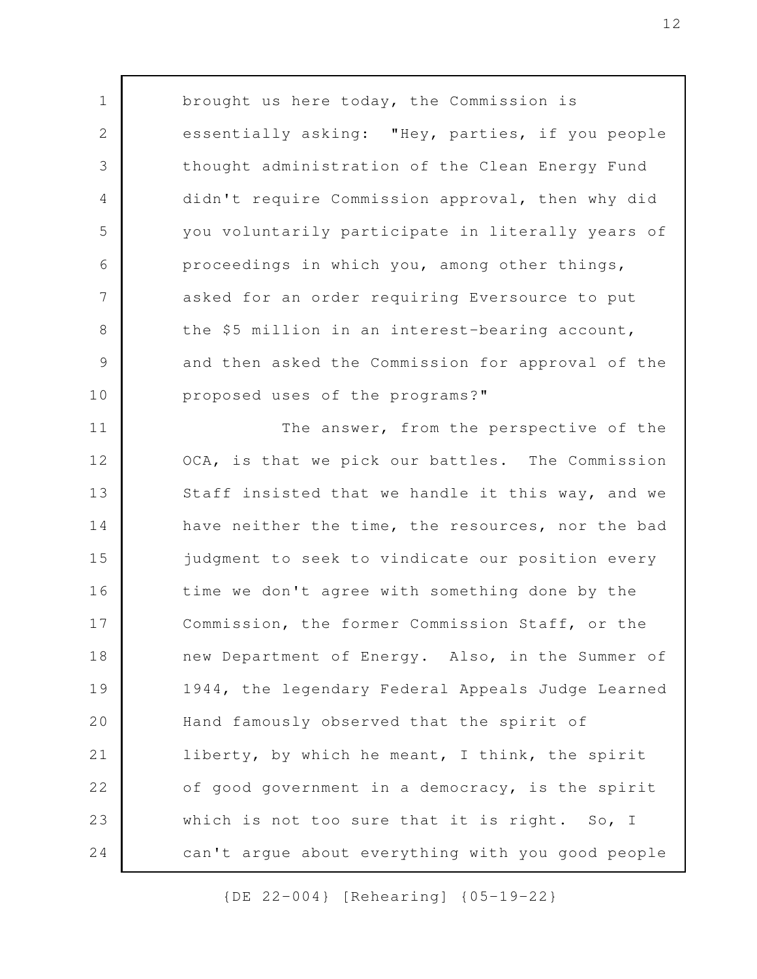brought us here today, the Commission is essentially asking: "Hey, parties, if you people thought administration of the Clean Energy Fund didn't require Commission approval, then why did you voluntarily participate in literally years of proceedings in which you, among other things, asked for an order requiring Eversource to put the \$5 million in an interest-bearing account, and then asked the Commission for approval of the proposed uses of the programs?" The answer, from the perspective of the OCA, is that we pick our battles. The Commission 1 2 3 4 5 6 7 8 9 10 11 12

Staff insisted that we handle it this way, and we have neither the time, the resources, nor the bad judgment to seek to vindicate our position every time we don't agree with something done by the Commission, the former Commission Staff, or the new Department of Energy. Also, in the Summer of 1944, the legendary Federal Appeals Judge Learned Hand famously observed that the spirit of liberty, by which he meant, I think, the spirit of good government in a democracy, is the spirit which is not too sure that it is right. So, I can't argue about everything with you good people 13 14 15 16 17 18 19 20 21 22 23 24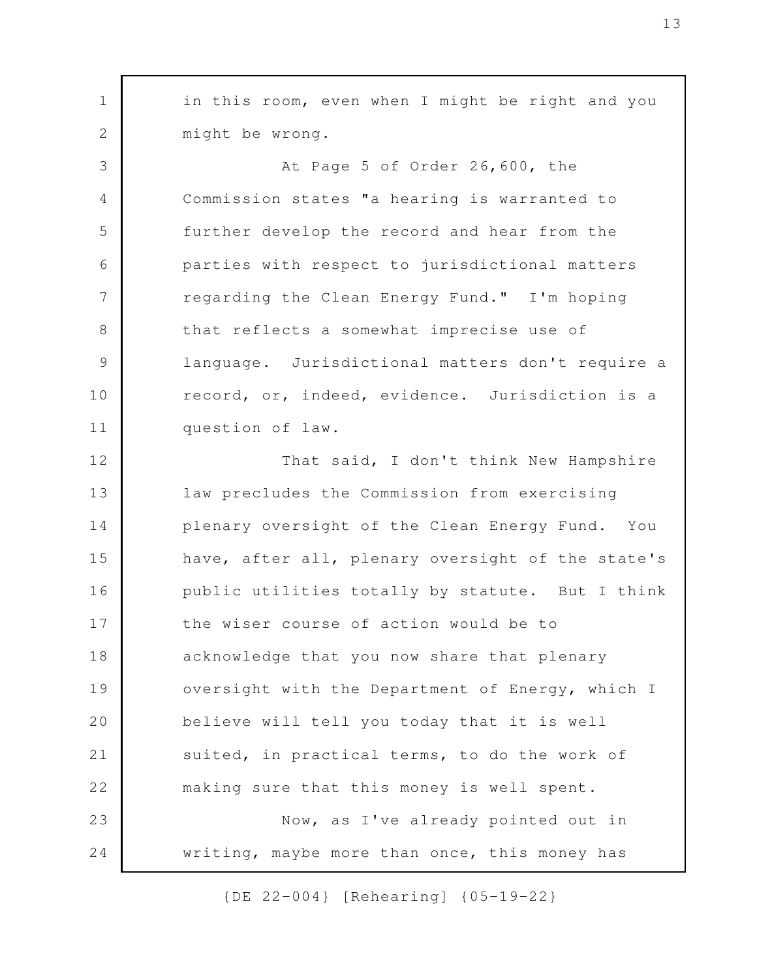in this room, even when I might be right and you might be wrong. At Page 5 of Order 26,600, the Commission states "a hearing is warranted to further develop the record and hear from the parties with respect to jurisdictional matters regarding the Clean Energy Fund." I'm hoping that reflects a somewhat imprecise use of language. Jurisdictional matters don't require a record, or, indeed, evidence. Jurisdiction is a question of law. That said, I don't think New Hampshire law precludes the Commission from exercising plenary oversight of the Clean Energy Fund. You have, after all, plenary oversight of the state's public utilities totally by statute. But I think the wiser course of action would be to acknowledge that you now share that plenary oversight with the Department of Energy, which I believe will tell you today that it is well suited, in practical terms, to do the work of making sure that this money is well spent. Now, as I've already pointed out in writing, maybe more than once, this money has 1 2 3 4 5 6 7 8 9 10 11 12 13 14 15 16 17 18 19 20 21 22 23 24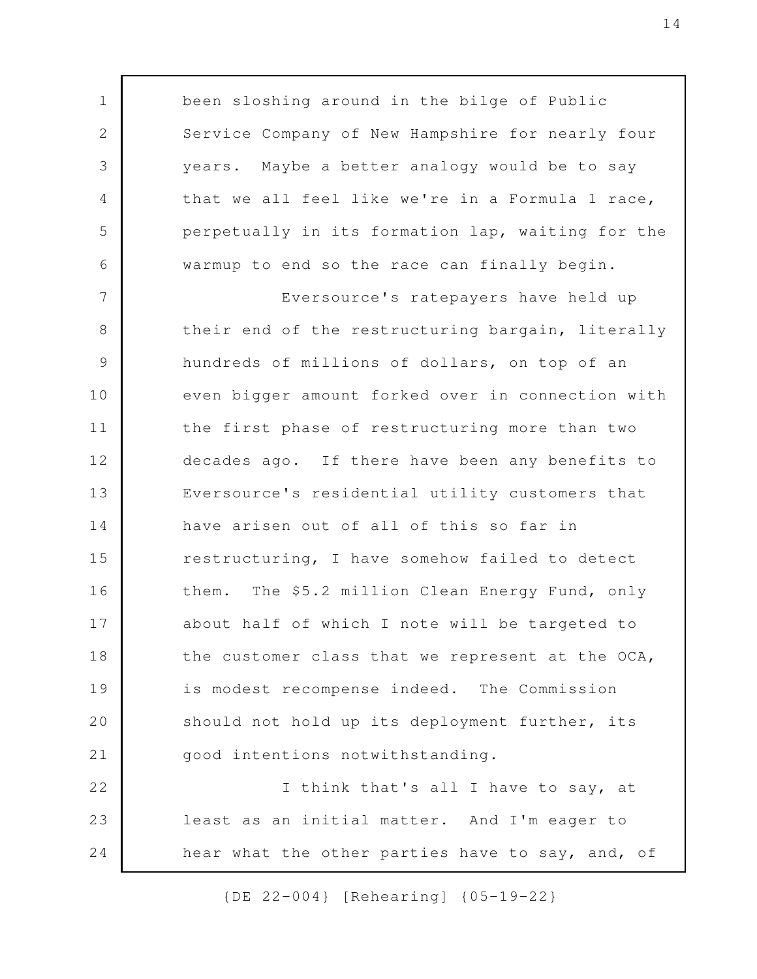been sloshing around in the bilge of Public Service Company of New Hampshire for nearly four years. Maybe a better analogy would be to say that we all feel like we're in a Formula 1 race, perpetually in its formation lap, waiting for the warmup to end so the race can finally begin. Eversource's ratepayers have held up their end of the restructuring bargain, literally hundreds of millions of dollars, on top of an even bigger amount forked over in connection with the first phase of restructuring more than two decades ago. If there have been any benefits to Eversource's residential utility customers that have arisen out of all of this so far in restructuring, I have somehow failed to detect them. The \$5.2 million Clean Energy Fund, only about half of which I note will be targeted to the customer class that we represent at the OCA, is modest recompense indeed. The Commission should not hold up its deployment further, its good intentions notwithstanding. I think that's all I have to say, at least as an initial matter. And I'm eager to 1 2 3 4 5 6 7 8 9 10 11 12 13 14 15 16 17 18 19 20 21 22 23

hear what the other parties have to say, and, of 24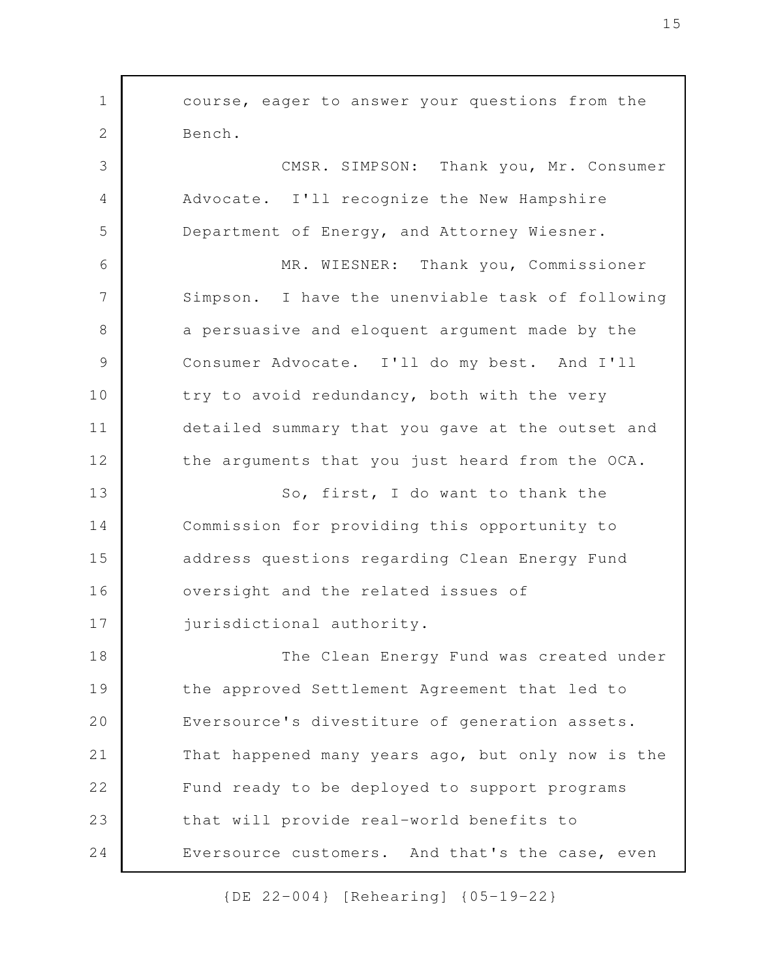course, eager to answer your questions from the Bench. CMSR. SIMPSON: Thank you, Mr. Consumer Advocate. I'll recognize the New Hampshire Department of Energy, and Attorney Wiesner. MR. WIESNER: Thank you, Commissioner Simpson. I have the unenviable task of following a persuasive and eloquent argument made by the Consumer Advocate. I'll do my best. And I'll try to avoid redundancy, both with the very detailed summary that you gave at the outset and the arguments that you just heard from the OCA. So, first, I do want to thank the Commission for providing this opportunity to address questions regarding Clean Energy Fund oversight and the related issues of jurisdictional authority. The Clean Energy Fund was created under the approved Settlement Agreement that led to Eversource's divestiture of generation assets. That happened many years ago, but only now is the Fund ready to be deployed to support programs that will provide real-world benefits to Eversource customers. And that's the case, even 1 2 3 4 5 6 7 8 9 10 11 12 13 14 15 16 17 18 19 20 21 22 23 24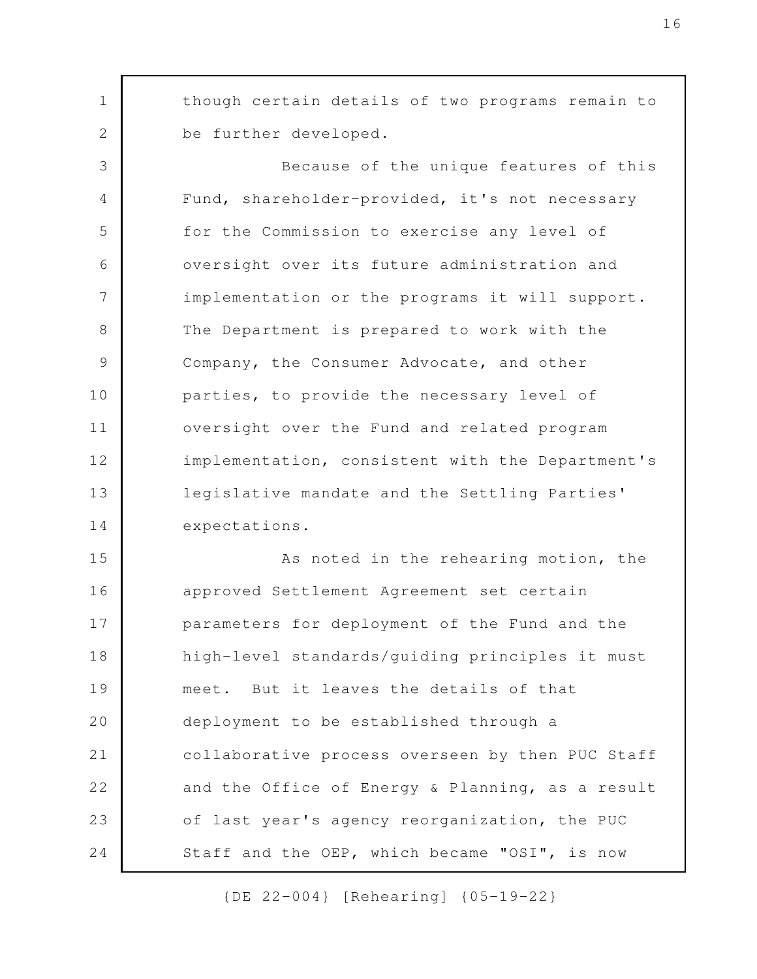though certain details of two programs remain to be further developed.

1

2

Because of the unique features of this Fund, shareholder-provided, it's not necessary for the Commission to exercise any level of oversight over its future administration and implementation or the programs it will support. The Department is prepared to work with the Company, the Consumer Advocate, and other parties, to provide the necessary level of oversight over the Fund and related program implementation, consistent with the Department's legislative mandate and the Settling Parties' expectations. 3 4 5 6 7 8 9 10 11 12 13 14

As noted in the rehearing motion, the approved Settlement Agreement set certain parameters for deployment of the Fund and the high-level standards/guiding principles it must meet. But it leaves the details of that deployment to be established through a collaborative process overseen by then PUC Staff and the Office of Energy & Planning, as a result of last year's agency reorganization, the PUC Staff and the OEP, which became "OSI", is now 15 16 17 18 19 20 21 22 23 24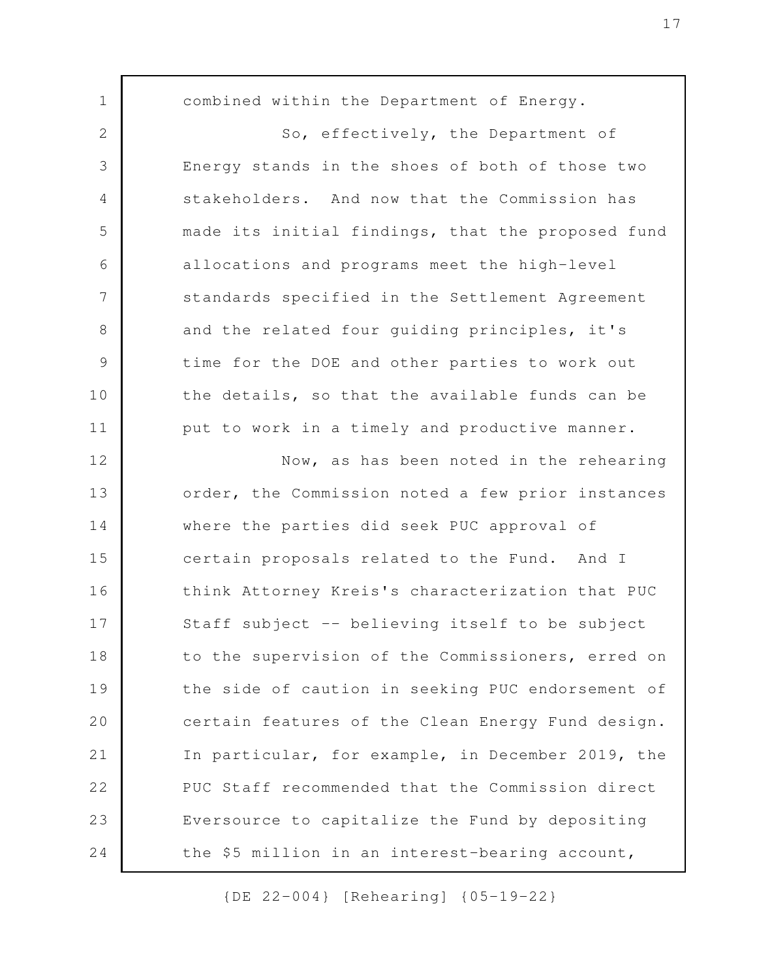combined within the Department of Energy. So, effectively, the Department of Energy stands in the shoes of both of those two stakeholders. And now that the Commission has made its initial findings, that the proposed fund allocations and programs meet the high-level standards specified in the Settlement Agreement and the related four guiding principles, it's time for the DOE and other parties to work out the details, so that the available funds can be put to work in a timely and productive manner. Now, as has been noted in the rehearing order, the Commission noted a few prior instances where the parties did seek PUC approval of certain proposals related to the Fund. And I think Attorney Kreis's characterization that PUC Staff subject -- believing itself to be subject to the supervision of the Commissioners, erred on the side of caution in seeking PUC endorsement of certain features of the Clean Energy Fund design. In particular, for example, in December 2019, the PUC Staff recommended that the Commission direct Eversource to capitalize the Fund by depositing the \$5 million in an interest-bearing account, 1 2 3 4 5 6 7 8 9 10 11 12 13 14 15 16 17 18 19 20 21 22 23 24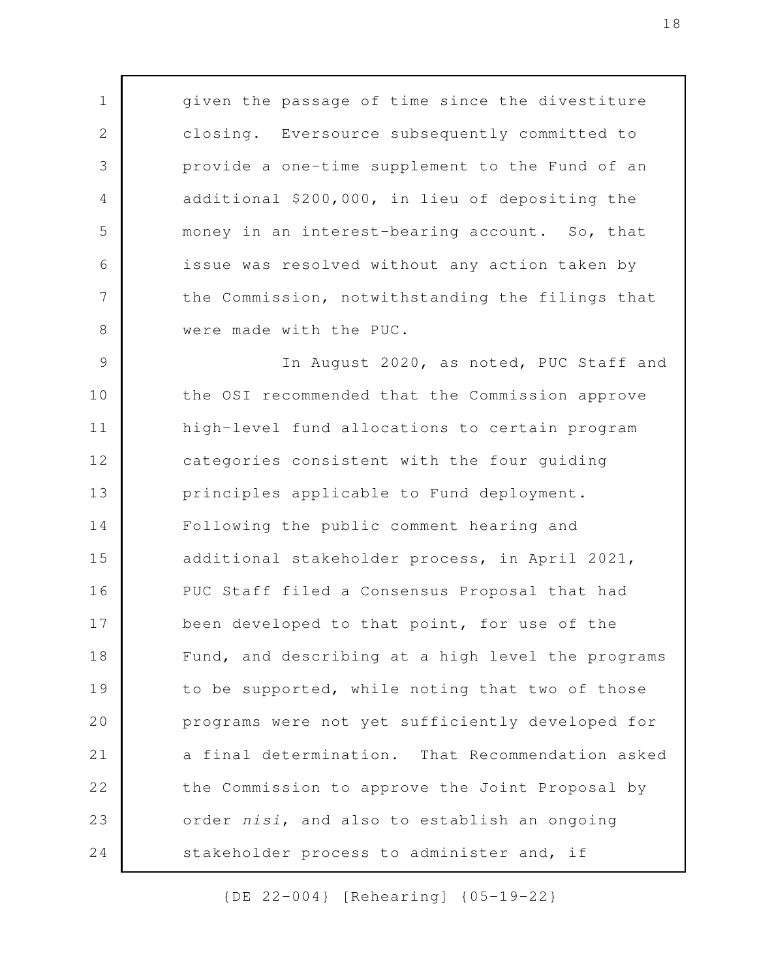given the passage of time since the divestiture closing. Eversource subsequently committed to provide a one-time supplement to the Fund of an additional \$200,000, in lieu of depositing the money in an interest-bearing account. So, that issue was resolved without any action taken by the Commission, notwithstanding the filings that were made with the PUC.

1

2

3

4

5

6

7

8

In August 2020, as noted, PUC Staff and the OSI recommended that the Commission approve high-level fund allocations to certain program categories consistent with the four guiding principles applicable to Fund deployment. Following the public comment hearing and additional stakeholder process, in April 2021, PUC Staff filed a Consensus Proposal that had been developed to that point, for use of the Fund, and describing at a high level the programs to be supported, while noting that two of those programs were not yet sufficiently developed for a final determination. That Recommendation asked the Commission to approve the Joint Proposal by order *nisi*, and also to establish an ongoing stakeholder process to administer and, if 9 10 11 12 13 14 15 16 17 18 19 20 21 22 23 24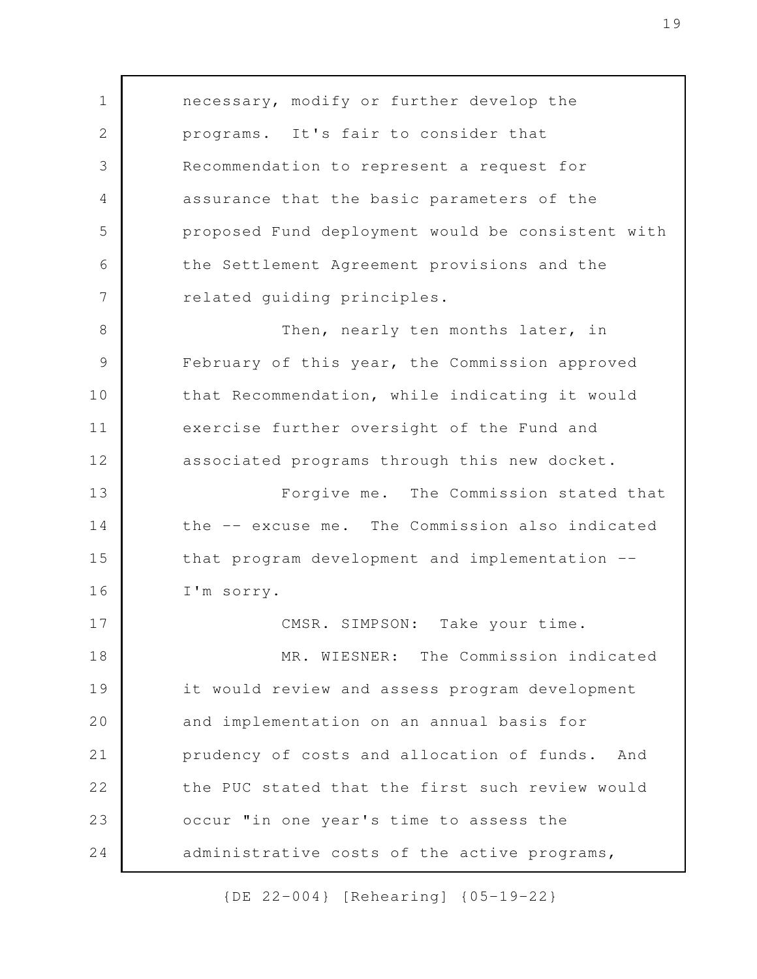necessary, modify or further develop the programs. It's fair to consider that Recommendation to represent a request for assurance that the basic parameters of the proposed Fund deployment would be consistent with the Settlement Agreement provisions and the related guiding principles. Then, nearly ten months later, in February of this year, the Commission approved that Recommendation, while indicating it would exercise further oversight of the Fund and associated programs through this new docket. Forgive me. The Commission stated that the -- excuse me. The Commission also indicated that program development and implementation -- I'm sorry. CMSR. SIMPSON: Take your time. MR. WIESNER: The Commission indicated it would review and assess program development and implementation on an annual basis for prudency of costs and allocation of funds. And the PUC stated that the first such review would occur "in one year's time to assess the administrative costs of the active programs, 1 2 3 4 5 6 7 8 9 10 11 12 13 14 15 16 17 18 19 20 21 22 23 24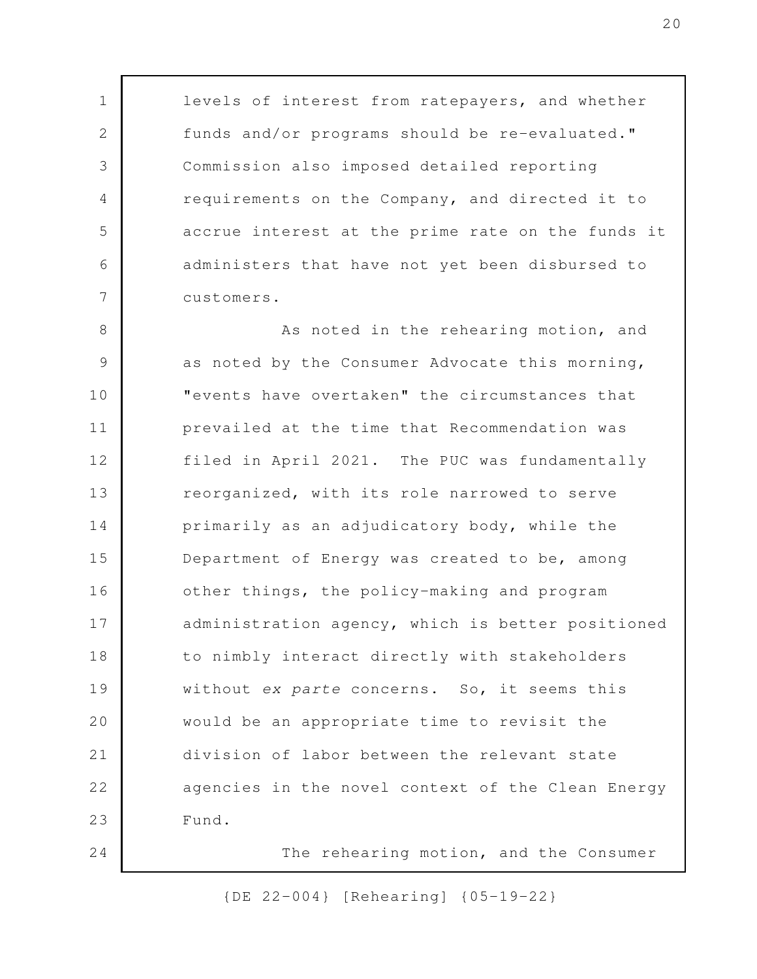levels of interest from ratepayers, and whether funds and/or programs should be re-evaluated." Commission also imposed detailed reporting requirements on the Company, and directed it to accrue interest at the prime rate on the funds it administers that have not yet been disbursed to customers.

1

2

3

4

5

6

7

24

As noted in the rehearing motion, and as noted by the Consumer Advocate this morning, "events have overtaken" the circumstances that prevailed at the time that Recommendation was filed in April 2021. The PUC was fundamentally reorganized, with its role narrowed to serve primarily as an adjudicatory body, while the Department of Energy was created to be, among other things, the policy-making and program administration agency, which is better positioned to nimbly interact directly with stakeholders without *ex parte* concerns. So, it seems this would be an appropriate time to revisit the division of labor between the relevant state agencies in the novel context of the Clean Energy Fund. 8 9 10 11 12 13 14 15 16 17 18 19 20 21 22 23

The rehearing motion, and the Consumer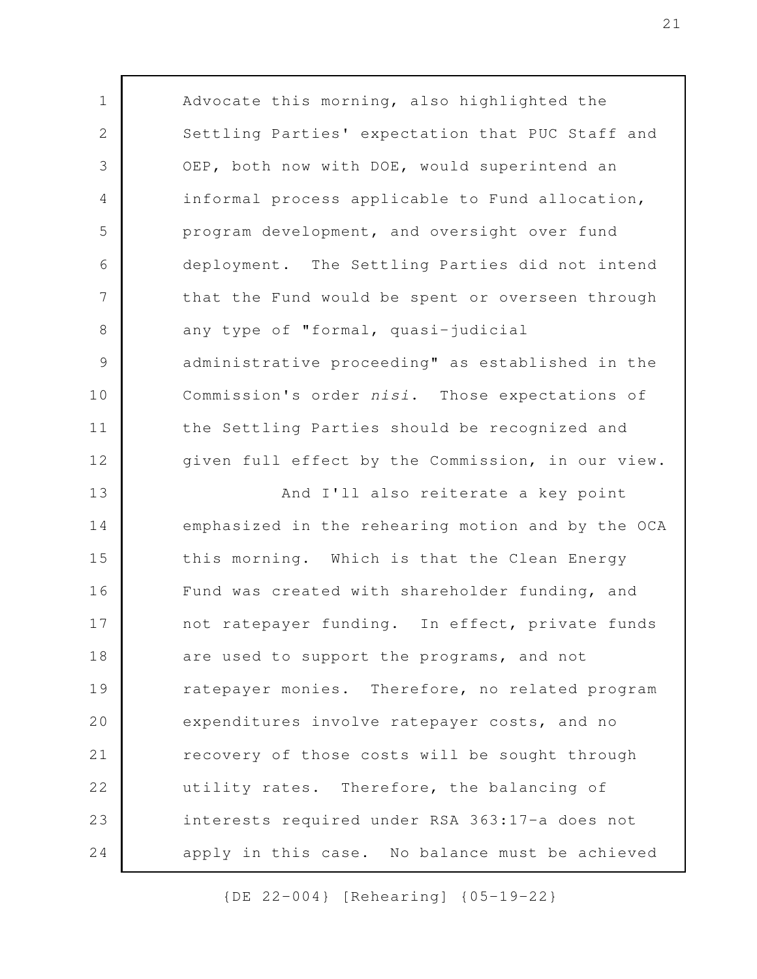Advocate this morning, also highlighted the Settling Parties' expectation that PUC Staff and OEP, both now with DOE, would superintend an informal process applicable to Fund allocation, program development, and oversight over fund deployment. The Settling Parties did not intend that the Fund would be spent or overseen through any type of "formal, quasi-judicial administrative proceeding" as established in the Commission's order *nisi*. Those expectations of the Settling Parties should be recognized and given full effect by the Commission, in our view. And I'll also reiterate a key point emphasized in the rehearing motion and by the OCA this morning. Which is that the Clean Energy Fund was created with shareholder funding, and not ratepayer funding. In effect, private funds are used to support the programs, and not ratepayer monies. Therefore, no related program expenditures involve ratepayer costs, and no recovery of those costs will be sought through utility rates. Therefore, the balancing of interests required under RSA 363:17-a does not apply in this case. No balance must be achieved 1 2 3 4 5 6 7 8 9 10 11 12 13 14 15 16 17 18 19 20 21 22 23 24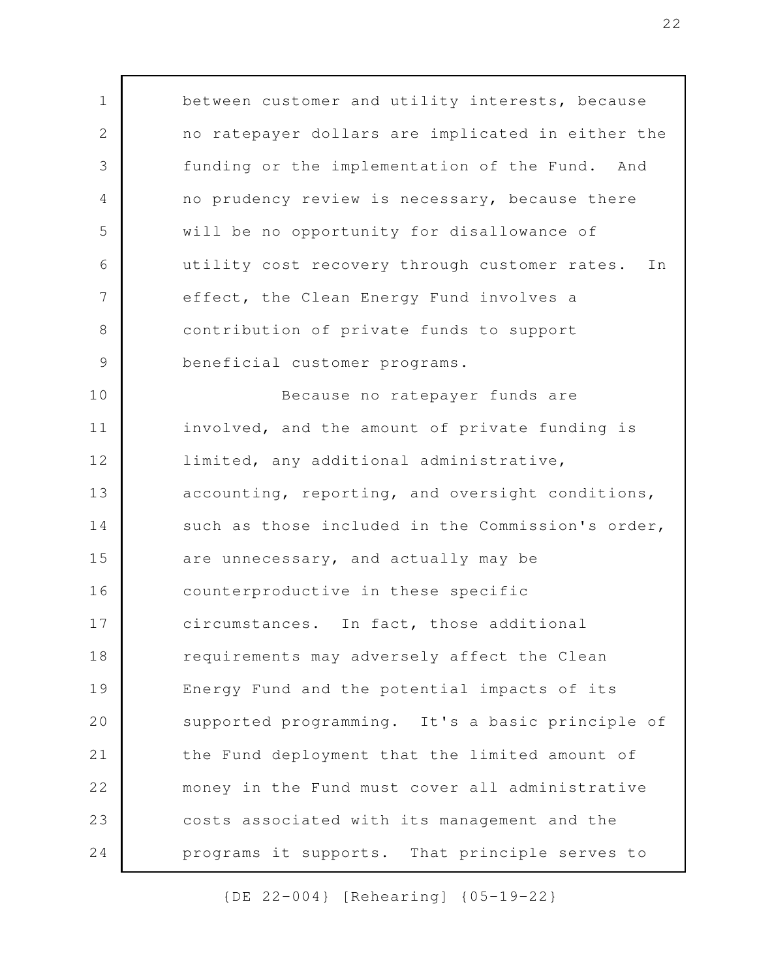between customer and utility interests, because no ratepayer dollars are implicated in either the funding or the implementation of the Fund. And no prudency review is necessary, because there will be no opportunity for disallowance of utility cost recovery through customer rates. In effect, the Clean Energy Fund involves a contribution of private funds to support beneficial customer programs. Because no ratepayer funds are involved, and the amount of private funding is limited, any additional administrative, accounting, reporting, and oversight conditions, such as those included in the Commission's order, are unnecessary, and actually may be counterproductive in these specific circumstances. In fact, those additional requirements may adversely affect the Clean Energy Fund and the potential impacts of its supported programming. It's a basic principle of the Fund deployment that the limited amount of money in the Fund must cover all administrative costs associated with its management and the programs it supports. That principle serves to 1 2 3 4 5 6 7 8 9 10 11 12 13 14 15 16 17 18 19 20 21 22 23 24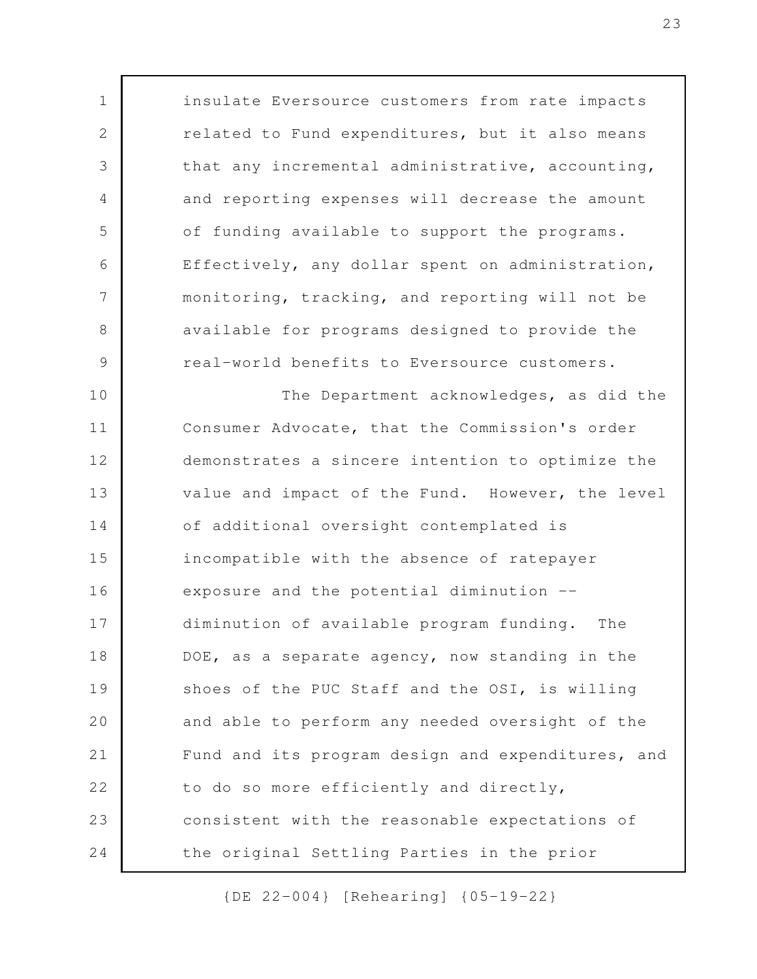insulate Eversource customers from rate impacts related to Fund expenditures, but it also means that any incremental administrative, accounting, and reporting expenses will decrease the amount of funding available to support the programs. Effectively, any dollar spent on administration, monitoring, tracking, and reporting will not be available for programs designed to provide the real-world benefits to Eversource customers. The Department acknowledges, as did the

1

2

3

4

5

6

7

8

9

10

Consumer Advocate, that the Commission's order demonstrates a sincere intention to optimize the value and impact of the Fund. However, the level of additional oversight contemplated is incompatible with the absence of ratepayer exposure and the potential diminution - diminution of available program funding. The DOE, as a separate agency, now standing in the shoes of the PUC Staff and the OSI, is willing and able to perform any needed oversight of the Fund and its program design and expenditures, and to do so more efficiently and directly, consistent with the reasonable expectations of the original Settling Parties in the prior 11 12 13 14 15 16 17 18 19 20 21 22 23 24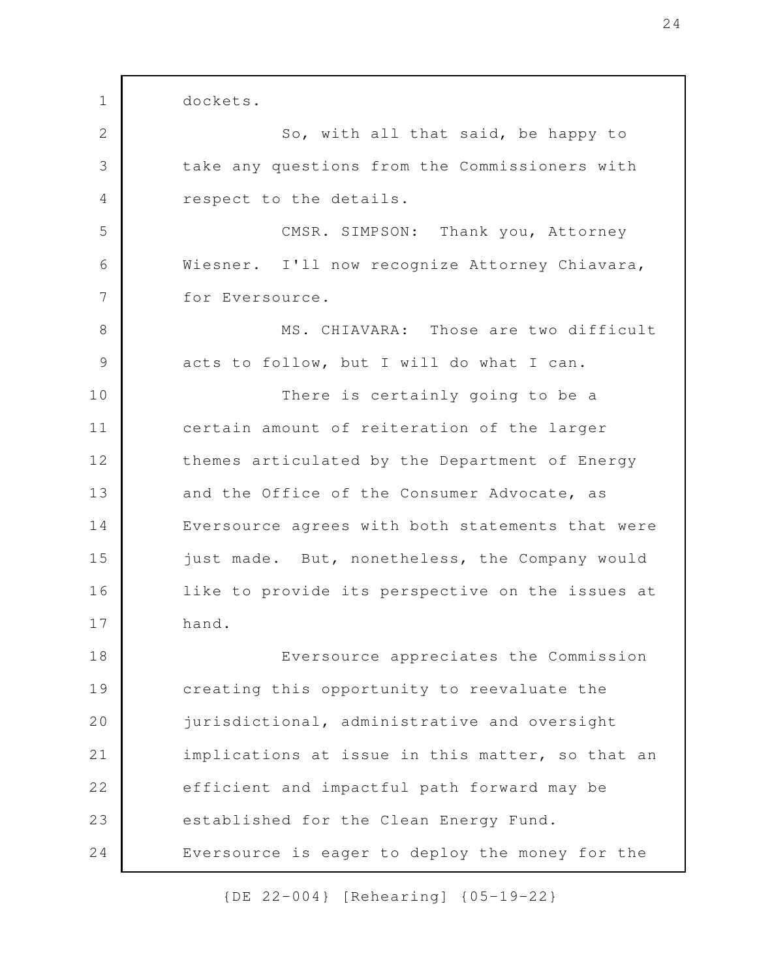dockets. So, with all that said, be happy to take any questions from the Commissioners with respect to the details. CMSR. SIMPSON: Thank you, Attorney Wiesner. I'll now recognize Attorney Chiavara, for Eversource. MS. CHIAVARA: Those are two difficult acts to follow, but I will do what I can. There is certainly going to be a certain amount of reiteration of the larger themes articulated by the Department of Energy and the Office of the Consumer Advocate, as Eversource agrees with both statements that were just made. But, nonetheless, the Company would like to provide its perspective on the issues at hand. Eversource appreciates the Commission creating this opportunity to reevaluate the jurisdictional, administrative and oversight implications at issue in this matter, so that an efficient and impactful path forward may be established for the Clean Energy Fund. Eversource is eager to deploy the money for the 1 2 3 4 5 6 7 8 9 10 11 12 13 14 15 16 17 18 19 20 21 22 23 24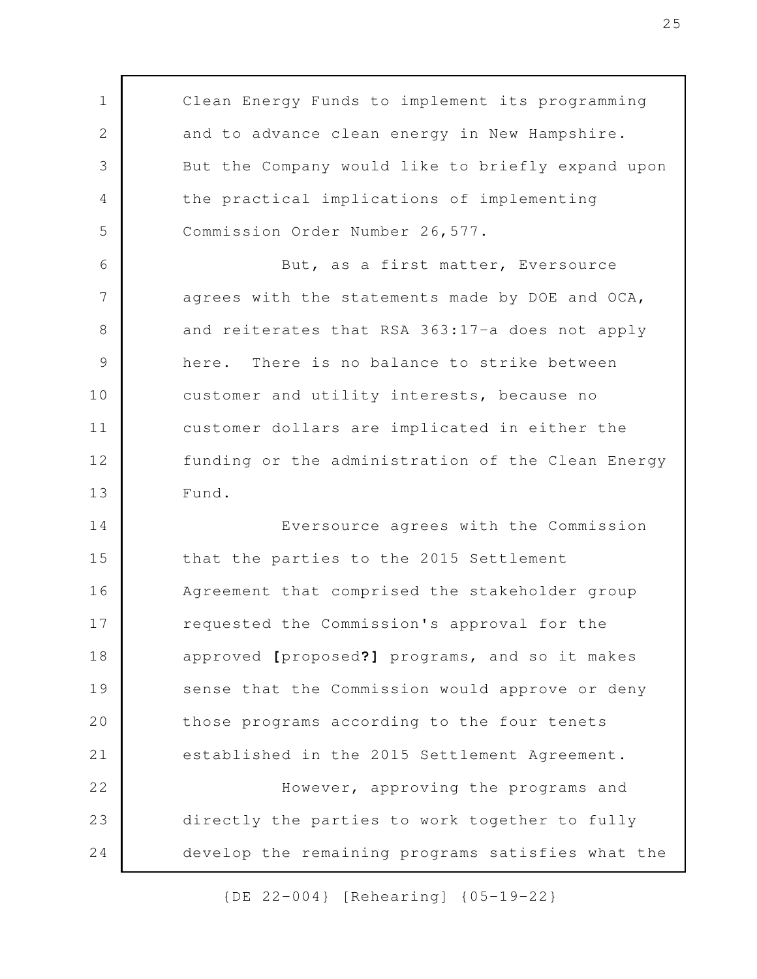Clean Energy Funds to implement its programming and to advance clean energy in New Hampshire. But the Company would like to briefly expand upon the practical implications of implementing Commission Order Number 26,577. But, as a first matter, Eversource agrees with the statements made by DOE and OCA, and reiterates that RSA 363:17-a does not apply here. There is no balance to strike between customer and utility interests, because no customer dollars are implicated in either the funding or the administration of the Clean Energy Fund. Eversource agrees with the Commission that the parties to the 2015 Settlement Agreement that comprised the stakeholder group requested the Commission's approval for the approved **[**proposed**?]** programs, and so it makes sense that the Commission would approve or deny those programs according to the four tenets established in the 2015 Settlement Agreement. However, approving the programs and directly the parties to work together to fully develop the remaining programs satisfies what the 1 2 3 4 5 6 7 8 9 10 11 12 13 14 15 16 17 18 19 20 21 22 23 24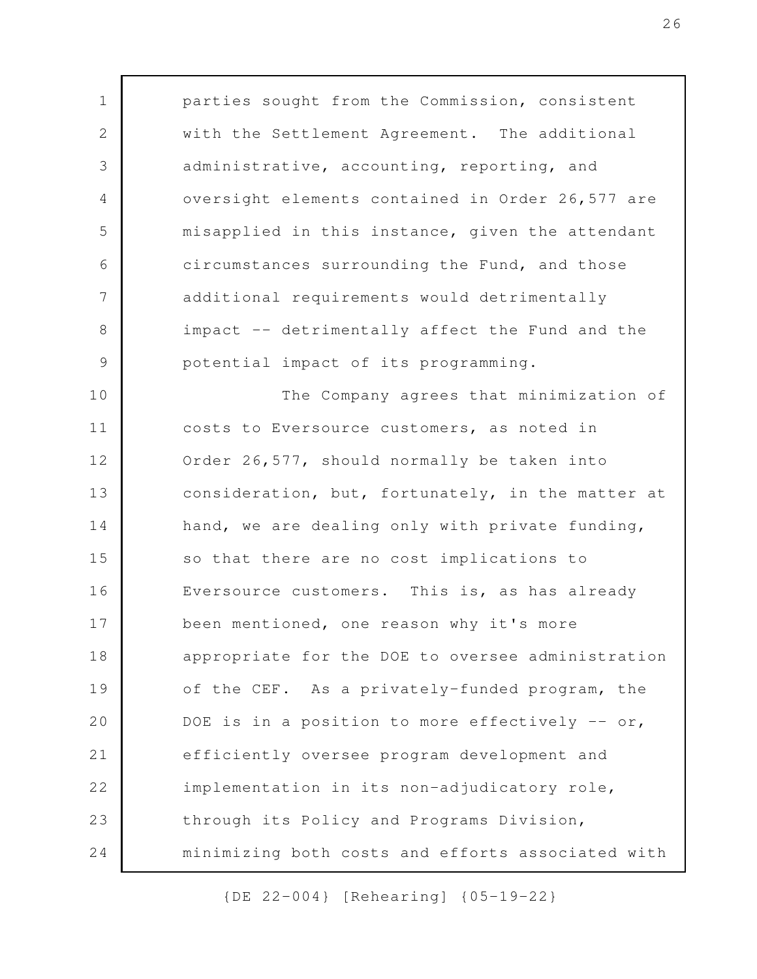parties sought from the Commission, consistent with the Settlement Agreement. The additional administrative, accounting, reporting, and oversight elements contained in Order 26,577 are misapplied in this instance, given the attendant circumstances surrounding the Fund, and those additional requirements would detrimentally impact -- detrimentally affect the Fund and the potential impact of its programming. The Company agrees that minimization of costs to Eversource customers, as noted in Order 26,577, should normally be taken into consideration, but, fortunately, in the matter at hand, we are dealing only with private funding, so that there are no cost implications to Eversource customers. This is, as has already been mentioned, one reason why it's more appropriate for the DOE to oversee administration of the CEF. As a privately-funded program, the DOE is in a position to more effectively  $-$  or, efficiently oversee program development and implementation in its non-adjudicatory role, through its Policy and Programs Division, minimizing both costs and efforts associated with 1 2 3 4 5 6 7 8 9 10 11 12 13 14 15 16 17 18 19 20 21 22 23 24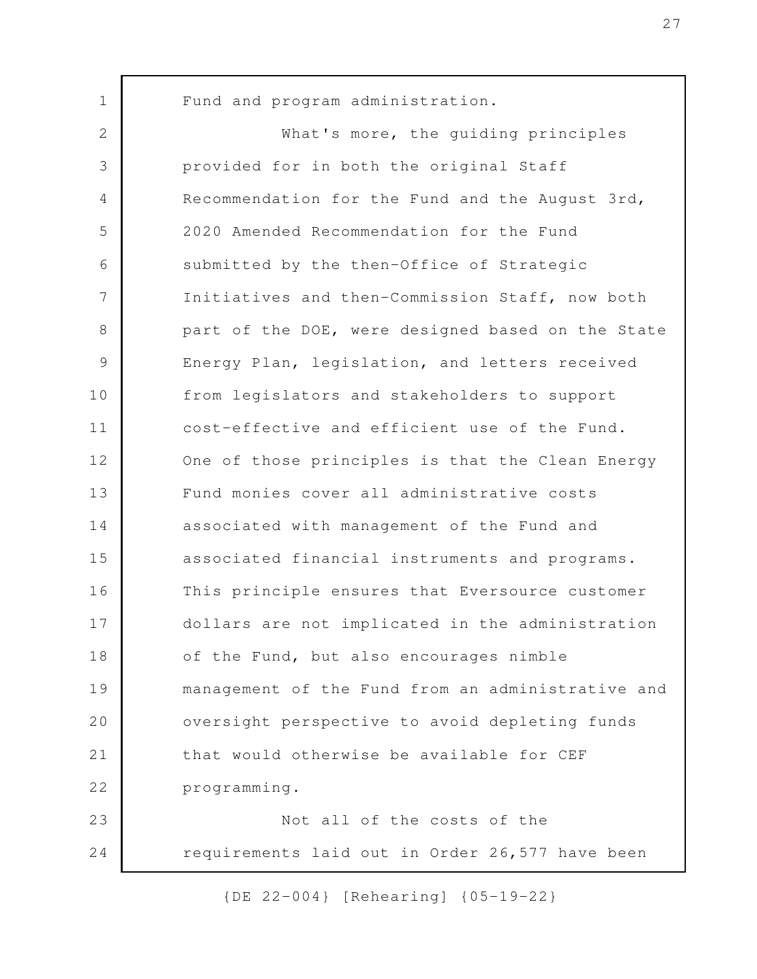Fund and program administration. What's more, the guiding principles provided for in both the original Staff Recommendation for the Fund and the August 3rd, 2020 Amended Recommendation for the Fund submitted by the then-Office of Strategic Initiatives and then-Commission Staff, now both part of the DOE, were designed based on the State Energy Plan, legislation, and letters received from legislators and stakeholders to support cost-effective and efficient use of the Fund. One of those principles is that the Clean Energy Fund monies cover all administrative costs associated with management of the Fund and associated financial instruments and programs. This principle ensures that Eversource customer dollars are not implicated in the administration of the Fund, but also encourages nimble management of the Fund from an administrative and oversight perspective to avoid depleting funds that would otherwise be available for CEF programming. Not all of the costs of the requirements laid out in Order 26,577 have been 1 2 3 4 5 6 7 8 9 10 11 12 13 14 15 16 17 18 19 20 21 22 23 24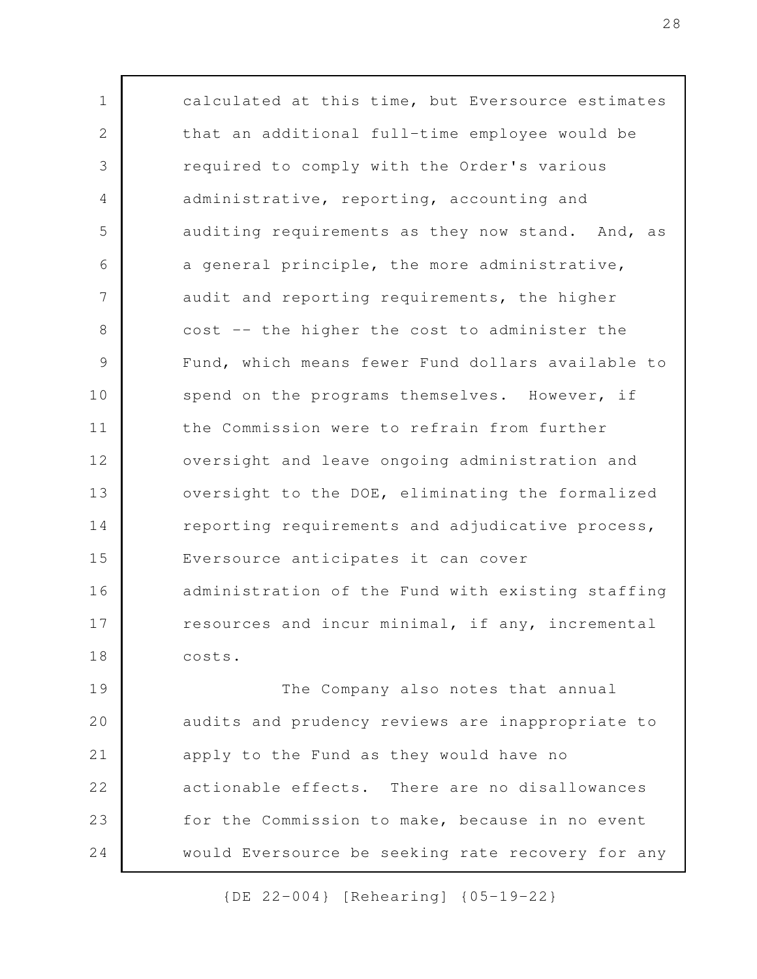calculated at this time, but Eversource estimates that an additional full-time employee would be required to comply with the Order's various administrative, reporting, accounting and auditing requirements as they now stand. And, as a general principle, the more administrative, audit and reporting requirements, the higher cost -- the higher the cost to administer the Fund, which means fewer Fund dollars available to spend on the programs themselves. However, if the Commission were to refrain from further oversight and leave ongoing administration and oversight to the DOE, eliminating the formalized reporting requirements and adjudicative process, Eversource anticipates it can cover administration of the Fund with existing staffing resources and incur minimal, if any, incremental costs. The Company also notes that annual audits and prudency reviews are inappropriate to apply to the Fund as they would have no 1 2 3 4 5 6 7 8 9 10 11 12 13 14 15 16 17 18 19 20 21

actionable effects. There are no disallowances for the Commission to make, because in no event would Eversource be seeking rate recovery for any 22 23 24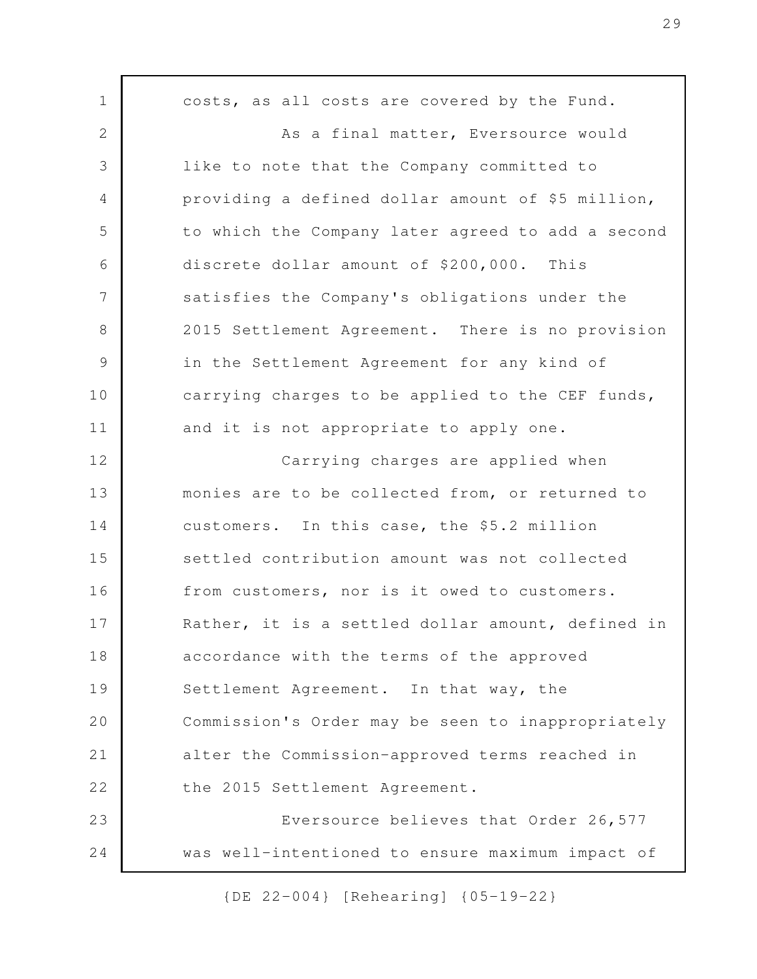costs, as all costs are covered by the Fund. As a final matter, Eversource would like to note that the Company committed to providing a defined dollar amount of \$5 million, to which the Company later agreed to add a second discrete dollar amount of \$200,000. This satisfies the Company's obligations under the 2015 Settlement Agreement. There is no provision in the Settlement Agreement for any kind of carrying charges to be applied to the CEF funds, and it is not appropriate to apply one. Carrying charges are applied when monies are to be collected from, or returned to customers. In this case, the \$5.2 million settled contribution amount was not collected from customers, nor is it owed to customers. Rather, it is a settled dollar amount, defined in accordance with the terms of the approved Settlement Agreement. In that way, the Commission's Order may be seen to inappropriately alter the Commission-approved terms reached in the 2015 Settlement Agreement. Eversource believes that Order 26,577 was well-intentioned to ensure maximum impact of 1 2 3 4 5 6 7 8 9 10 11 12 13 14 15 16 17 18 19 20 21 22 23 24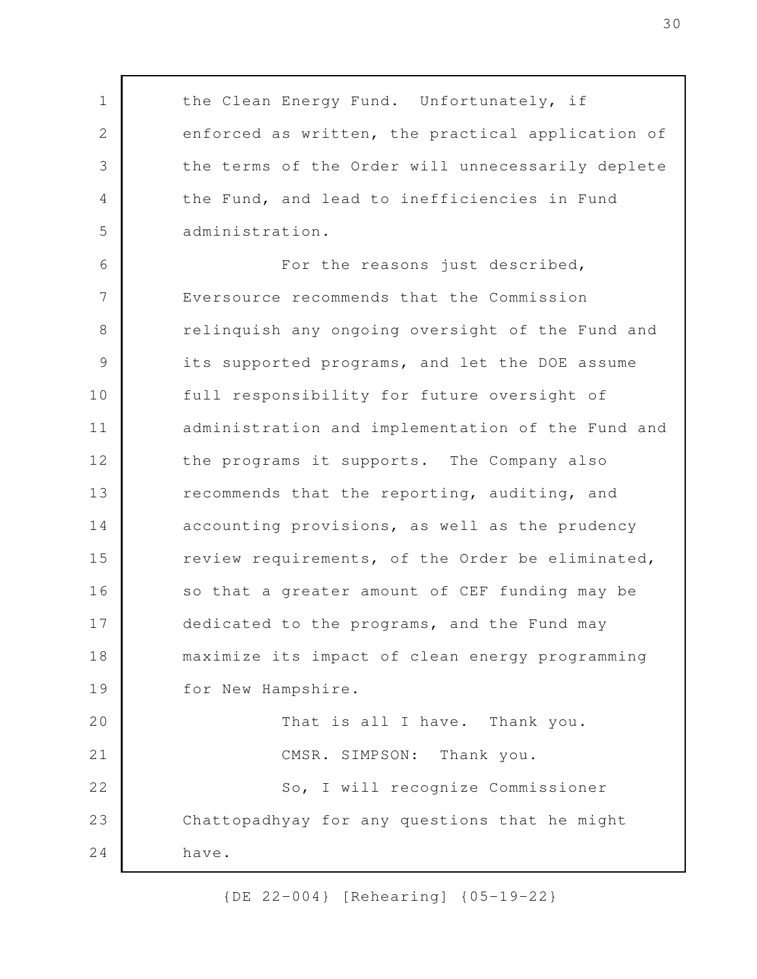the Clean Energy Fund. Unfortunately, if enforced as written, the practical application of the terms of the Order will unnecessarily deplete the Fund, and lead to inefficiencies in Fund administration. For the reasons just described, Eversource recommends that the Commission relinquish any ongoing oversight of the Fund and its supported programs, and let the DOE assume full responsibility for future oversight of administration and implementation of the Fund and the programs it supports. The Company also recommends that the reporting, auditing, and accounting provisions, as well as the prudency review requirements, of the Order be eliminated, so that a greater amount of CEF funding may be dedicated to the programs, and the Fund may maximize its impact of clean energy programming for New Hampshire. That is all I have. Thank you. CMSR. SIMPSON: Thank you. So, I will recognize Commissioner Chattopadhyay for any questions that he might have. 1 2 3 4 5 6 7 8 9 10 11 12 13 14 15 16 17 18 19 20 21 22 23 24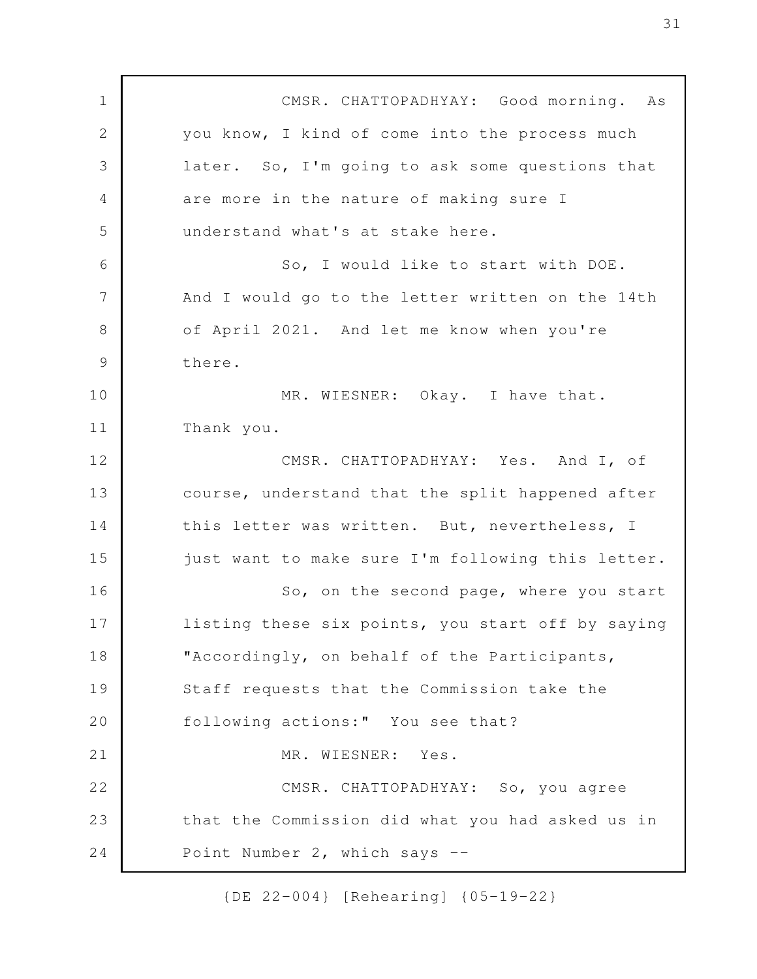CMSR. CHATTOPADHYAY: Good morning. As you know, I kind of come into the process much later. So, I'm going to ask some questions that are more in the nature of making sure I understand what's at stake here. So, I would like to start with DOE. And I would go to the letter written on the 14th of April 2021. And let me know when you're there. MR. WIESNER: Okay. I have that. Thank you. CMSR. CHATTOPADHYAY: Yes. And I, of course, understand that the split happened after this letter was written. But, nevertheless, I just want to make sure I'm following this letter. So, on the second page, where you start listing these six points, you start off by saying "Accordingly, on behalf of the Participants, Staff requests that the Commission take the following actions:" You see that? MR. WIESNER: Yes. CMSR. CHATTOPADHYAY: So, you agree that the Commission did what you had asked us in Point Number 2, which says -- 1 2 3 4 5 6 7 8 9 10 11 12 13 14 15 16 17 18 19 20 21 22 23 24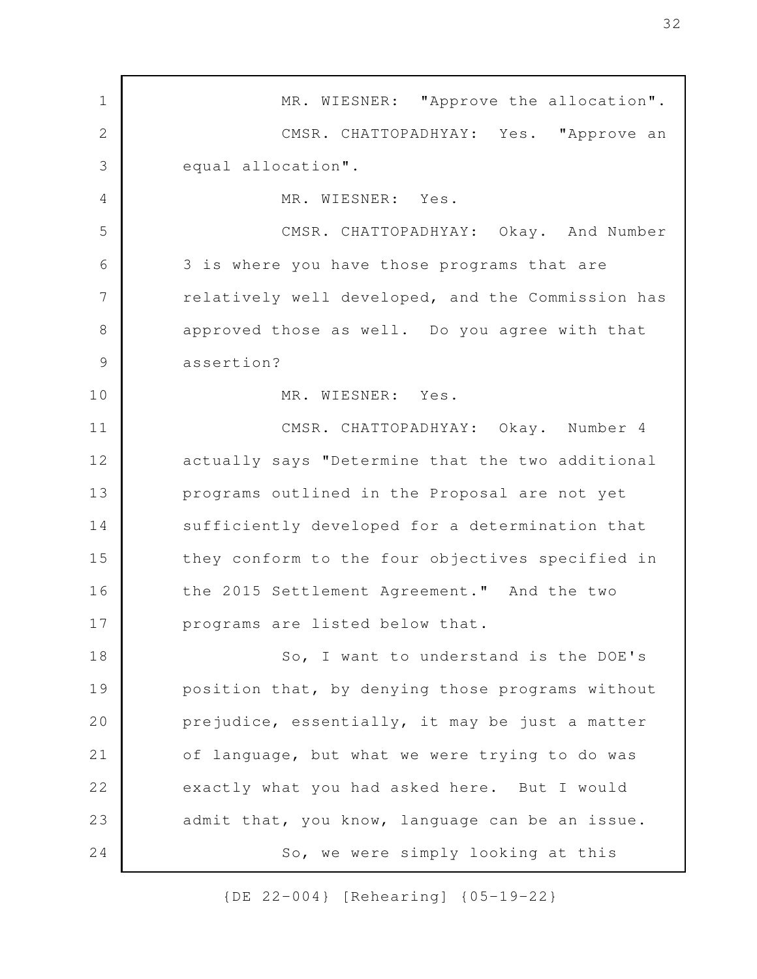MR. WIESNER: "Approve the allocation". CMSR. CHATTOPADHYAY: Yes. "Approve an equal allocation". MR. WIESNER: Yes. CMSR. CHATTOPADHYAY: Okay. And Number 3 is where you have those programs that are relatively well developed, and the Commission has approved those as well. Do you agree with that assertion? MR. WIESNER: Yes. CMSR. CHATTOPADHYAY: Okay. Number 4 actually says "Determine that the two additional programs outlined in the Proposal are not yet sufficiently developed for a determination that they conform to the four objectives specified in the 2015 Settlement Agreement." And the two programs are listed below that. So, I want to understand is the DOE's position that, by denying those programs without prejudice, essentially, it may be just a matter of language, but what we were trying to do was exactly what you had asked here. But I would admit that, you know, language can be an issue. So, we were simply looking at this 1 2 3 4 5 6 7 8 9 10 11 12 13 14 15 16 17 18 19 20 21 22 23 24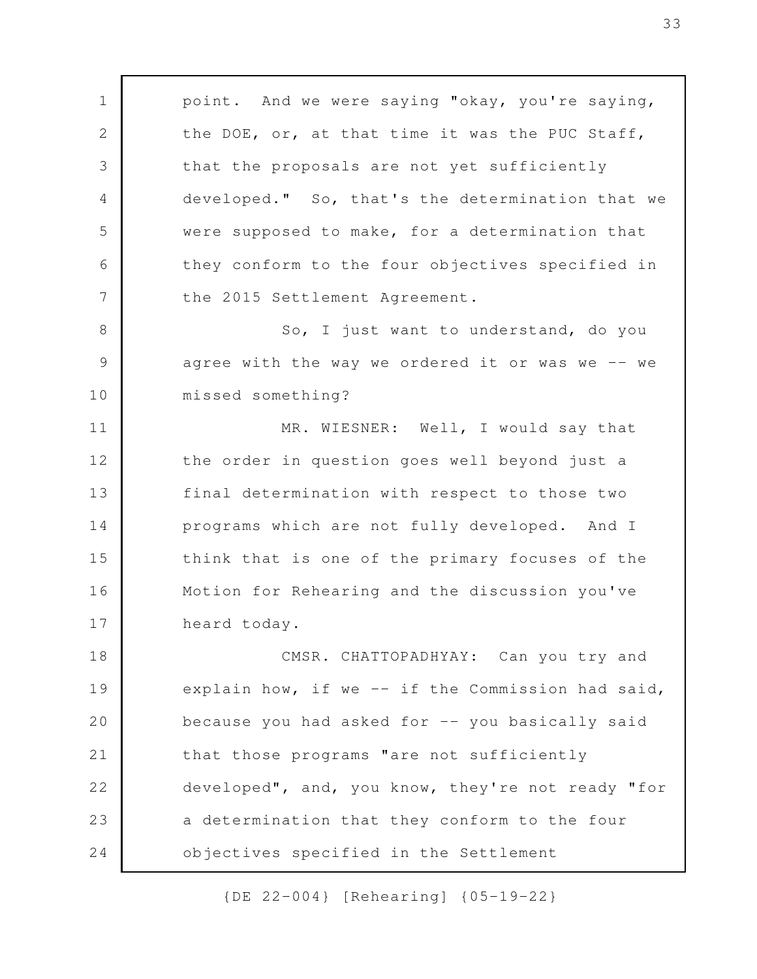point. And we were saying "okay, you're saying, the DOE, or, at that time it was the PUC Staff, that the proposals are not yet sufficiently developed." So, that's the determination that we were supposed to make, for a determination that they conform to the four objectives specified in the 2015 Settlement Agreement. So, I just want to understand, do you agree with the way we ordered it or was we -- we missed something? MR. WIESNER: Well, I would say that the order in question goes well beyond just a final determination with respect to those two programs which are not fully developed. And I think that is one of the primary focuses of the Motion for Rehearing and the discussion you've heard today. CMSR. CHATTOPADHYAY: Can you try and explain how, if we -- if the Commission had said, because you had asked for -- you basically said that those programs "are not sufficiently developed", and, you know, they're not ready "for a determination that they conform to the four objectives specified in the Settlement 1 2 3 4 5 6 7 8 9 10 11 12 13 14 15 16 17 18 19 20 21 22 23 24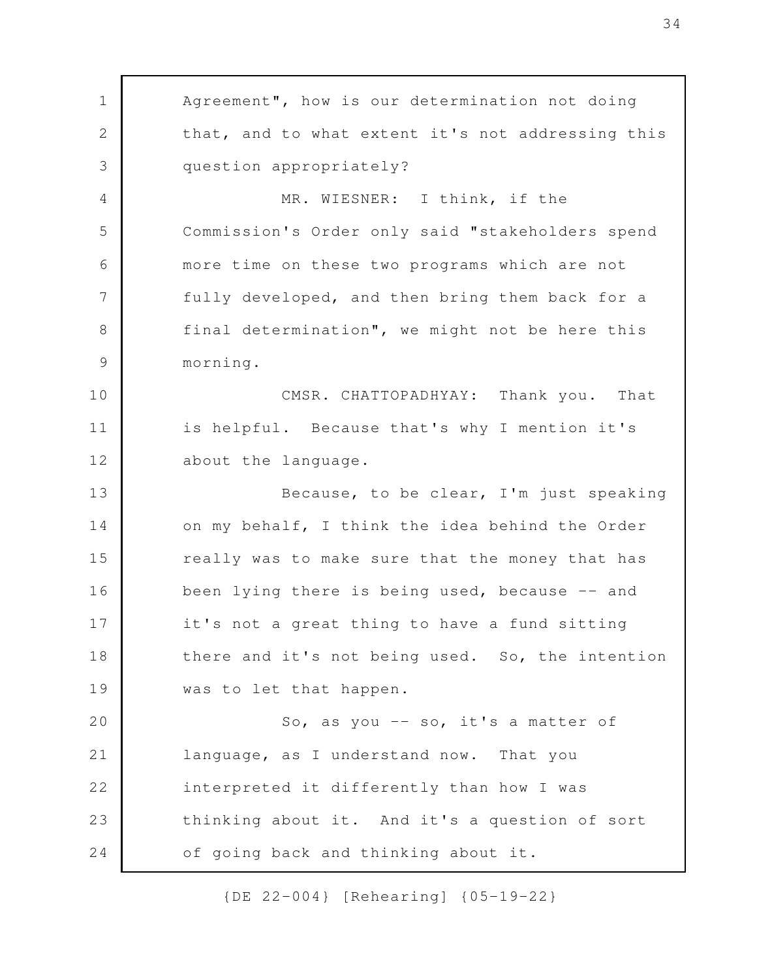Agreement", how is our determination not doing that, and to what extent it's not addressing this question appropriately? MR. WIESNER: I think, if the Commission's Order only said "stakeholders spend more time on these two programs which are not fully developed, and then bring them back for a final determination", we might not be here this morning. CMSR. CHATTOPADHYAY: Thank you. That is helpful. Because that's why I mention it's about the language. Because, to be clear, I'm just speaking on my behalf, I think the idea behind the Order really was to make sure that the money that has been lying there is being used, because -- and it's not a great thing to have a fund sitting there and it's not being used. So, the intention was to let that happen. So, as you -- so, it's a matter of language, as I understand now. That you interpreted it differently than how I was thinking about it. And it's a question of sort of going back and thinking about it. 1 2 3 4 5 6 7 8 9 10 11 12 13 14 15 16 17 18 19 20 21 22 23 24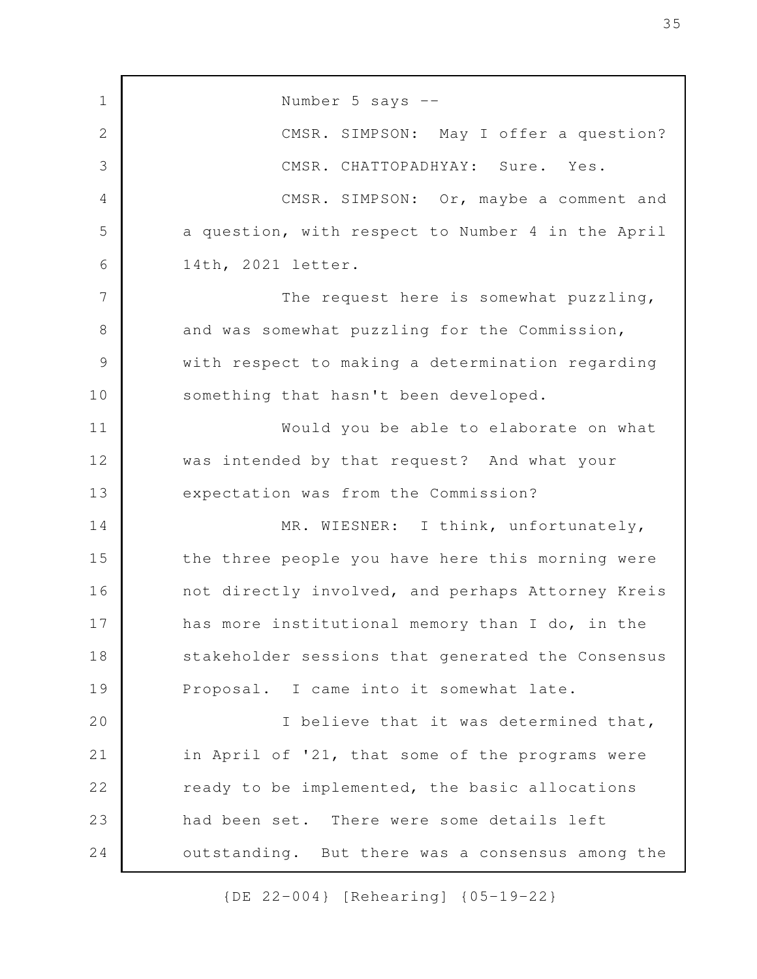Number 5 says -- CMSR. SIMPSON: May I offer a question? CMSR. CHATTOPADHYAY: Sure. Yes. CMSR. SIMPSON: Or, maybe a comment and a question, with respect to Number 4 in the April 14th, 2021 letter. The request here is somewhat puzzling, and was somewhat puzzling for the Commission, with respect to making a determination regarding something that hasn't been developed. Would you be able to elaborate on what was intended by that request? And what your expectation was from the Commission? MR. WIESNER: I think, unfortunately, the three people you have here this morning were not directly involved, and perhaps Attorney Kreis has more institutional memory than I do, in the stakeholder sessions that generated the Consensus Proposal. I came into it somewhat late. I believe that it was determined that, in April of '21, that some of the programs were ready to be implemented, the basic allocations had been set. There were some details left outstanding. But there was a consensus among the 1 2 3 4 5 6 7 8 9 10 11 12 13 14 15 16 17 18 19 20 21 22 23 24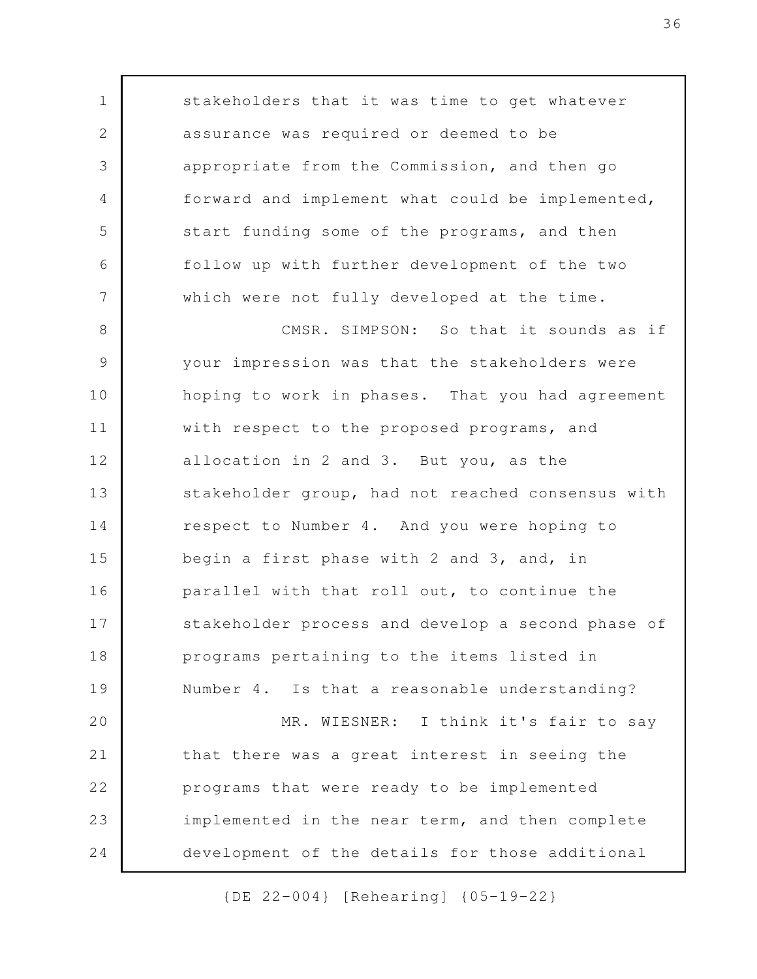stakeholders that it was time to get whatever assurance was required or deemed to be appropriate from the Commission, and then go forward and implement what could be implemented, start funding some of the programs, and then follow up with further development of the two which were not fully developed at the time. CMSR. SIMPSON: So that it sounds as if your impression was that the stakeholders were hoping to work in phases. That you had agreement with respect to the proposed programs, and allocation in 2 and 3. But you, as the stakeholder group, had not reached consensus with respect to Number 4. And you were hoping to begin a first phase with 2 and 3, and, in parallel with that roll out, to continue the stakeholder process and develop a second phase of programs pertaining to the items listed in Number 4. Is that a reasonable understanding? MR. WIESNER: I think it's fair to say that there was a great interest in seeing the programs that were ready to be implemented implemented in the near term, and then complete development of the details for those additional 1 2 3 4 5 6 7 8 9 10 11 12 13 14 15 16 17 18 19 20 21 22 23 24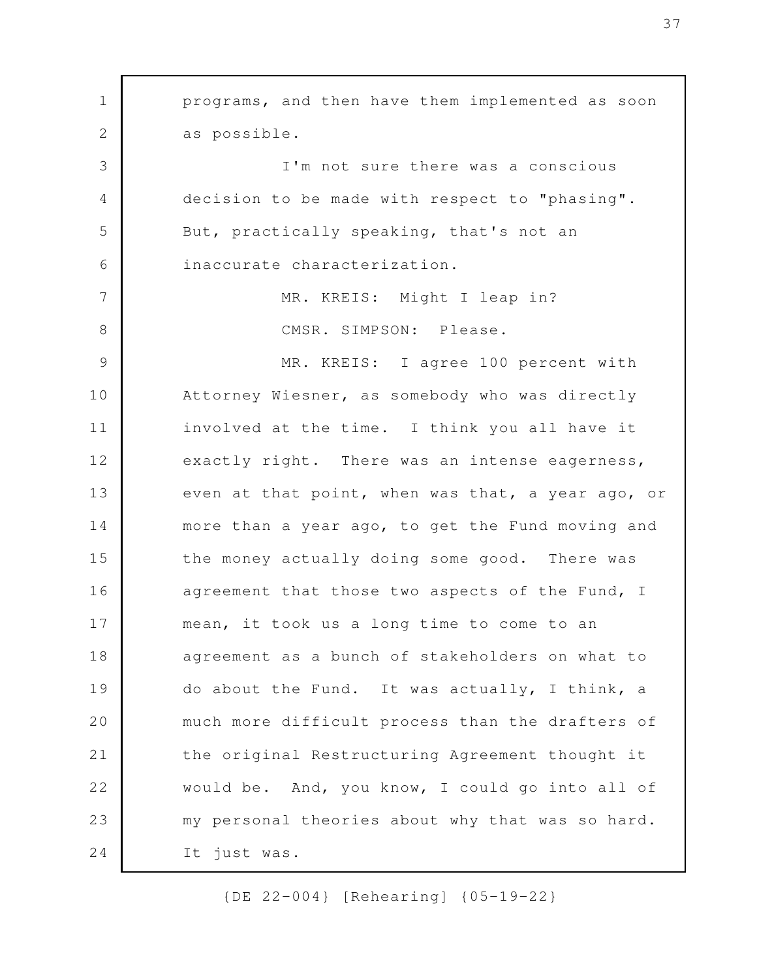programs, and then have them implemented as soon as possible. I'm not sure there was a conscious decision to be made with respect to "phasing". But, practically speaking, that's not an inaccurate characterization. MR. KREIS: Might I leap in? CMSR. SIMPSON: Please. MR. KREIS: I agree 100 percent with Attorney Wiesner, as somebody who was directly involved at the time. I think you all have it exactly right. There was an intense eagerness, even at that point, when was that, a year ago, or more than a year ago, to get the Fund moving and the money actually doing some good. There was agreement that those two aspects of the Fund, I mean, it took us a long time to come to an agreement as a bunch of stakeholders on what to do about the Fund. It was actually, I think, a much more difficult process than the drafters of the original Restructuring Agreement thought it would be. And, you know, I could go into all of my personal theories about why that was so hard. It just was. 1 2 3 4 5 6 7 8 9 10 11 12 13 14 15 16 17 18 19 20 21 22 23 24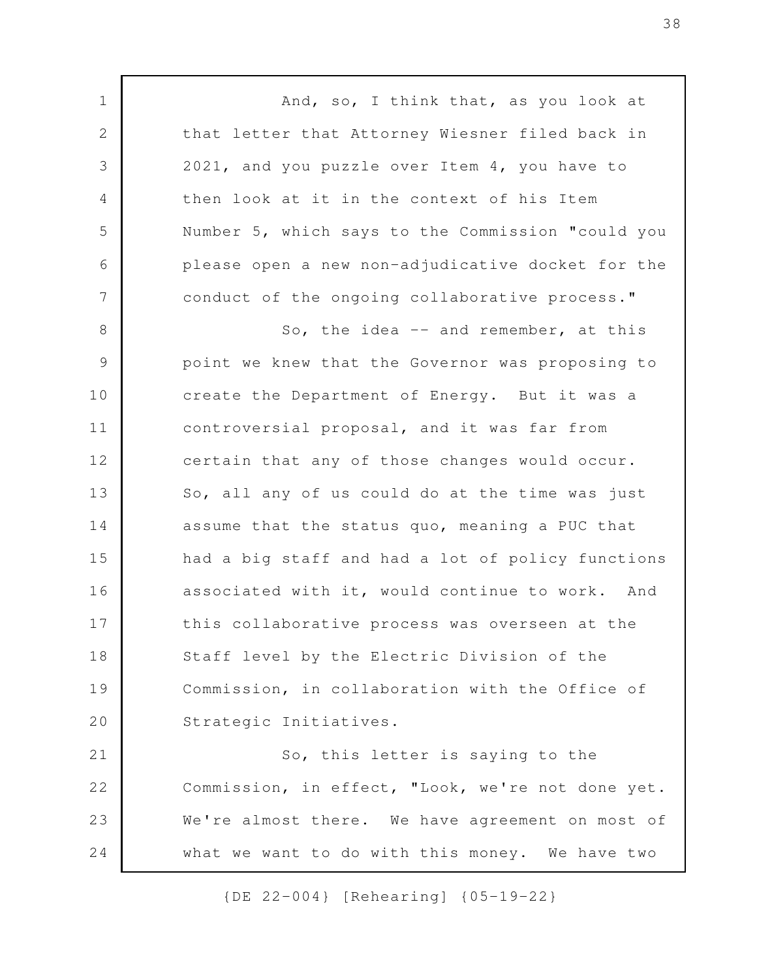And, so, I think that, as you look at that letter that Attorney Wiesner filed back in 2021, and you puzzle over Item 4, you have to then look at it in the context of his Item Number 5, which says to the Commission "could you please open a new non-adjudicative docket for the conduct of the ongoing collaborative process." So, the idea  $-$  and remember, at this point we knew that the Governor was proposing to create the Department of Energy. But it was a controversial proposal, and it was far from certain that any of those changes would occur. So, all any of us could do at the time was just assume that the status quo, meaning a PUC that had a big staff and had a lot of policy functions associated with it, would continue to work. And this collaborative process was overseen at the Staff level by the Electric Division of the Commission, in collaboration with the Office of Strategic Initiatives. So, this letter is saying to the Commission, in effect, "Look, we're not done yet. We're almost there. We have agreement on most of what we want to do with this money. We have two 1 2 3 4 5 6 7 8 9 10 11 12 13 14 15 16 17 18 19 20 21 22 23 24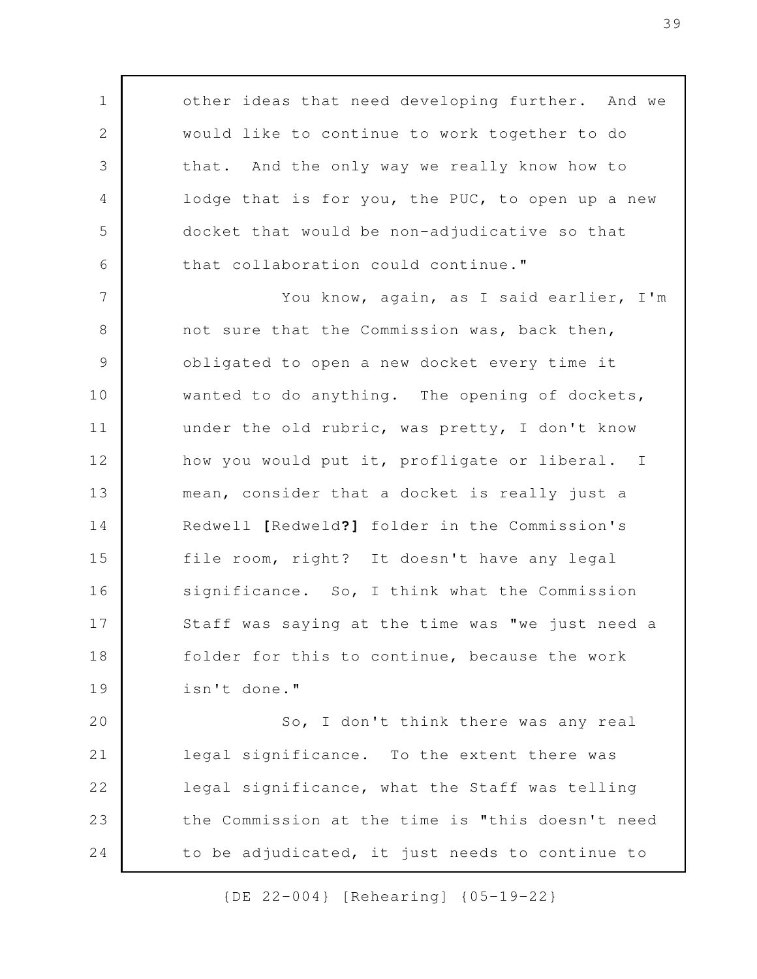other ideas that need developing further. And we would like to continue to work together to do that. And the only way we really know how to lodge that is for you, the PUC, to open up a new docket that would be non-adjudicative so that that collaboration could continue." You know, again, as I said earlier, I'm not sure that the Commission was, back then, obligated to open a new docket every time it wanted to do anything. The opening of dockets, under the old rubric, was pretty, I don't know how you would put it, profligate or liberal. I mean, consider that a docket is really just a Redwell **[**Redweld**?]** folder in the Commission's file room, right? It doesn't have any legal significance. So, I think what the Commission Staff was saying at the time was "we just need a folder for this to continue, because the work isn't done." So, I don't think there was any real 1 2 3 4 5 6 7 8 9 10 11 12 13 14 15 16 17 18 19 20 21

legal significance. To the extent there was legal significance, what the Staff was telling the Commission at the time is "this doesn't need to be adjudicated, it just needs to continue to 22 23 24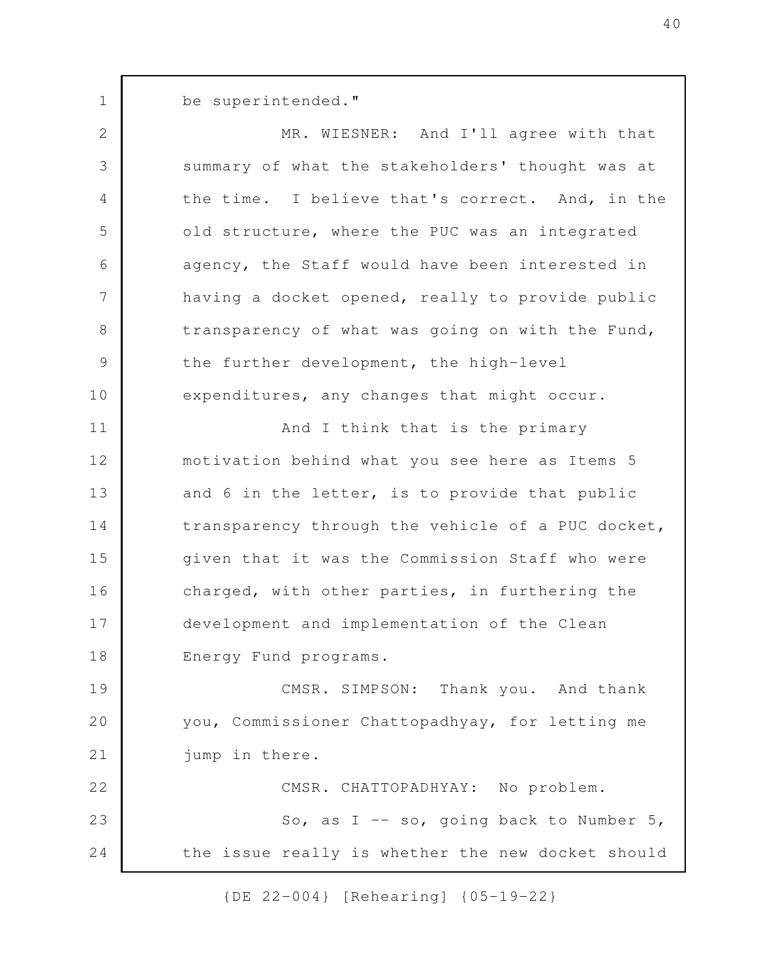be superintended."

1

MR. WIESNER: And I'll agree with that summary of what the stakeholders' thought was at the time. I believe that's correct. And, in the old structure, where the PUC was an integrated agency, the Staff would have been interested in having a docket opened, really to provide public transparency of what was going on with the Fund, the further development, the high-level expenditures, any changes that might occur. And I think that is the primary motivation behind what you see here as Items 5 and 6 in the letter, is to provide that public transparency through the vehicle of a PUC docket, given that it was the Commission Staff who were charged, with other parties, in furthering the development and implementation of the Clean Energy Fund programs. CMSR. SIMPSON: Thank you. And thank you, Commissioner Chattopadhyay, for letting me jump in there. 2 3 4 5 6 7 8 9 10 11 12 13 14 15 16 17 18 19 20 21

CMSR. CHATTOPADHYAY: No problem. So, as  $I$  -- so, going back to Number 5, the issue really is whether the new docket should 22 23 24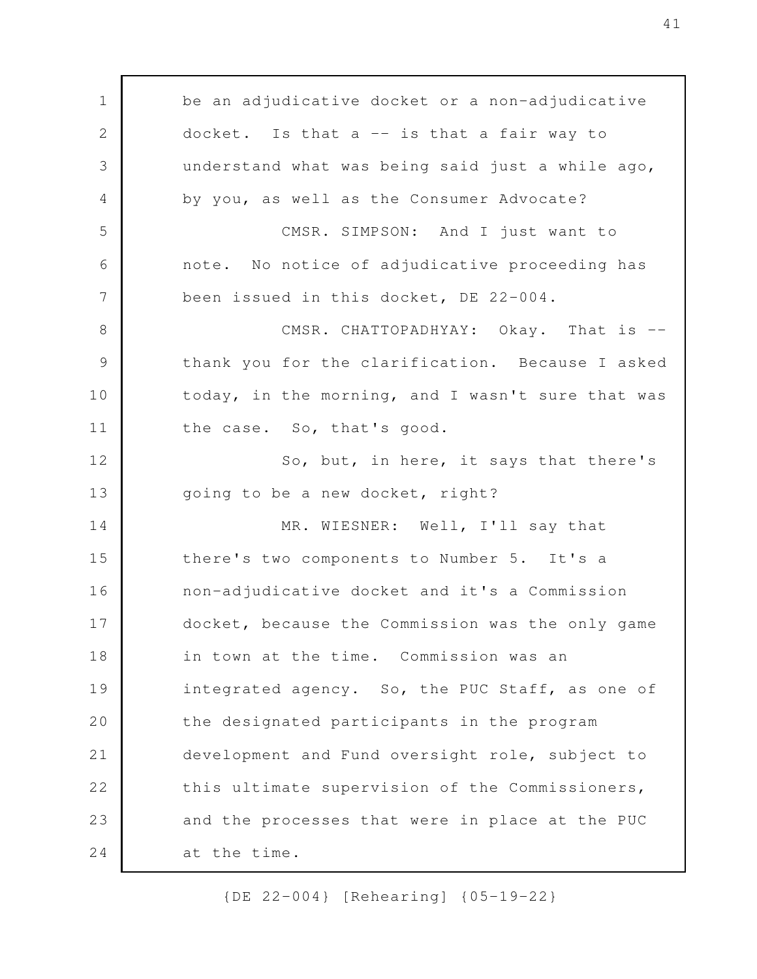be an adjudicative docket or a non-adjudicative docket. Is that  $a$  -- is that a fair way to understand what was being said just a while ago, by you, as well as the Consumer Advocate? CMSR. SIMPSON: And I just want to note. No notice of adjudicative proceeding has been issued in this docket, DE 22-004. CMSR. CHATTOPADHYAY: Okay. That is -thank you for the clarification. Because I asked today, in the morning, and I wasn't sure that was the case. So, that's good. So, but, in here, it says that there's going to be a new docket, right? MR. WIESNER: Well, I'll say that there's two components to Number 5. It's a non-adjudicative docket and it's a Commission docket, because the Commission was the only game in town at the time. Commission was an integrated agency. So, the PUC Staff, as one of the designated participants in the program development and Fund oversight role, subject to this ultimate supervision of the Commissioners, and the processes that were in place at the PUC at the time. 1 2 3 4 5 6 7 8 9 10 11 12 13 14 15 16 17 18 19 20 21 22 23 24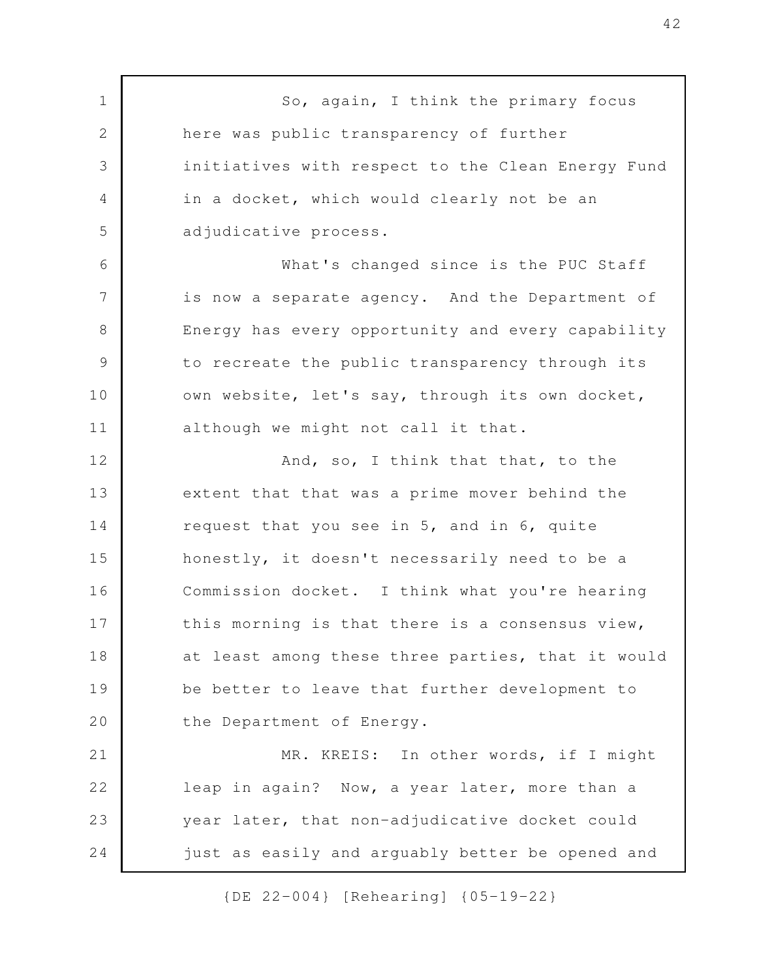So, again, I think the primary focus here was public transparency of further initiatives with respect to the Clean Energy Fund in a docket, which would clearly not be an adjudicative process. What's changed since is the PUC Staff is now a separate agency. And the Department of Energy has every opportunity and every capability to recreate the public transparency through its own website, let's say, through its own docket, although we might not call it that. And, so, I think that that, to the extent that that was a prime mover behind the request that you see in 5, and in 6, quite honestly, it doesn't necessarily need to be a Commission docket. I think what you're hearing this morning is that there is a consensus view, at least among these three parties, that it would be better to leave that further development to the Department of Energy. MR. KREIS: In other words, if I might leap in again? Now, a year later, more than a year later, that non-adjudicative docket could just as easily and arguably better be opened and 1 2 3 4 5 6 7 8 9 10 11 12 13 14 15 16 17 18 19 20 21 22 23 24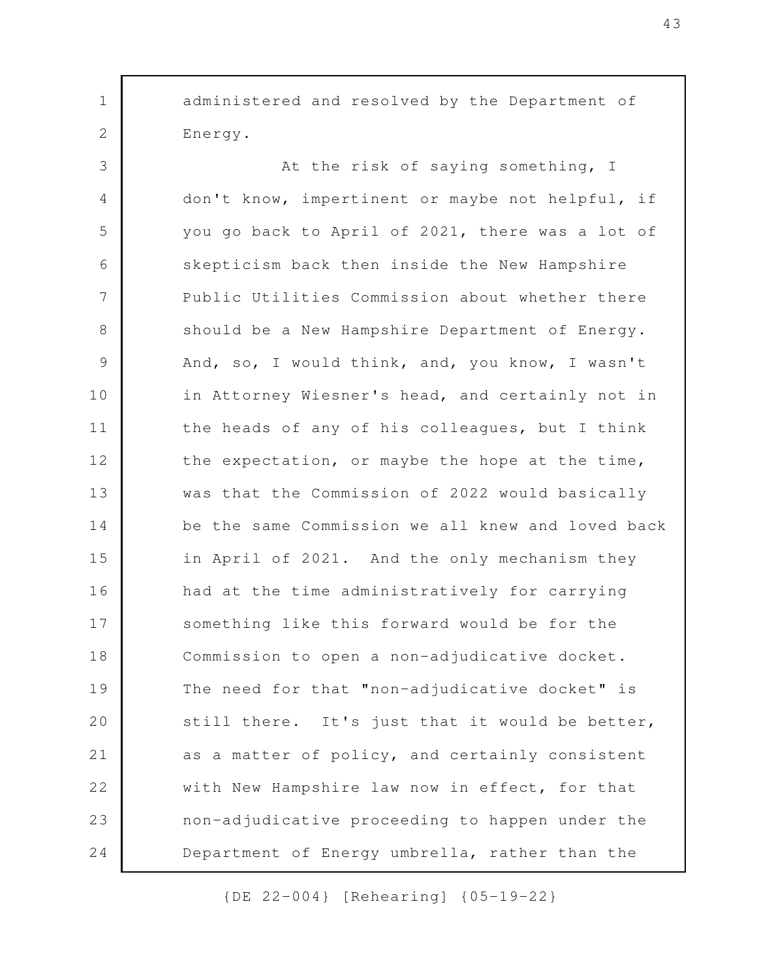administered and resolved by the Department of Energy.

1

2

At the risk of saying something, I don't know, impertinent or maybe not helpful, if you go back to April of 2021, there was a lot of skepticism back then inside the New Hampshire Public Utilities Commission about whether there should be a New Hampshire Department of Energy. And, so, I would think, and, you know, I wasn't in Attorney Wiesner's head, and certainly not in the heads of any of his colleagues, but I think the expectation, or maybe the hope at the time, was that the Commission of 2022 would basically be the same Commission we all knew and loved back in April of 2021. And the only mechanism they had at the time administratively for carrying something like this forward would be for the Commission to open a non-adjudicative docket. The need for that "non-adjudicative docket" is still there. It's just that it would be better, as a matter of policy, and certainly consistent with New Hampshire law now in effect, for that non-adjudicative proceeding to happen under the Department of Energy umbrella, rather than the 3 4 5 6 7 8 9 10 11 12 13 14 15 16 17 18 19 20 21 22 23 24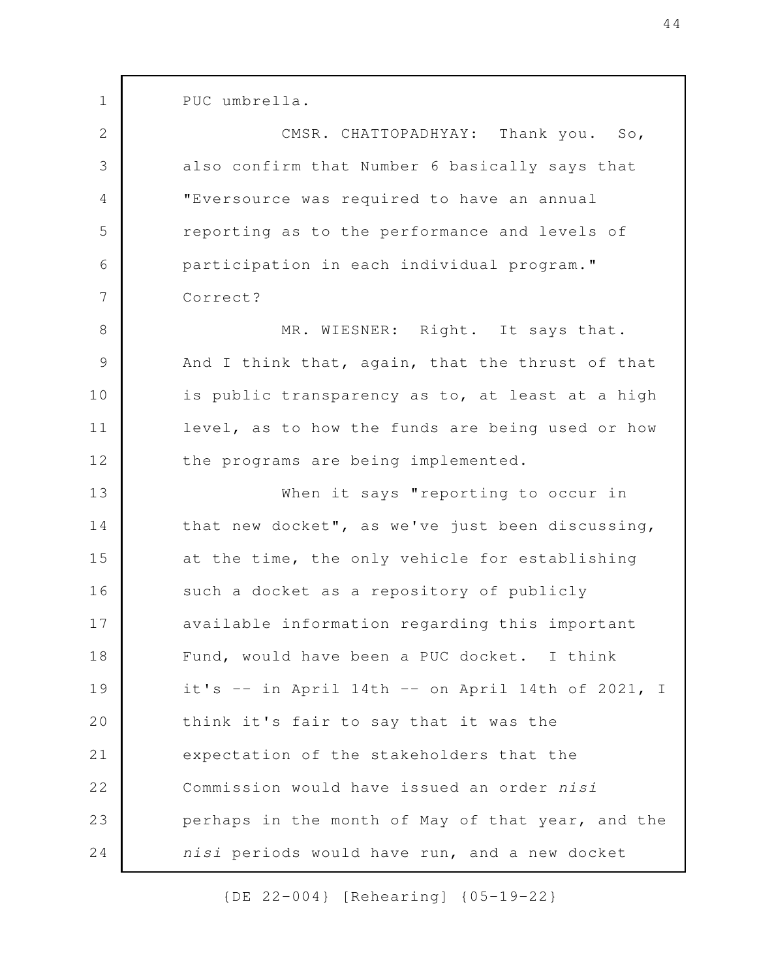PUC umbrella.

1

2

3

4

5

6

7

CMSR. CHATTOPADHYAY: Thank you. So, also confirm that Number 6 basically says that "Eversource was required to have an annual reporting as to the performance and levels of participation in each individual program." Correct?

MR. WIESNER: Right. It says that. And I think that, again, that the thrust of that is public transparency as to, at least at a high level, as to how the funds are being used or how the programs are being implemented. 8 9 10 11 12

When it says "reporting to occur in that new docket", as we've just been discussing, at the time, the only vehicle for establishing such a docket as a repository of publicly available information regarding this important Fund, would have been a PUC docket. I think it's -- in April 14th -- on April 14th of 2021, I think it's fair to say that it was the expectation of the stakeholders that the Commission would have issued an order *nisi* perhaps in the month of May of that year, and the *nisi* periods would have run, and a new docket 13 14 15 16 17 18 19 20 21 22 23 24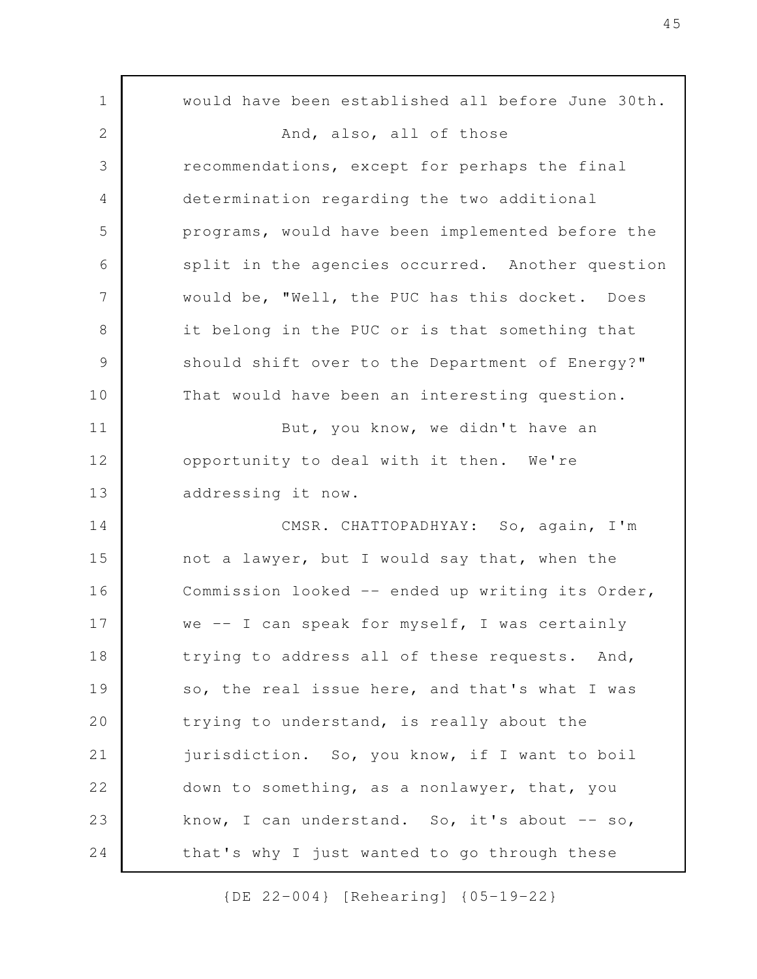would have been established all before June 30th. And, also, all of those recommendations, except for perhaps the final determination regarding the two additional programs, would have been implemented before the split in the agencies occurred. Another question would be, "Well, the PUC has this docket. Does it belong in the PUC or is that something that should shift over to the Department of Energy?" That would have been an interesting question. But, you know, we didn't have an opportunity to deal with it then. We're addressing it now. CMSR. CHATTOPADHYAY: So, again, I'm not a lawyer, but I would say that, when the Commission looked -- ended up writing its Order, we -- I can speak for myself, I was certainly trying to address all of these requests. And, so, the real issue here, and that's what I was trying to understand, is really about the jurisdiction. So, you know, if I want to boil down to something, as a nonlawyer, that, you know, I can understand. So, it's about  $-$  so, that's why I just wanted to go through these 1 2 3 4 5 6 7 8 9 10 11 12 13 14 15 16 17 18 19 20 21 22 23 24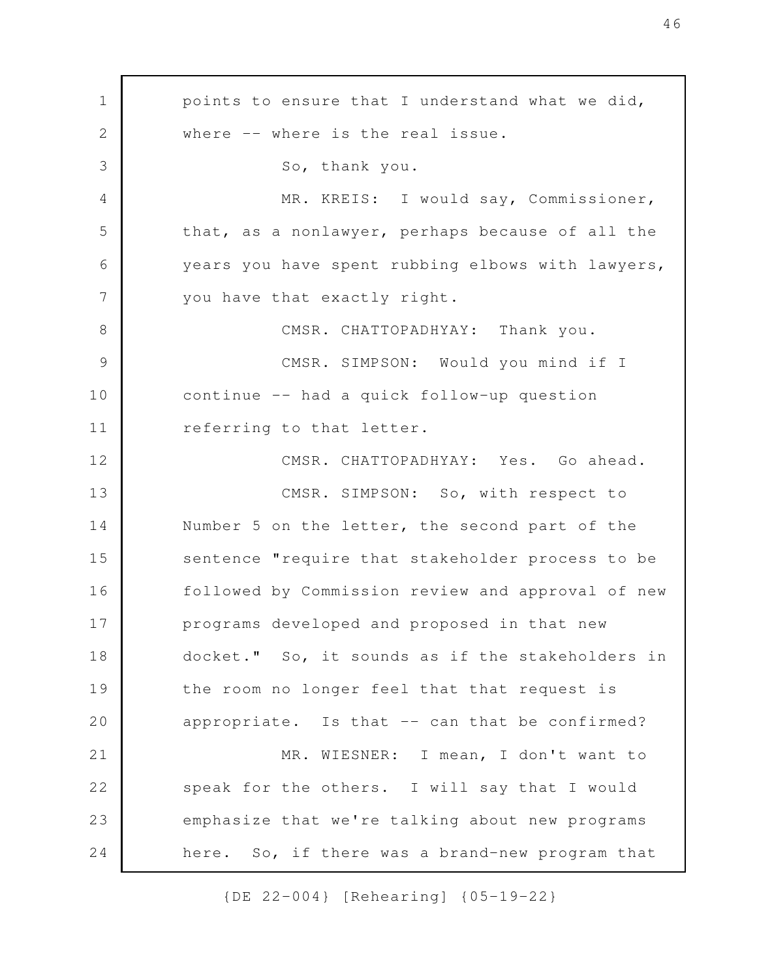points to ensure that I understand what we did, where -- where is the real issue. So, thank you. MR. KREIS: I would say, Commissioner, that, as a nonlawyer, perhaps because of all the years you have spent rubbing elbows with lawyers, you have that exactly right. CMSR. CHATTOPADHYAY: Thank you. CMSR. SIMPSON: Would you mind if I continue -- had a quick follow-up question referring to that letter. CMSR. CHATTOPADHYAY: Yes. Go ahead. CMSR. SIMPSON: So, with respect to Number 5 on the letter, the second part of the sentence "require that stakeholder process to be followed by Commission review and approval of new programs developed and proposed in that new docket." So, it sounds as if the stakeholders in the room no longer feel that that request is appropriate. Is that -- can that be confirmed? MR. WIESNER: I mean, I don't want to speak for the others. I will say that I would emphasize that we're talking about new programs here. So, if there was a brand-new program that 1 2 3 4 5 6 7 8 9 10 11 12 13 14 15 16 17 18 19 20 21 22 23 24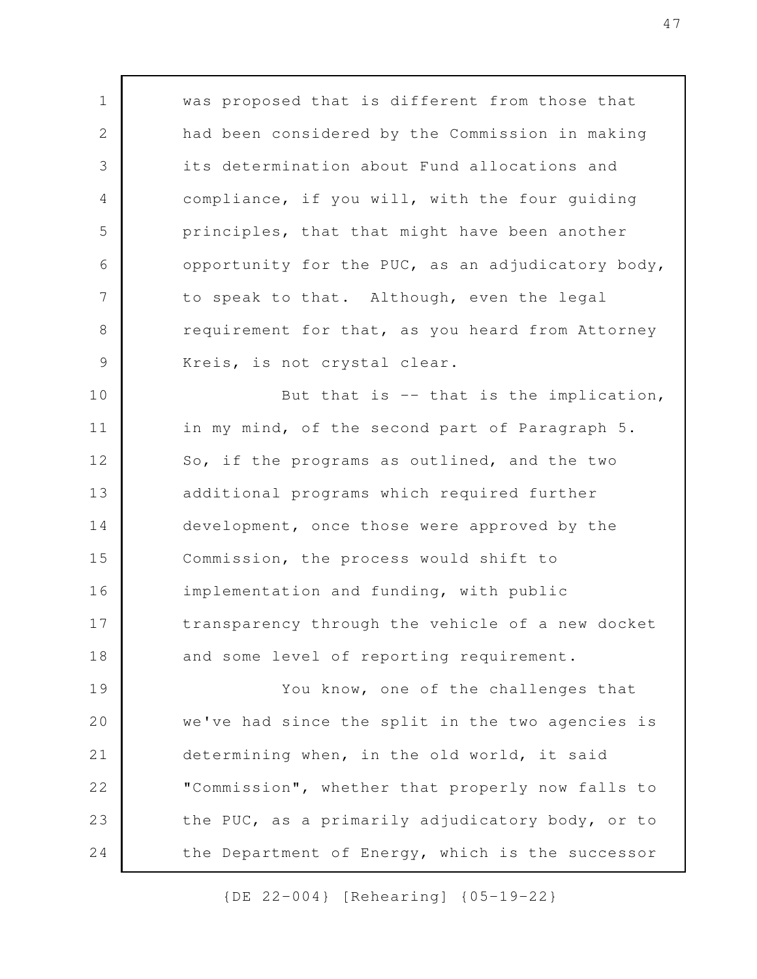was proposed that is different from those that had been considered by the Commission in making its determination about Fund allocations and compliance, if you will, with the four guiding principles, that that might have been another opportunity for the PUC, as an adjudicatory body, to speak to that. Although, even the legal requirement for that, as you heard from Attorney Kreis, is not crystal clear. But that is  $-$  that is the implication, in my mind, of the second part of Paragraph 5. So, if the programs as outlined, and the two additional programs which required further development, once those were approved by the Commission, the process would shift to implementation and funding, with public transparency through the vehicle of a new docket and some level of reporting requirement. You know, one of the challenges that we've had since the split in the two agencies is determining when, in the old world, it said "Commission", whether that properly now falls to the PUC, as a primarily adjudicatory body, or to the Department of Energy, which is the successor 1 2 3 4 5 6 7 8 9 10 11 12 13 14 15 16 17 18 19 20 21 22 23 24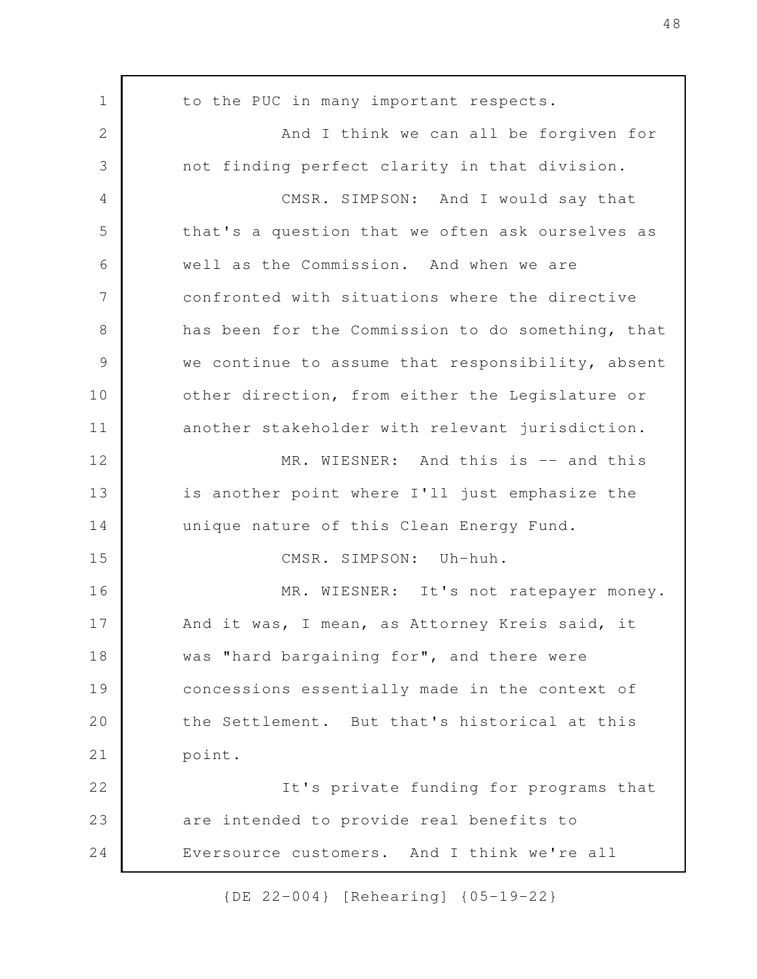to the PUC in many important respects. And I think we can all be forgiven for not finding perfect clarity in that division. CMSR. SIMPSON: And I would say that that's a question that we often ask ourselves as well as the Commission. And when we are confronted with situations where the directive has been for the Commission to do something, that we continue to assume that responsibility, absent other direction, from either the Legislature or another stakeholder with relevant jurisdiction. MR. WIESNER: And this is -- and this is another point where I'll just emphasize the unique nature of this Clean Energy Fund. CMSR. SIMPSON: Uh-huh. MR. WIESNER: It's not ratepayer money. And it was, I mean, as Attorney Kreis said, it was "hard bargaining for", and there were concessions essentially made in the context of the Settlement. But that's historical at this point. It's private funding for programs that are intended to provide real benefits to Eversource customers. And I think we're all 1 2 3 4 5 6 7 8 9 10 11 12 13 14 15 16 17 18 19 20 21 22 23 24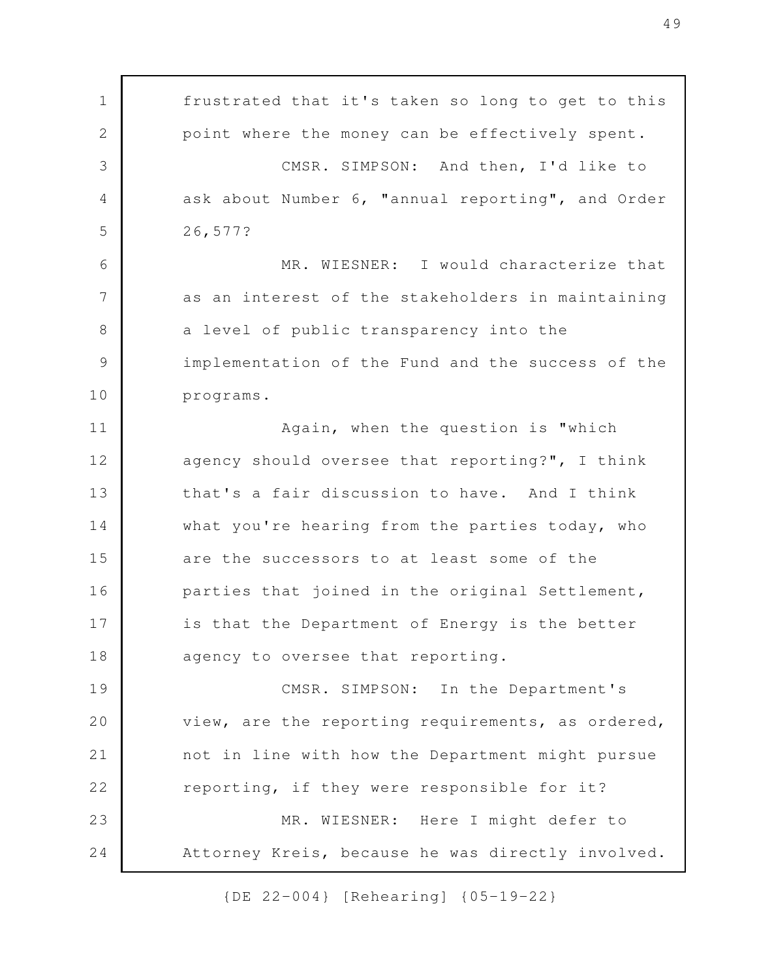frustrated that it's taken so long to get to this point where the money can be effectively spent. CMSR. SIMPSON: And then, I'd like to ask about Number 6, "annual reporting", and Order 26,577? MR. WIESNER: I would characterize that as an interest of the stakeholders in maintaining a level of public transparency into the implementation of the Fund and the success of the programs. Again, when the question is "which agency should oversee that reporting?", I think that's a fair discussion to have. And I think what you're hearing from the parties today, who are the successors to at least some of the parties that joined in the original Settlement, is that the Department of Energy is the better agency to oversee that reporting. CMSR. SIMPSON: In the Department's view, are the reporting requirements, as ordered, not in line with how the Department might pursue reporting, if they were responsible for it? MR. WIESNER: Here I might defer to Attorney Kreis, because he was directly involved. 1 2 3 4 5 6 7 8 9 10 11 12 13 14 15 16 17 18 19 20 21 22 23 24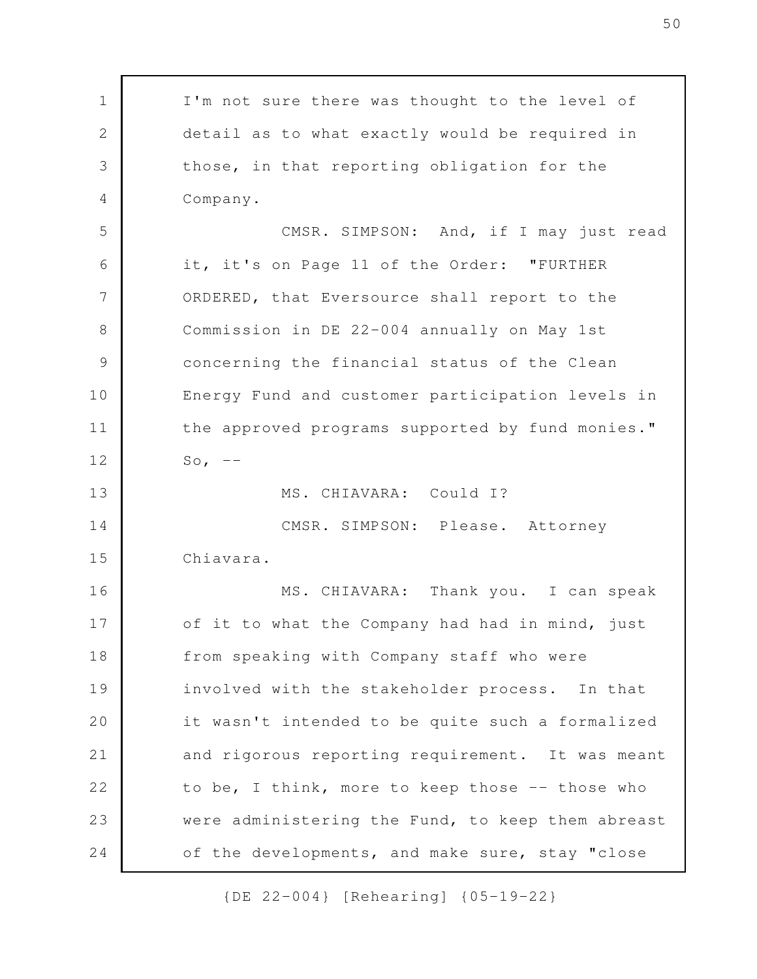I'm not sure there was thought to the level of detail as to what exactly would be required in those, in that reporting obligation for the Company. CMSR. SIMPSON: And, if I may just read it, it's on Page 11 of the Order: "FURTHER ORDERED, that Eversource shall report to the Commission in DE 22-004 annually on May 1st concerning the financial status of the Clean Energy Fund and customer participation levels in the approved programs supported by fund monies." So,  $--$ MS. CHIAVARA: Could I? CMSR. SIMPSON: Please. Attorney Chiavara. MS. CHIAVARA: Thank you. I can speak of it to what the Company had had in mind, just from speaking with Company staff who were involved with the stakeholder process. In that it wasn't intended to be quite such a formalized and rigorous reporting requirement. It was meant to be, I think, more to keep those -- those who were administering the Fund, to keep them abreast of the developments, and make sure, stay "close 1 2 3 4 5 6 7 8 9 10 11 12 13 14 15 16 17 18 19 20 21 22 23 24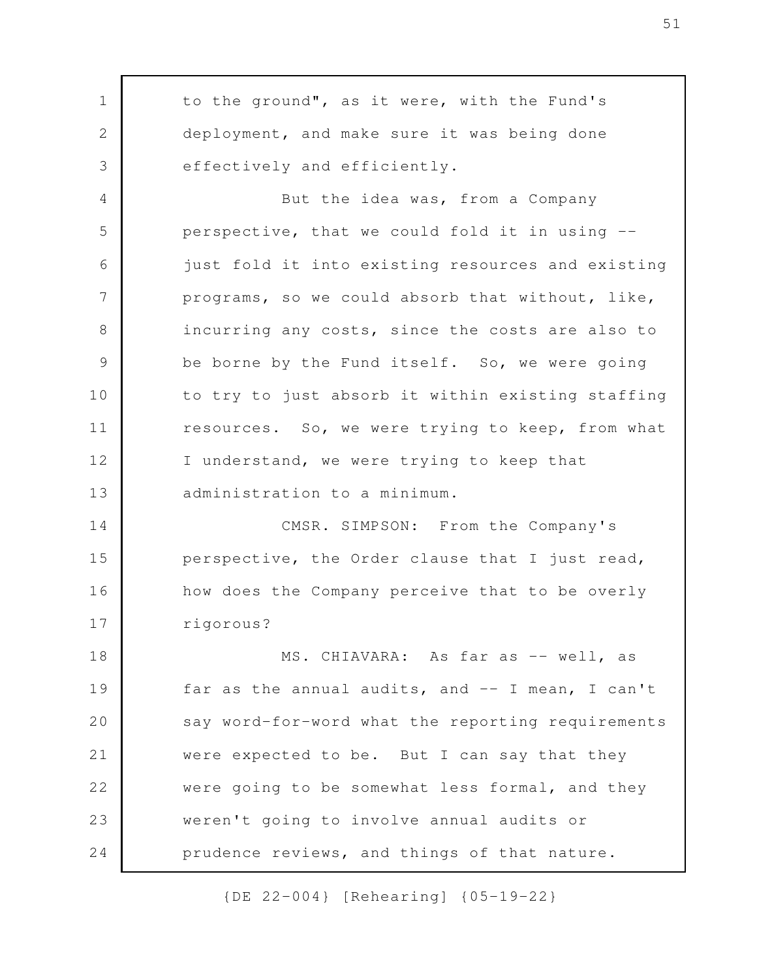to the ground", as it were, with the Fund's deployment, and make sure it was being done effectively and efficiently. But the idea was, from a Company perspective, that we could fold it in using - just fold it into existing resources and existing programs, so we could absorb that without, like, incurring any costs, since the costs are also to be borne by the Fund itself. So, we were going to try to just absorb it within existing staffing resources. So, we were trying to keep, from what I understand, we were trying to keep that administration to a minimum. CMSR. SIMPSON: From the Company's perspective, the Order clause that I just read, how does the Company perceive that to be overly rigorous? MS. CHIAVARA: As far as -- well, as far as the annual audits, and -- I mean, I can't say word-for-word what the reporting requirements were expected to be. But I can say that they were going to be somewhat less formal, and they weren't going to involve annual audits or prudence reviews, and things of that nature. 1 2 3 4 5 6 7 8 9 10 11 12 13 14 15 16 17 18 19 20 21 22 23 24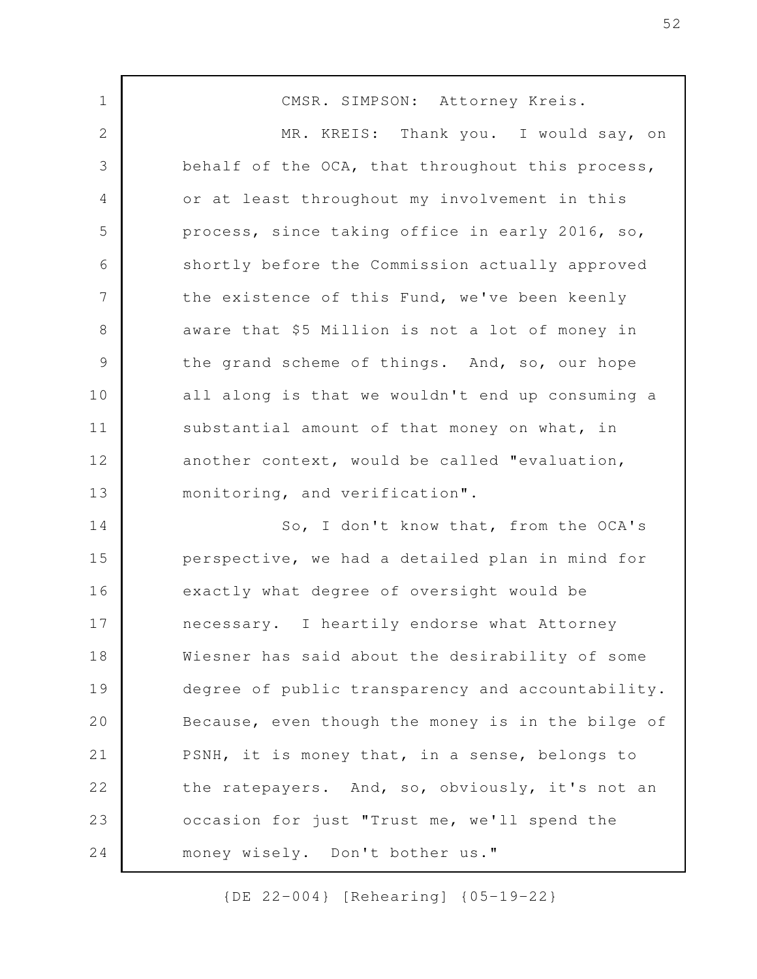CMSR. SIMPSON: Attorney Kreis. MR. KREIS: Thank you. I would say, on behalf of the OCA, that throughout this process, or at least throughout my involvement in this process, since taking office in early 2016, so, shortly before the Commission actually approved the existence of this Fund, we've been keenly aware that \$5 Million is not a lot of money in the grand scheme of things. And, so, our hope all along is that we wouldn't end up consuming a substantial amount of that money on what, in another context, would be called "evaluation, monitoring, and verification". So, I don't know that, from the OCA's perspective, we had a detailed plan in mind for exactly what degree of oversight would be necessary. I heartily endorse what Attorney Wiesner has said about the desirability of some degree of public transparency and accountability. Because, even though the money is in the bilge of PSNH, it is money that, in a sense, belongs to the ratepayers. And, so, obviously, it's not an occasion for just "Trust me, we'll spend the money wisely. Don't bother us." 1 2 3 4 5 6 7 8 9 10 11 12 13 14 15 16 17 18 19 20 21 22 23 24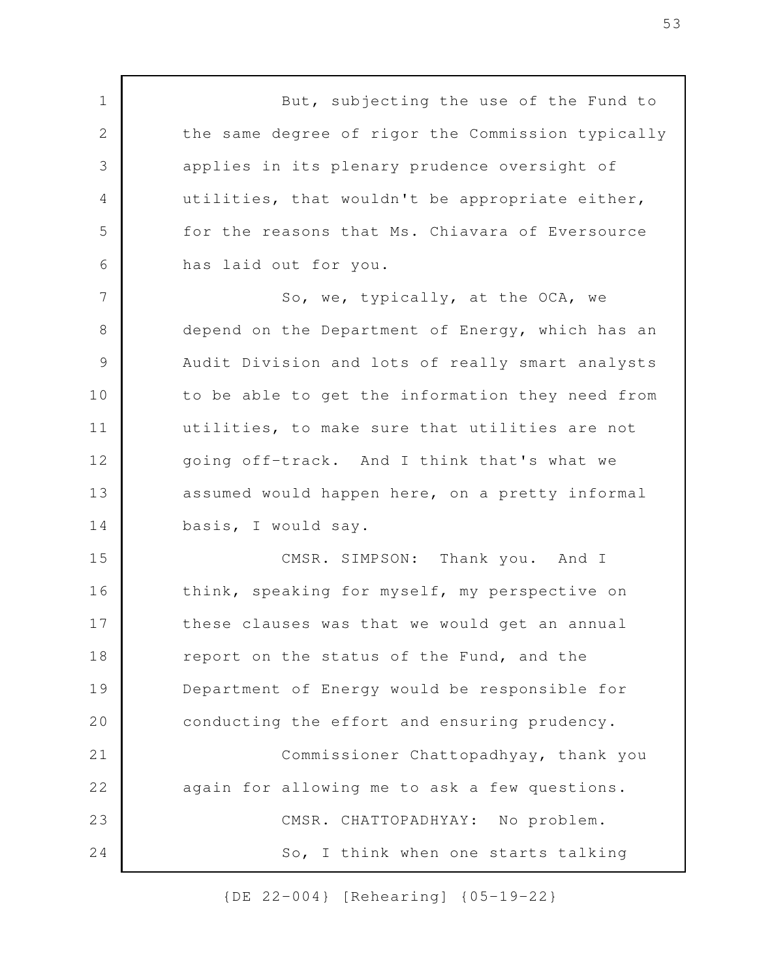But, subjecting the use of the Fund to the same degree of rigor the Commission typically applies in its plenary prudence oversight of utilities, that wouldn't be appropriate either, for the reasons that Ms. Chiavara of Eversource has laid out for you.

1

2

3

4

5

6

So, we, typically, at the OCA, we depend on the Department of Energy, which has an Audit Division and lots of really smart analysts to be able to get the information they need from utilities, to make sure that utilities are not going off-track. And I think that's what we assumed would happen here, on a pretty informal basis, I would say. 7 8 9 10 11 12 13 14

CMSR. SIMPSON: Thank you. And I think, speaking for myself, my perspective on these clauses was that we would get an annual report on the status of the Fund, and the Department of Energy would be responsible for conducting the effort and ensuring prudency. Commissioner Chattopadhyay, thank you again for allowing me to ask a few questions. CMSR. CHATTOPADHYAY: No problem. So, I think when one starts talking 15 16 17 18 19 20 21 22 23 24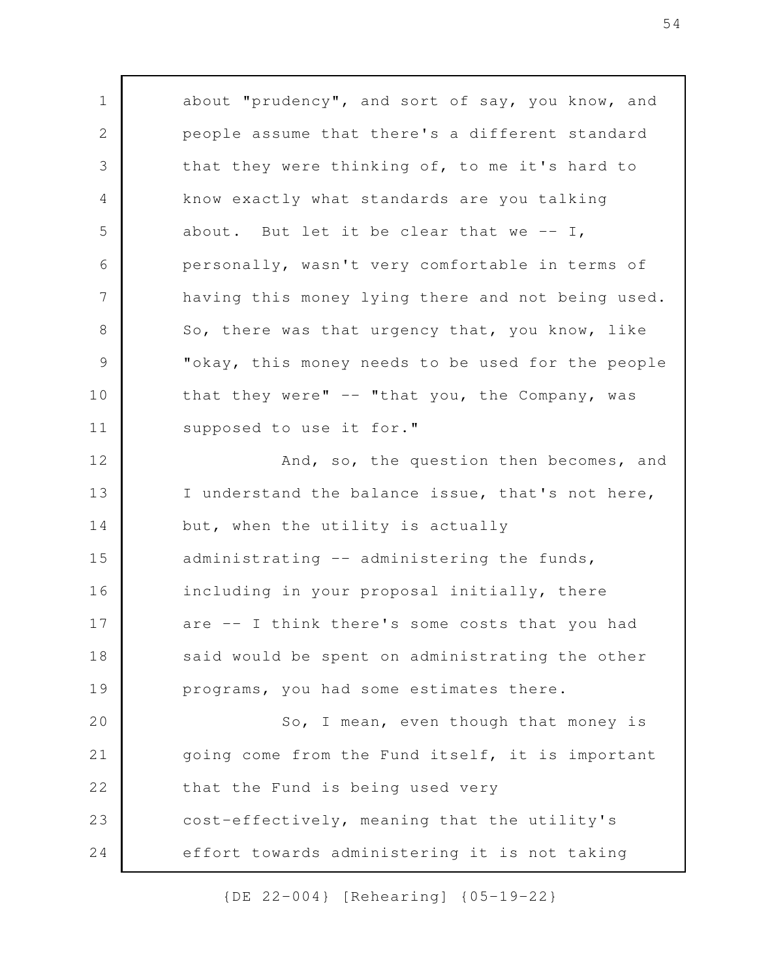about "prudency", and sort of say, you know, and people assume that there's a different standard that they were thinking of, to me it's hard to know exactly what standards are you talking about. But let it be clear that we  $--$  I, personally, wasn't very comfortable in terms of having this money lying there and not being used. So, there was that urgency that, you know, like "okay, this money needs to be used for the people that they were" -- "that you, the Company, was supposed to use it for." And, so, the question then becomes, and I understand the balance issue, that's not here, but, when the utility is actually administrating -- administering the funds, including in your proposal initially, there are -- I think there's some costs that you had said would be spent on administrating the other programs, you had some estimates there. So, I mean, even though that money is going come from the Fund itself, it is important that the Fund is being used very cost-effectively, meaning that the utility's effort towards administering it is not taking 1 2 3 4 5 6 7 8 9 10 11 12 13 14 15 16 17 18 19 20 21 22 23 24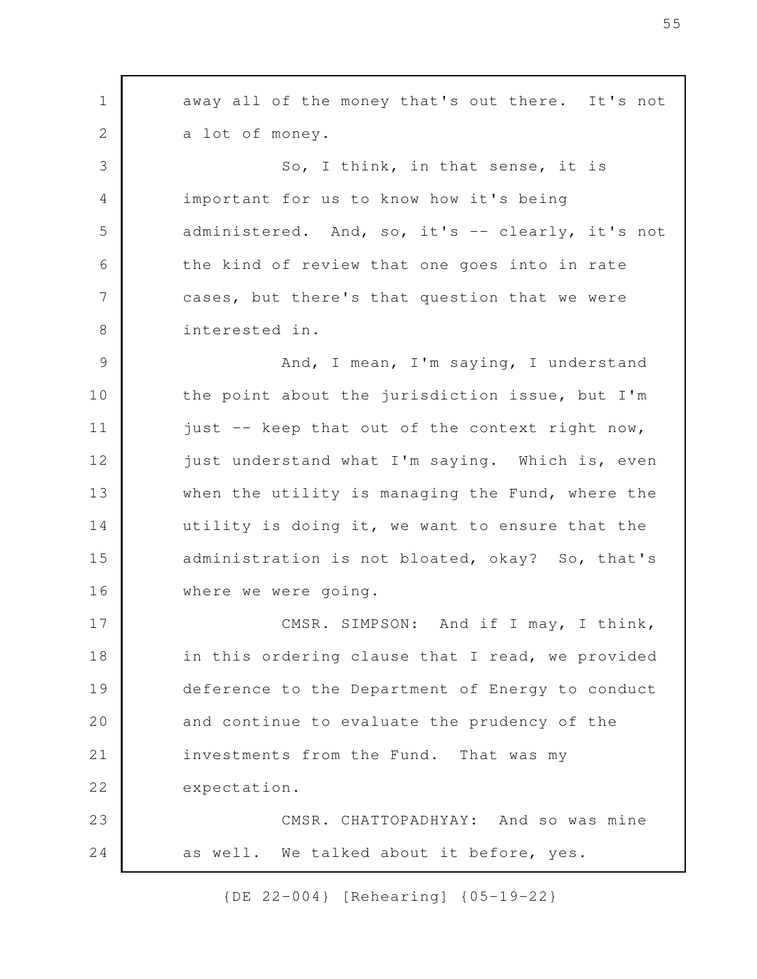away all of the money that's out there. It's not a lot of money. So, I think, in that sense, it is important for us to know how it's being administered. And, so, it's -- clearly, it's not the kind of review that one goes into in rate cases, but there's that question that we were interested in. And, I mean, I'm saying, I understand the point about the jurisdiction issue, but I'm just -- keep that out of the context right now, just understand what I'm saying. Which is, even when the utility is managing the Fund, where the utility is doing it, we want to ensure that the administration is not bloated, okay? So, that's where we were going. CMSR. SIMPSON: And if I may, I think, in this ordering clause that I read, we provided deference to the Department of Energy to conduct and continue to evaluate the prudency of the investments from the Fund. That was my expectation. CMSR. CHATTOPADHYAY: And so was mine as well. We talked about it before, yes. 1 2 3 4 5 6 7 8 9 10 11 12 13 14 15 16 17 18 19 20 21 22 23 24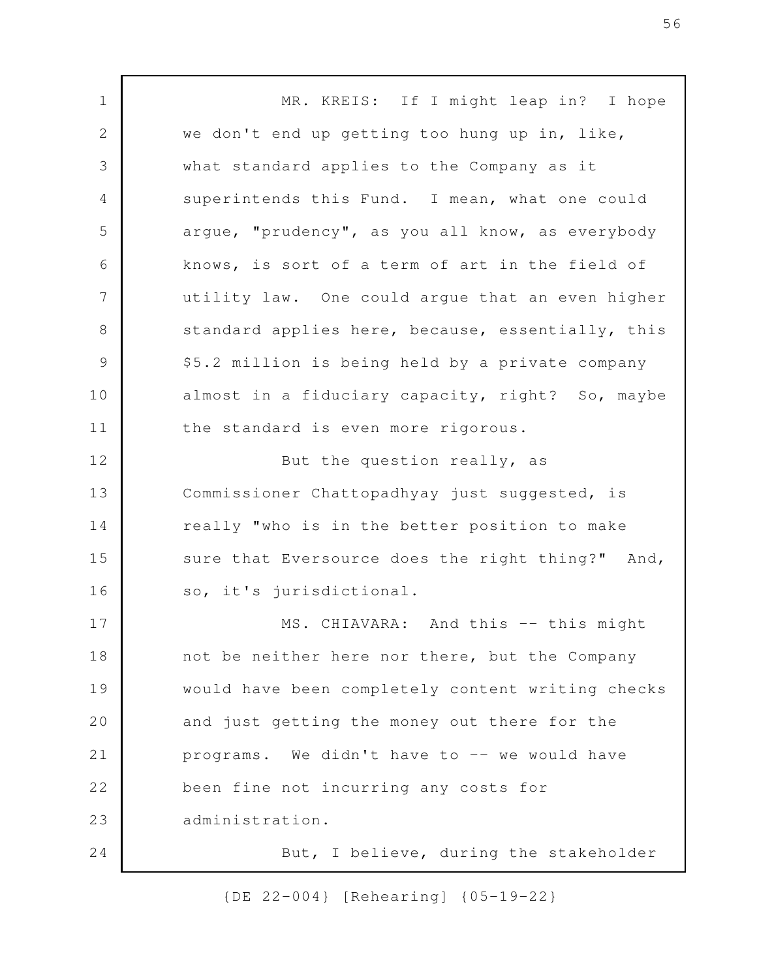MR. KREIS: If I might leap in? I hope we don't end up getting too hung up in, like, what standard applies to the Company as it superintends this Fund. I mean, what one could argue, "prudency", as you all know, as everybody knows, is sort of a term of art in the field of utility law. One could argue that an even higher standard applies here, because, essentially, this \$5.2 million is being held by a private company almost in a fiduciary capacity, right? So, maybe the standard is even more rigorous. But the question really, as Commissioner Chattopadhyay just suggested, is really "who is in the better position to make sure that Eversource does the right thing?" And, so, it's jurisdictional. MS. CHIAVARA: And this -- this might not be neither here nor there, but the Company would have been completely content writing checks and just getting the money out there for the programs. We didn't have to -- we would have been fine not incurring any costs for administration. But, I believe, during the stakeholder 1 2 3 4 5 6 7 8 9 10 11 12 13 14 15 16 17 18 19 20 21 22 23 24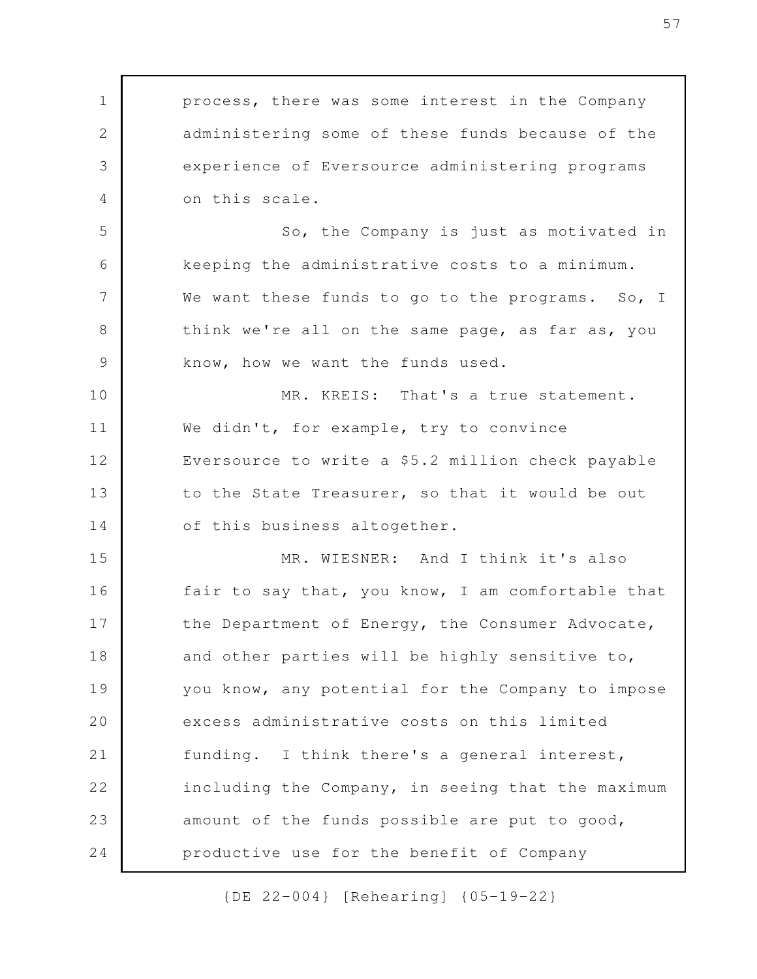process, there was some interest in the Company administering some of these funds because of the experience of Eversource administering programs on this scale. So, the Company is just as motivated in keeping the administrative costs to a minimum. We want these funds to go to the programs. So, I think we're all on the same page, as far as, you know, how we want the funds used. MR. KREIS: That's a true statement. We didn't, for example, try to convince Eversource to write a \$5.2 million check payable to the State Treasurer, so that it would be out of this business altogether. MR. WIESNER: And I think it's also fair to say that, you know, I am comfortable that the Department of Energy, the Consumer Advocate, and other parties will be highly sensitive to, you know, any potential for the Company to impose excess administrative costs on this limited funding. I think there's a general interest, including the Company, in seeing that the maximum amount of the funds possible are put to good, productive use for the benefit of Company 1 2 3 4 5 6 7 8 9 10 11 12 13 14 15 16 17 18 19 20 21 22 23 24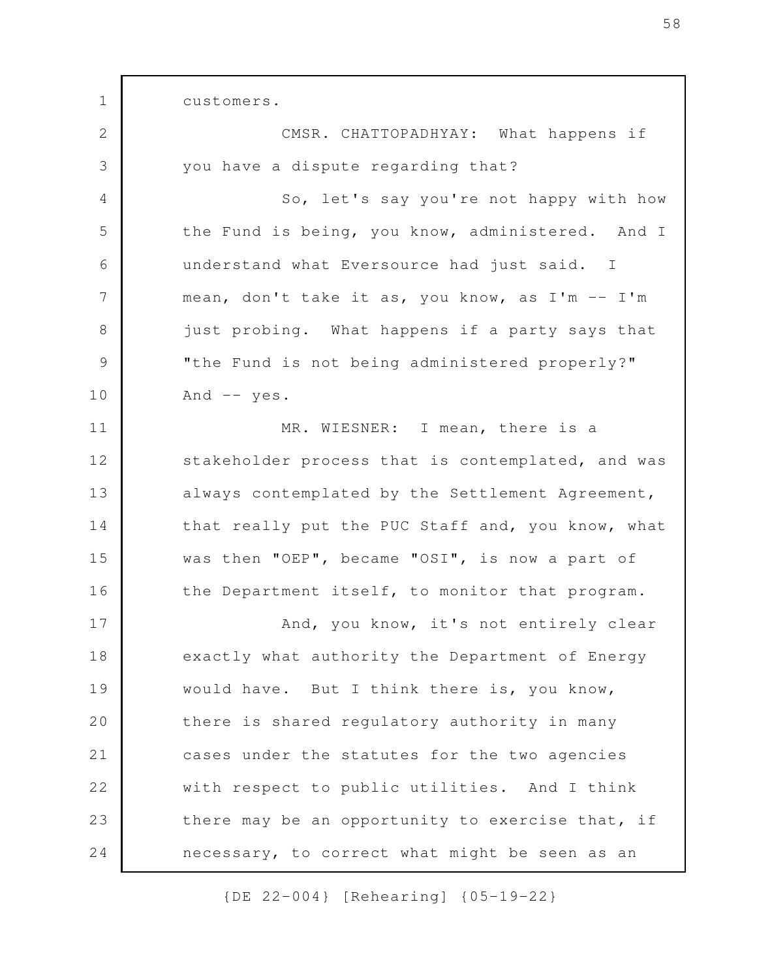customers.

1

CMSR. CHATTOPADHYAY: What happens if you have a dispute regarding that? So, let's say you're not happy with how the Fund is being, you know, administered. And I understand what Eversource had just said. I mean, don't take it as, you know, as I'm -- I'm just probing. What happens if a party says that "the Fund is not being administered properly?" And  $--$  yes. MR. WIESNER: I mean, there is a stakeholder process that is contemplated, and was always contemplated by the Settlement Agreement, that really put the PUC Staff and, you know, what was then "OEP", became "OSI", is now a part of the Department itself, to monitor that program. And, you know, it's not entirely clear exactly what authority the Department of Energy would have. But I think there is, you know, there is shared regulatory authority in many cases under the statutes for the two agencies with respect to public utilities. And I think there may be an opportunity to exercise that, if necessary, to correct what might be seen as an 2 3 4 5 6 7 8 9 10 11 12 13 14 15 16 17 18 19 20 21 22 23 24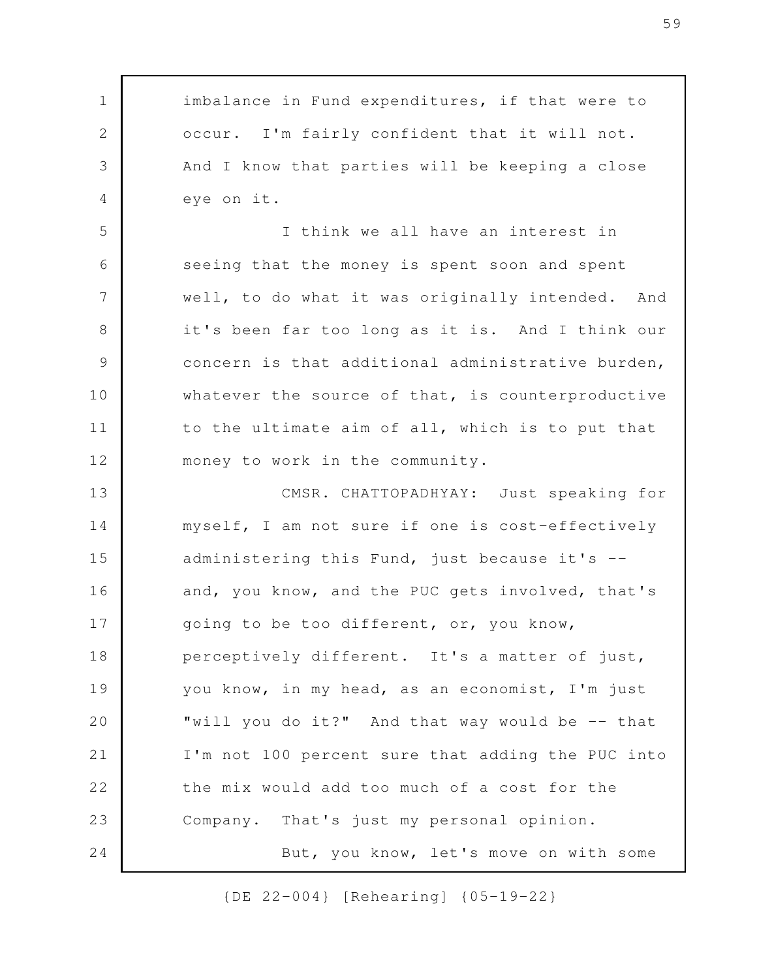imbalance in Fund expenditures, if that were to occur. I'm fairly confident that it will not. And I know that parties will be keeping a close eye on it. I think we all have an interest in seeing that the money is spent soon and spent well, to do what it was originally intended. And it's been far too long as it is. And I think our concern is that additional administrative burden, whatever the source of that, is counterproductive to the ultimate aim of all, which is to put that money to work in the community. CMSR. CHATTOPADHYAY: Just speaking for myself, I am not sure if one is cost-effectively administering this Fund, just because it's - and, you know, and the PUC gets involved, that's going to be too different, or, you know, perceptively different. It's a matter of just, you know, in my head, as an economist, I'm just "will you do it?" And that way would be -- that I'm not 100 percent sure that adding the PUC into the mix would add too much of a cost for the Company. That's just my personal opinion. But, you know, let's move on with some 1 2 3 4 5 6 7 8 9 10 11 12 13 14 15 16 17 18 19 20 21 22 23 24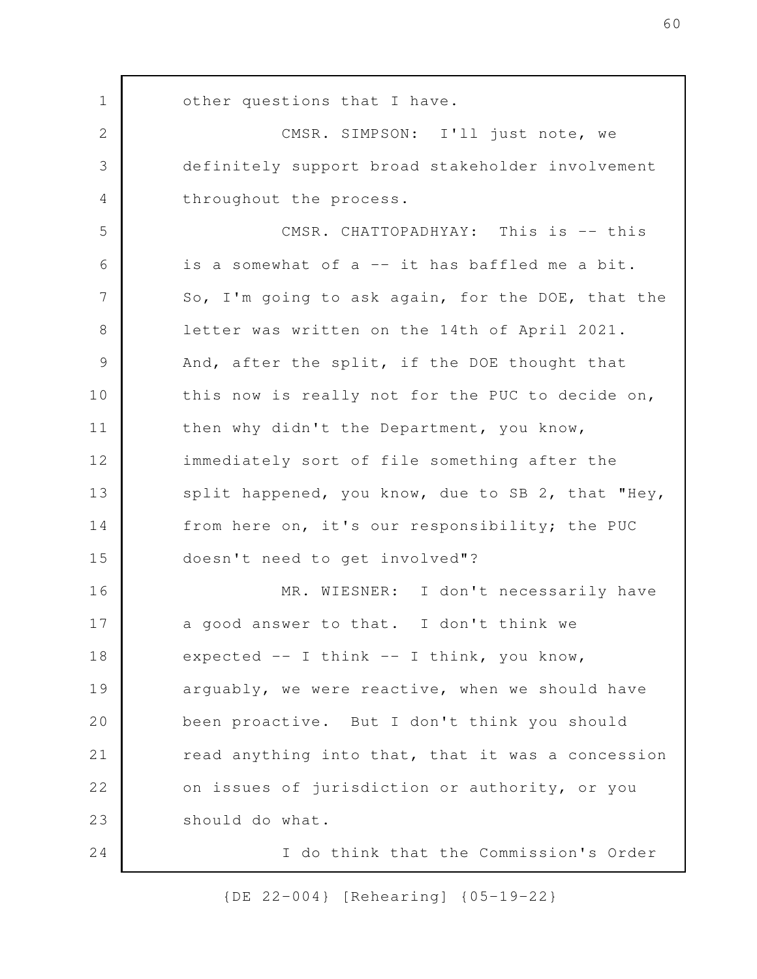other questions that I have. CMSR. SIMPSON: I'll just note, we definitely support broad stakeholder involvement throughout the process. CMSR. CHATTOPADHYAY: This is -- this is a somewhat of a -- it has baffled me a bit. So, I'm going to ask again, for the DOE, that the letter was written on the 14th of April 2021. And, after the split, if the DOE thought that this now is really not for the PUC to decide on, then why didn't the Department, you know, immediately sort of file something after the split happened, you know, due to SB 2, that "Hey, from here on, it's our responsibility; the PUC doesn't need to get involved"? MR. WIESNER: I don't necessarily have a good answer to that. I don't think we expected  $--$  I think  $--$  I think, you know, arguably, we were reactive, when we should have been proactive. But I don't think you should read anything into that, that it was a concession on issues of jurisdiction or authority, or you should do what. I do think that the Commission's Order 1 2 3 4 5 6 7 8 9 10 11 12 13 14 15 16 17 18 19 20 21 22 23 24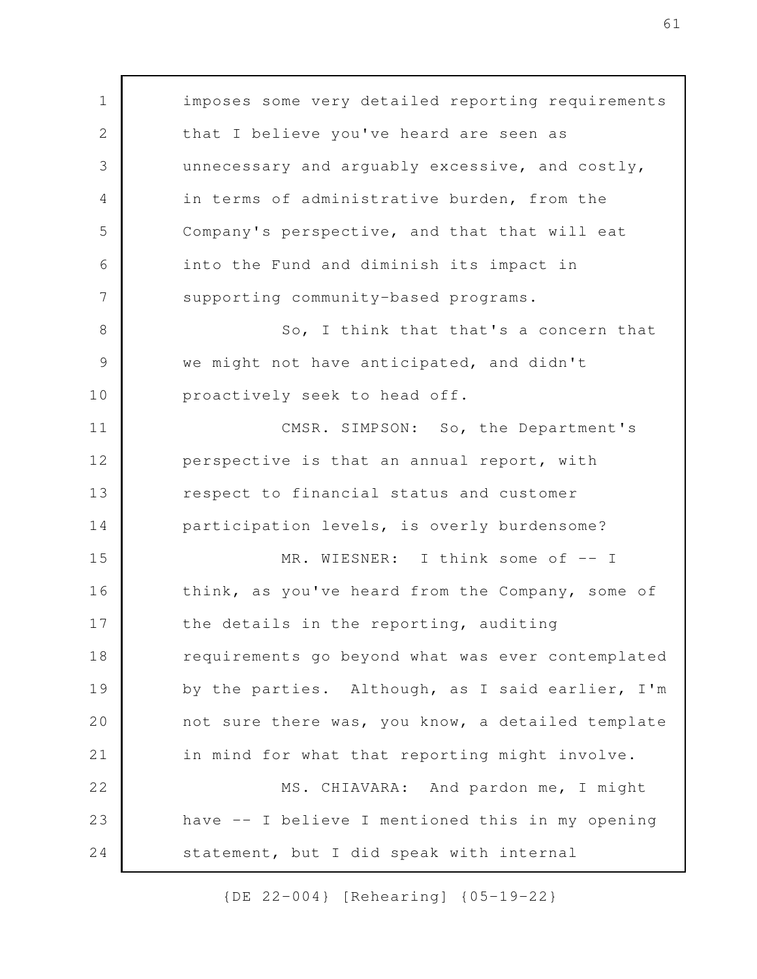imposes some very detailed reporting requirements that I believe you've heard are seen as unnecessary and arguably excessive, and costly, in terms of administrative burden, from the Company's perspective, and that that will eat into the Fund and diminish its impact in supporting community-based programs. So, I think that that's a concern that we might not have anticipated, and didn't proactively seek to head off. CMSR. SIMPSON: So, the Department's perspective is that an annual report, with respect to financial status and customer participation levels, is overly burdensome? MR. WIESNER: I think some of -- I think, as you've heard from the Company, some of the details in the reporting, auditing requirements go beyond what was ever contemplated by the parties. Although, as I said earlier, I'm not sure there was, you know, a detailed template in mind for what that reporting might involve. MS. CHIAVARA: And pardon me, I might have -- I believe I mentioned this in my opening statement, but I did speak with internal 1 2 3 4 5 6 7 8 9 10 11 12 13 14 15 16 17 18 19 20 21 22 23 24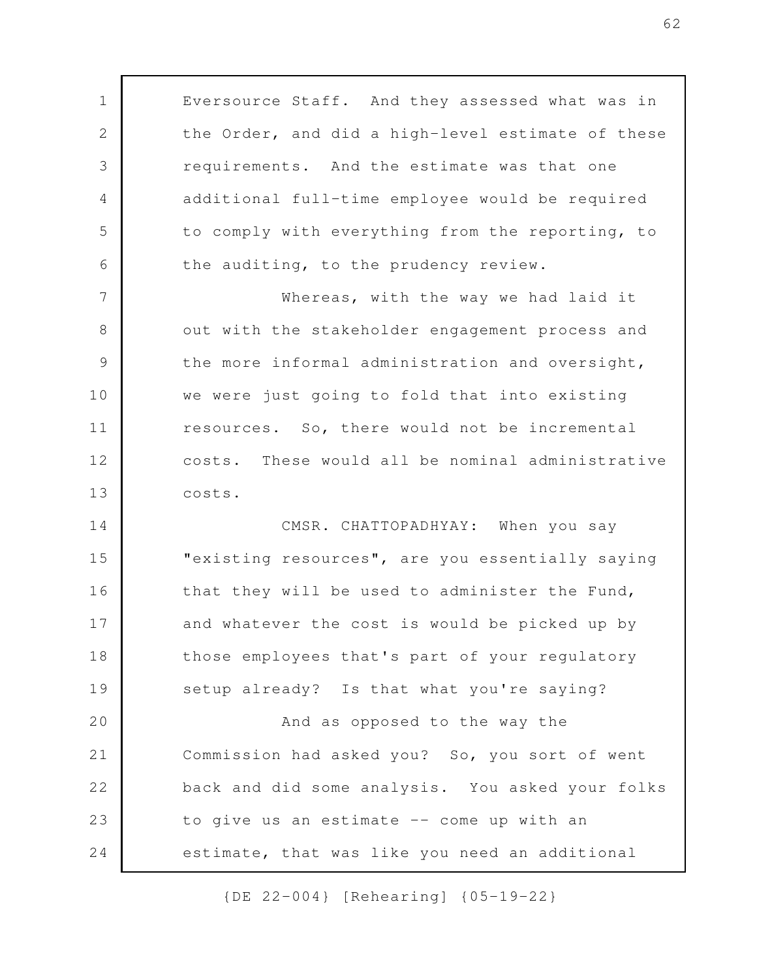Eversource Staff. And they assessed what was in the Order, and did a high-level estimate of these requirements. And the estimate was that one additional full-time employee would be required to comply with everything from the reporting, to the auditing, to the prudency review. Whereas, with the way we had laid it out with the stakeholder engagement process and the more informal administration and oversight, we were just going to fold that into existing resources. So, there would not be incremental costs. These would all be nominal administrative costs. CMSR. CHATTOPADHYAY: When you say "existing resources", are you essentially saying that they will be used to administer the Fund, and whatever the cost is would be picked up by those employees that's part of your regulatory setup already? Is that what you're saying? And as opposed to the way the Commission had asked you? So, you sort of went back and did some analysis. You asked your folks to give us an estimate -- come up with an estimate, that was like you need an additional 1 2 3 4 5 6 7 8 9 10 11 12 13 14 15 16 17 18 19 20 21 22 23 24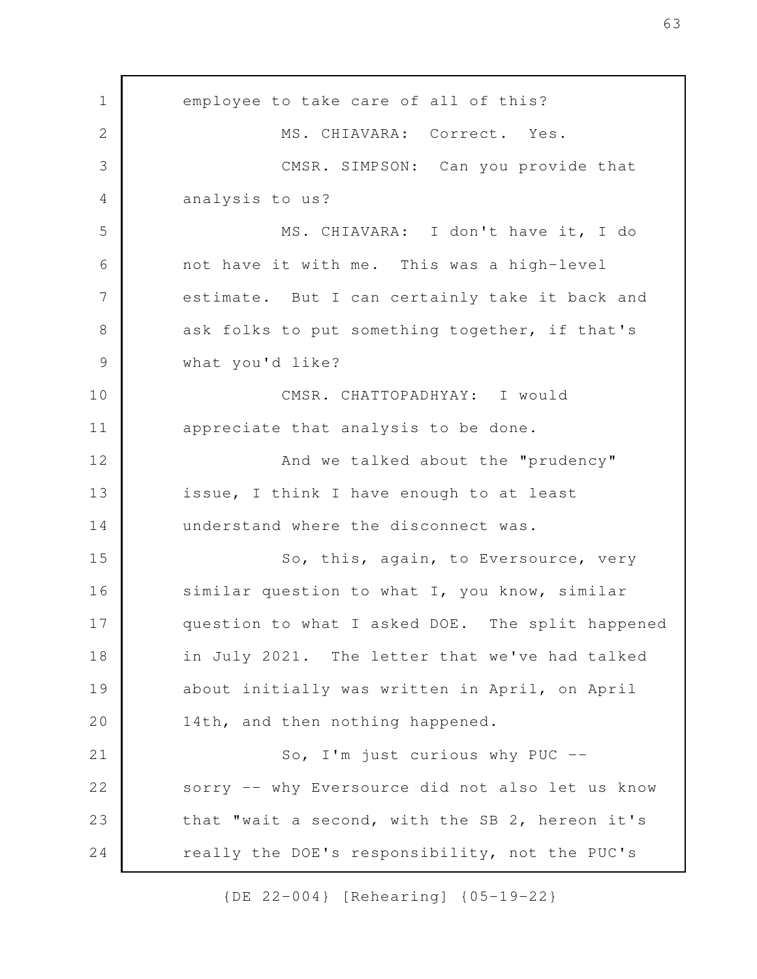employee to take care of all of this? MS. CHIAVARA: Correct. Yes. CMSR. SIMPSON: Can you provide that analysis to us? MS. CHIAVARA: I don't have it, I do not have it with me. This was a high-level estimate. But I can certainly take it back and ask folks to put something together, if that's what you'd like? CMSR. CHATTOPADHYAY: I would appreciate that analysis to be done. And we talked about the "prudency" issue, I think I have enough to at least understand where the disconnect was. So, this, again, to Eversource, very similar question to what I, you know, similar question to what I asked DOE. The split happened in July 2021. The letter that we've had talked about initially was written in April, on April 14th, and then nothing happened. So, I'm just curious why PUC - sorry -- why Eversource did not also let us know that "wait a second, with the SB 2, hereon it's really the DOE's responsibility, not the PUC's 1 2 3 4 5 6 7 8 9 10 11 12 13 14 15 16 17 18 19 20 21 22 23 24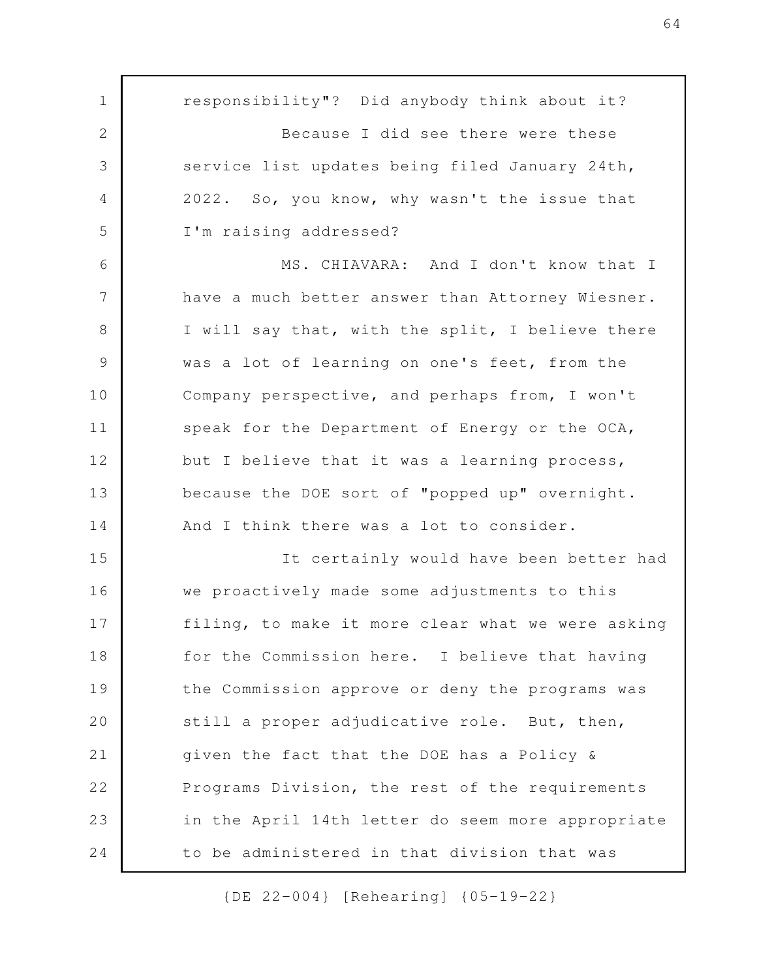responsibility"? Did anybody think about it? Because I did see there were these service list updates being filed January 24th, 2022. So, you know, why wasn't the issue that I'm raising addressed? MS. CHIAVARA: And I don't know that I have a much better answer than Attorney Wiesner. I will say that, with the split, I believe there was a lot of learning on one's feet, from the Company perspective, and perhaps from, I won't speak for the Department of Energy or the OCA, but I believe that it was a learning process, because the DOE sort of "popped up" overnight. And I think there was a lot to consider. It certainly would have been better had we proactively made some adjustments to this filing, to make it more clear what we were asking for the Commission here. I believe that having the Commission approve or deny the programs was still a proper adjudicative role. But, then, given the fact that the DOE has a Policy & Programs Division, the rest of the requirements in the April 14th letter do seem more appropriate to be administered in that division that was 1 2 3 4 5 6 7 8 9 10 11 12 13 14 15 16 17 18 19 20 21 22 23 24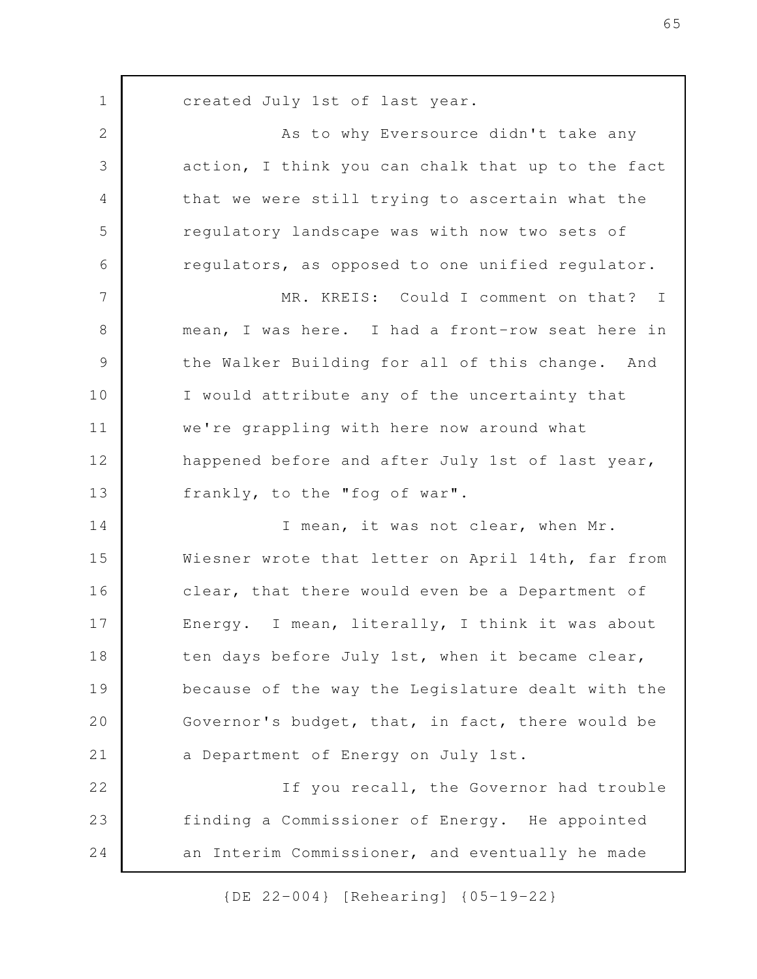created July 1st of last year. As to why Eversource didn't take any action, I think you can chalk that up to the fact that we were still trying to ascertain what the regulatory landscape was with now two sets of regulators, as opposed to one unified regulator. MR. KREIS: Could I comment on that? I mean, I was here. I had a front-row seat here in the Walker Building for all of this change. And I would attribute any of the uncertainty that we're grappling with here now around what happened before and after July 1st of last year, frankly, to the "fog of war". I mean, it was not clear, when Mr. Wiesner wrote that letter on April 14th, far from clear, that there would even be a Department of Energy. I mean, literally, I think it was about ten days before July 1st, when it became clear, because of the way the Legislature dealt with the Governor's budget, that, in fact, there would be a Department of Energy on July 1st. If you recall, the Governor had trouble finding a Commissioner of Energy. He appointed an Interim Commissioner, and eventually he made 1 2 3 4 5 6 7 8 9 10 11 12 13 14 15 16 17 18 19 20 21 22 23 24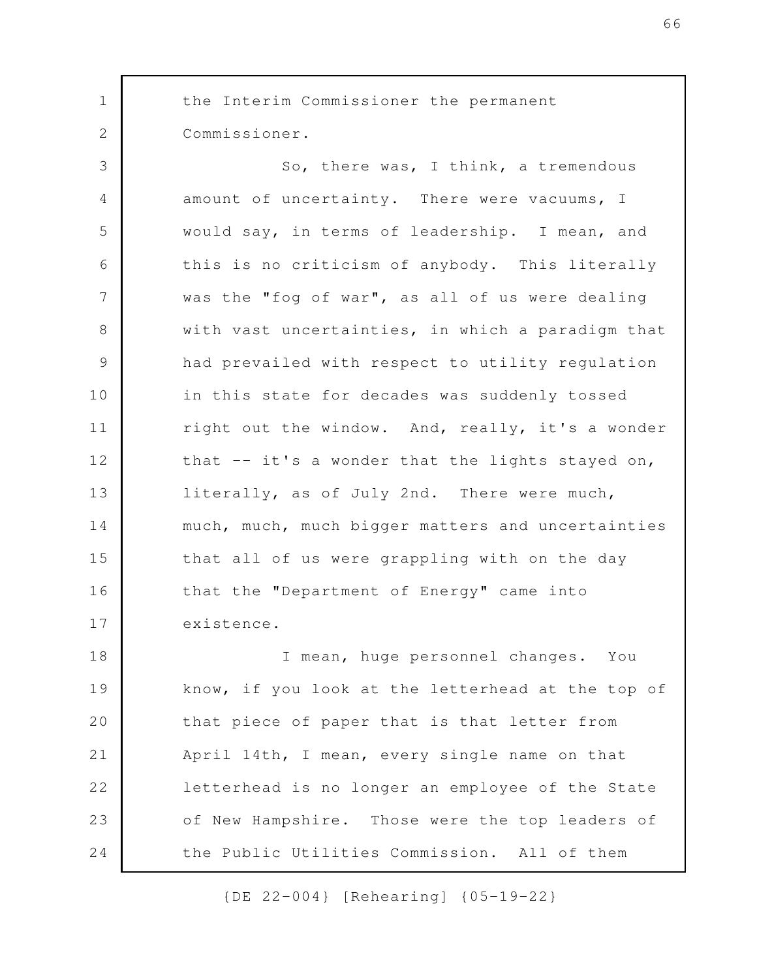the Interim Commissioner the permanent Commissioner. So, there was, I think, a tremendous amount of uncertainty. There were vacuums, I would say, in terms of leadership. I mean, and this is no criticism of anybody. This literally was the "fog of war", as all of us were dealing with vast uncertainties, in which a paradigm that had prevailed with respect to utility regulation in this state for decades was suddenly tossed right out the window. And, really, it's a wonder that -- it's a wonder that the lights stayed on, literally, as of July 2nd. There were much, much, much, much bigger matters and uncertainties that all of us were grappling with on the day that the "Department of Energy" came into existence. I mean, huge personnel changes. You know, if you look at the letterhead at the top of that piece of paper that is that letter from April 14th, I mean, every single name on that letterhead is no longer an employee of the State of New Hampshire. Those were the top leaders of 1 2 3 4 5 6 7 8 9 10 11 12 13 14 15 16 17 18 19 20 21 22 23

the Public Utilities Commission. All of them

24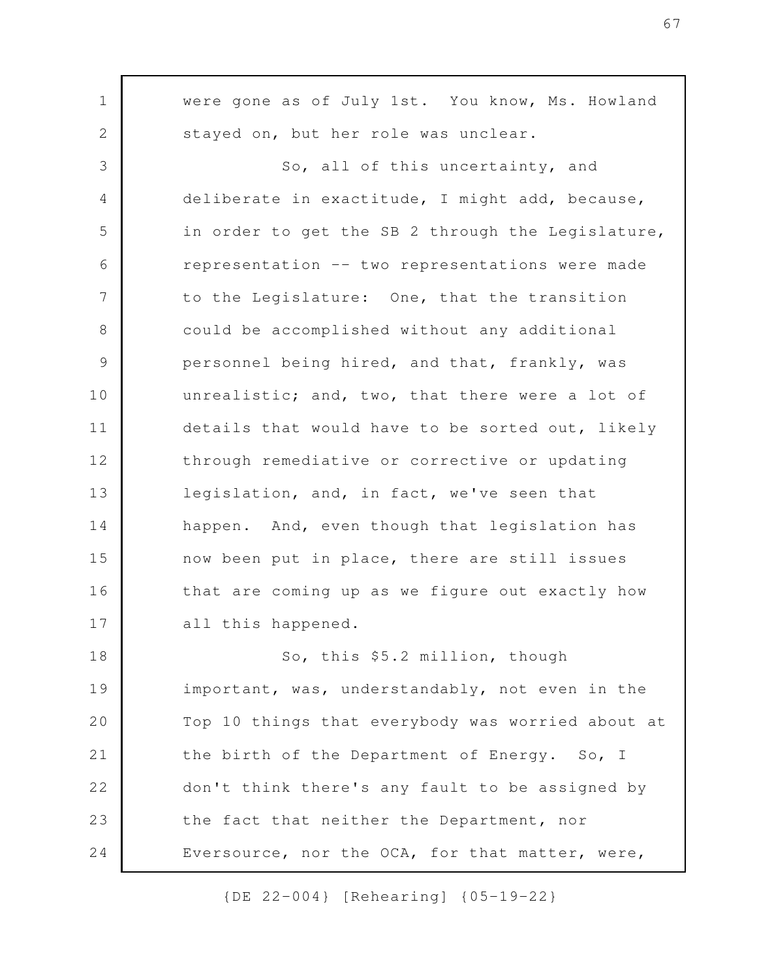were gone as of July 1st. You know, Ms. Howland stayed on, but her role was unclear. So, all of this uncertainty, and deliberate in exactitude, I might add, because, in order to get the SB 2 through the Legislature, representation -- two representations were made to the Legislature: One, that the transition could be accomplished without any additional personnel being hired, and that, frankly, was unrealistic; and, two, that there were a lot of details that would have to be sorted out, likely through remediative or corrective or updating legislation, and, in fact, we've seen that happen. And, even though that legislation has now been put in place, there are still issues that are coming up as we figure out exactly how all this happened. So, this \$5.2 million, though important, was, understandably, not even in the Top 10 things that everybody was worried about at the birth of the Department of Energy. So, I don't think there's any fault to be assigned by the fact that neither the Department, nor Eversource, nor the OCA, for that matter, were, 1 2 3 4 5 6 7 8 9 10 11 12 13 14 15 16 17 18 19 20 21 22 23 24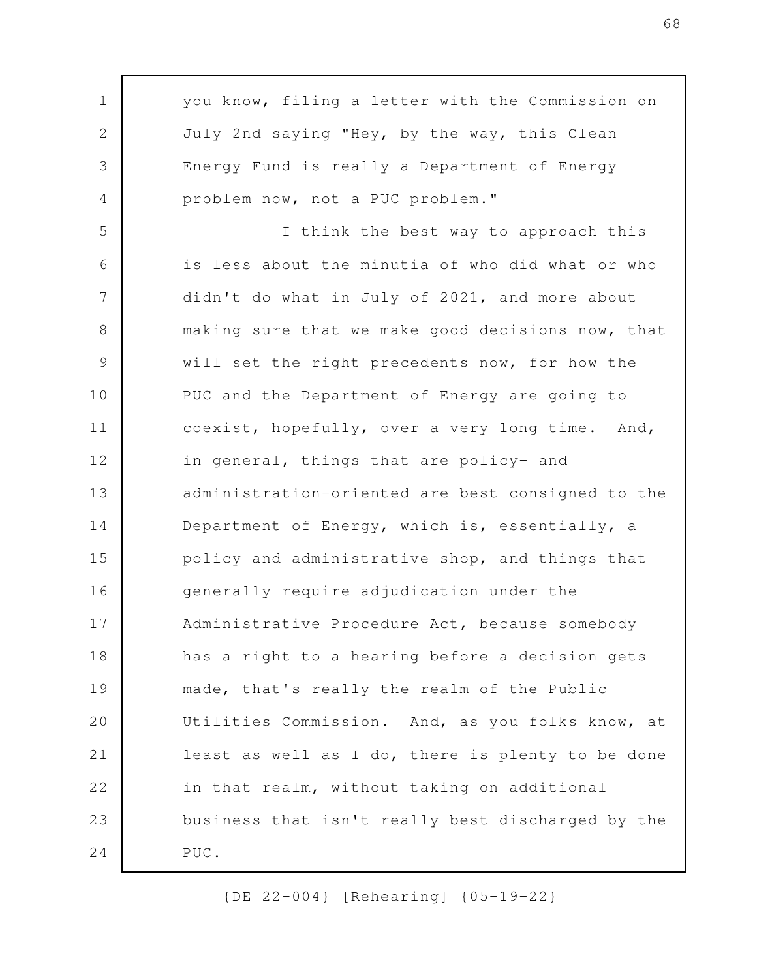you know, filing a letter with the Commission on July 2nd saying "Hey, by the way, this Clean Energy Fund is really a Department of Energy problem now, not a PUC problem." I think the best way to approach this is less about the minutia of who did what or who didn't do what in July of 2021, and more about making sure that we make good decisions now, that will set the right precedents now, for how the PUC and the Department of Energy are going to coexist, hopefully, over a very long time. And, in general, things that are policy- and administration-oriented are best consigned to the Department of Energy, which is, essentially, a policy and administrative shop, and things that generally require adjudication under the Administrative Procedure Act, because somebody has a right to a hearing before a decision gets made, that's really the realm of the Public Utilities Commission. And, as you folks know, at least as well as I do, there is plenty to be done in that realm, without taking on additional business that isn't really best discharged by the PUC. 1 2 3 4 5 6 7 8 9 10 11 12 13 14 15 16 17 18 19 20 21 22 23 24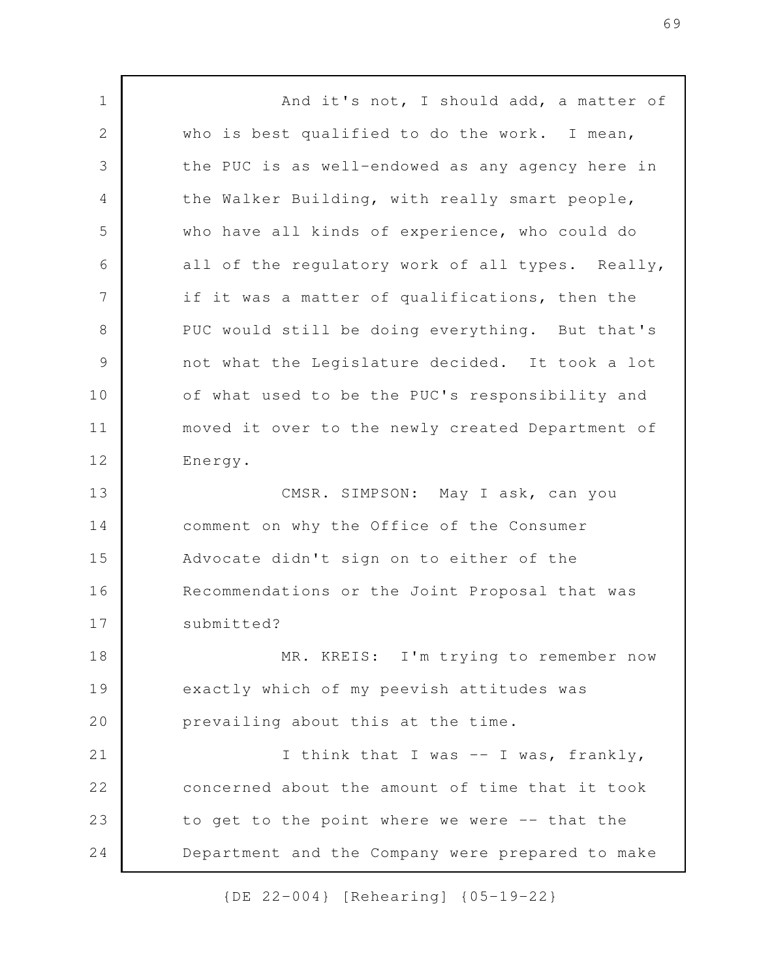And it's not, I should add, a matter of who is best qualified to do the work. I mean, the PUC is as well-endowed as any agency here in the Walker Building, with really smart people, who have all kinds of experience, who could do all of the regulatory work of all types. Really, if it was a matter of qualifications, then the PUC would still be doing everything. But that's not what the Legislature decided. It took a lot of what used to be the PUC's responsibility and moved it over to the newly created Department of Energy. CMSR. SIMPSON: May I ask, can you comment on why the Office of the Consumer Advocate didn't sign on to either of the Recommendations or the Joint Proposal that was submitted? MR. KREIS: I'm trying to remember now exactly which of my peevish attitudes was prevailing about this at the time. I think that I was -- I was, frankly, concerned about the amount of time that it took to get to the point where we were -- that the Department and the Company were prepared to make 1 2 3 4 5 6 7 8 9 10 11 12 13 14 15 16 17 18 19 20 21 22 23 24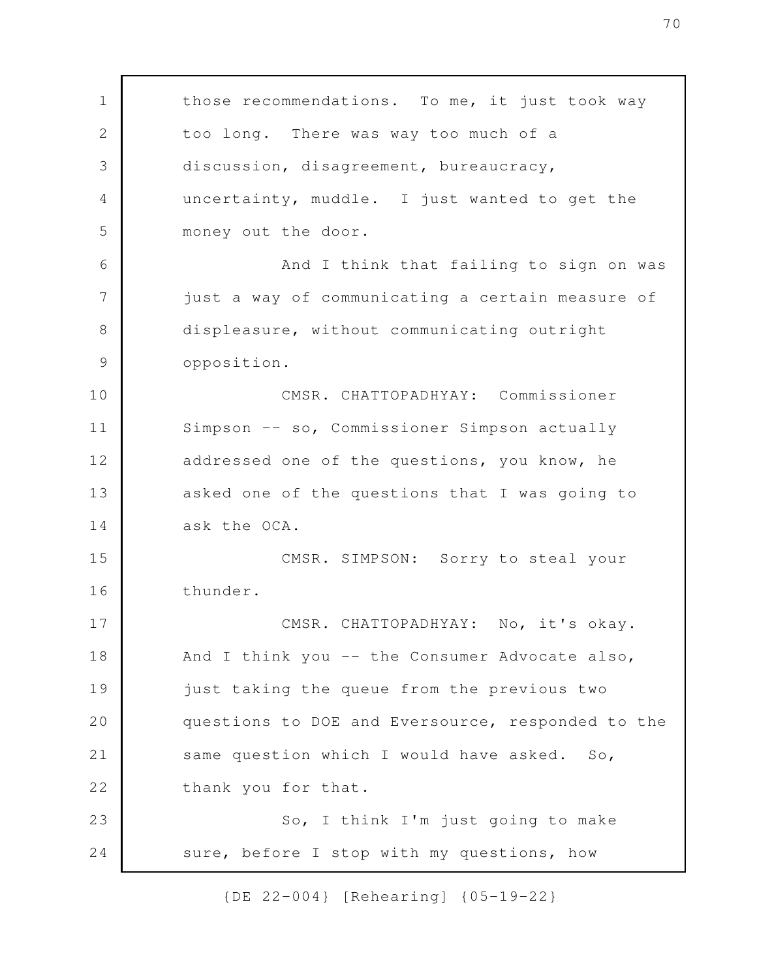those recommendations. To me, it just took way too long. There was way too much of a discussion, disagreement, bureaucracy, uncertainty, muddle. I just wanted to get the money out the door. And I think that failing to sign on was just a way of communicating a certain measure of displeasure, without communicating outright opposition. CMSR. CHATTOPADHYAY: Commissioner Simpson -- so, Commissioner Simpson actually addressed one of the questions, you know, he asked one of the questions that I was going to ask the OCA. CMSR. SIMPSON: Sorry to steal your thunder. CMSR. CHATTOPADHYAY: No, it's okay. And I think you -- the Consumer Advocate also, just taking the queue from the previous two questions to DOE and Eversource, responded to the same question which I would have asked. So, thank you for that. So, I think I'm just going to make sure, before I stop with my questions, how 1 2 3 4 5 6 7 8 9 10 11 12 13 14 15 16 17 18 19 20 21 22 23 24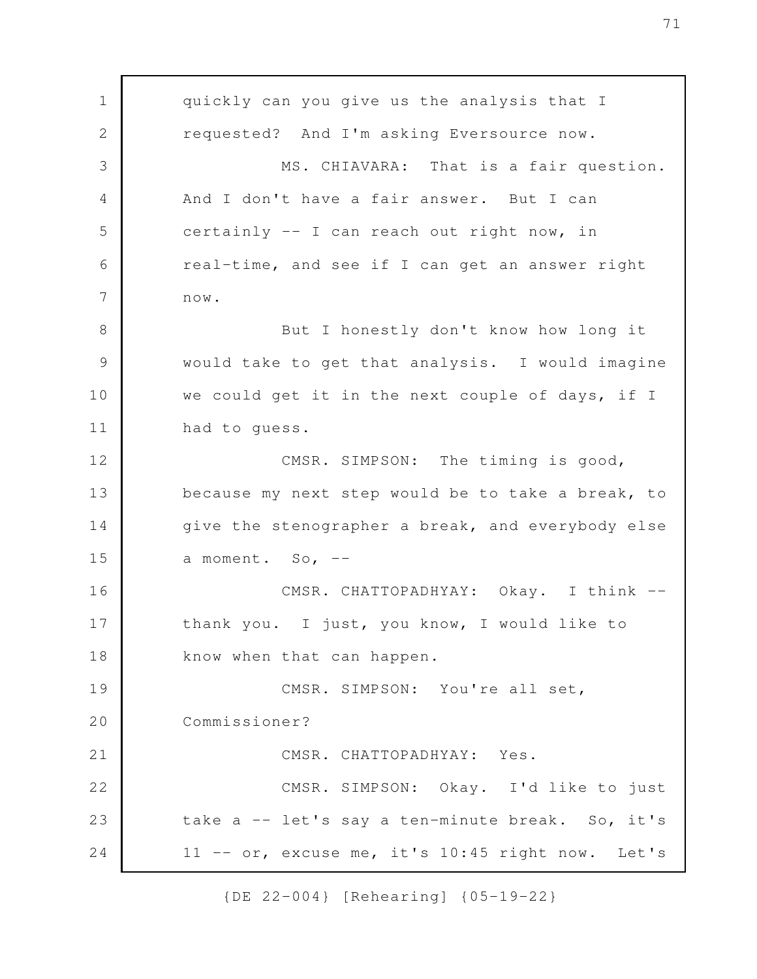quickly can you give us the analysis that I requested? And I'm asking Eversource now. MS. CHIAVARA: That is a fair question. And I don't have a fair answer. But I can certainly -- I can reach out right now, in real-time, and see if I can get an answer right now. But I honestly don't know how long it would take to get that analysis. I would imagine we could get it in the next couple of days, if I had to guess. CMSR. SIMPSON: The timing is good, because my next step would be to take a break, to give the stenographer a break, and everybody else a moment. So,  $-$ CMSR. CHATTOPADHYAY: Okay. I think -thank you. I just, you know, I would like to know when that can happen. CMSR. SIMPSON: You're all set, Commissioner? CMSR. CHATTOPADHYAY: Yes. CMSR. SIMPSON: Okay. I'd like to just take a -- let's say a ten-minute break. So, it's 11 -- or, excuse me, it's 10:45 right now. Let's 1 2 3 4 5 6 7 8 9 10 11 12 13 14 15 16 17 18 19 20 21 22 23 24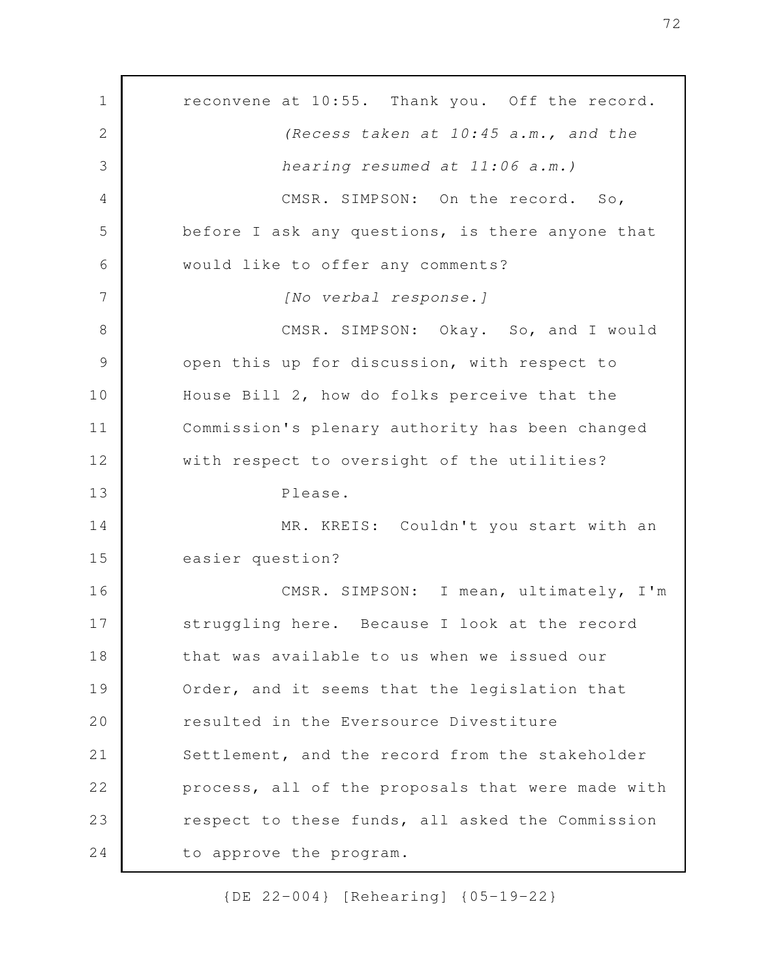reconvene at 10:55. Thank you. Off the record. *(Recess taken at 10:45 a.m., and the hearing resumed at 11:06 a.m.)* CMSR. SIMPSON: On the record. So, before I ask any questions, is there anyone that would like to offer any comments? *[No verbal response.]* CMSR. SIMPSON: Okay. So, and I would open this up for discussion, with respect to House Bill 2, how do folks perceive that the Commission's plenary authority has been changed with respect to oversight of the utilities? Please. MR. KREIS: Couldn't you start with an easier question? CMSR. SIMPSON: I mean, ultimately, I'm struggling here. Because I look at the record that was available to us when we issued our Order, and it seems that the legislation that resulted in the Eversource Divestiture Settlement, and the record from the stakeholder process, all of the proposals that were made with respect to these funds, all asked the Commission to approve the program. 1 2 3 4 5 6 7 8 9 10 11 12 13 14 15 16 17 18 19 20 21 22 23 24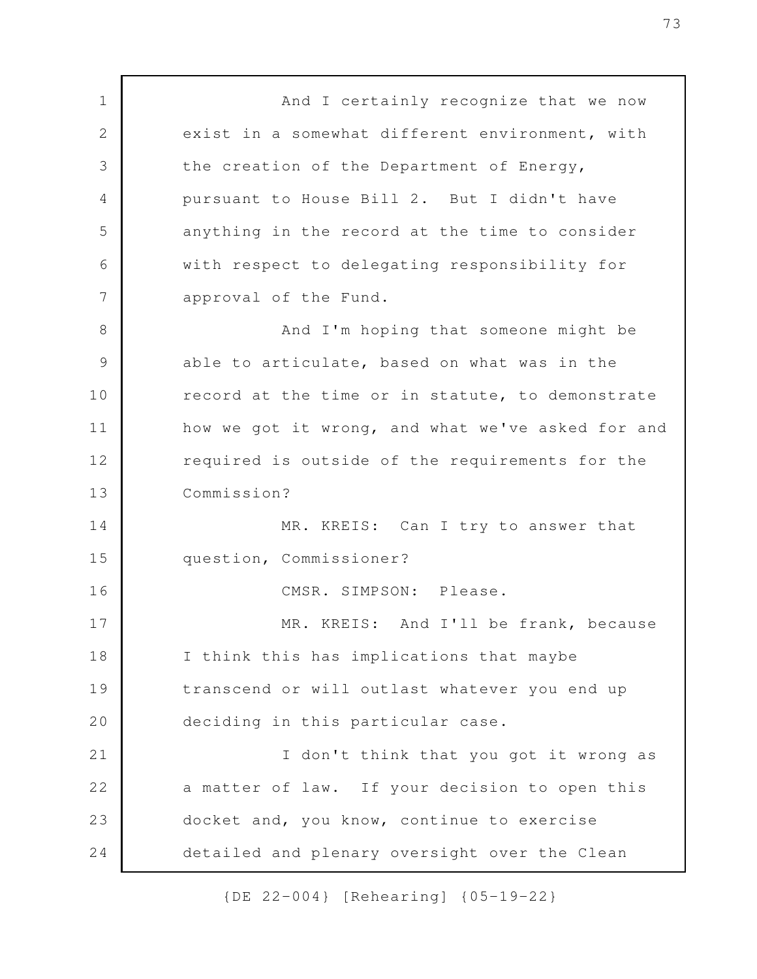And I certainly recognize that we now exist in a somewhat different environment, with the creation of the Department of Energy, pursuant to House Bill 2. But I didn't have anything in the record at the time to consider with respect to delegating responsibility for approval of the Fund. And I'm hoping that someone might be able to articulate, based on what was in the record at the time or in statute, to demonstrate how we got it wrong, and what we've asked for and required is outside of the requirements for the Commission? MR. KREIS: Can I try to answer that question, Commissioner? CMSR. SIMPSON: Please. MR. KREIS: And I'll be frank, because I think this has implications that maybe transcend or will outlast whatever you end up deciding in this particular case. I don't think that you got it wrong as a matter of law. If your decision to open this docket and, you know, continue to exercise detailed and plenary oversight over the Clean 1 2 3 4 5 6 7 8 9 10 11 12 13 14 15 16 17 18 19 20 21 22 23 24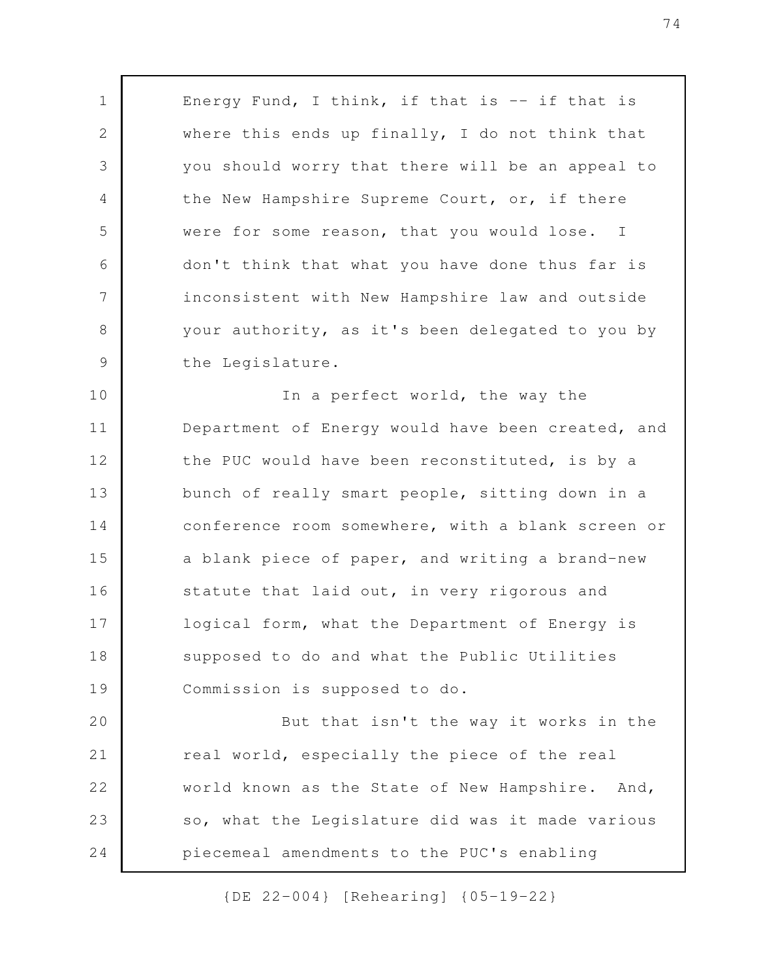Energy Fund, I think, if that is  $-$  if that is where this ends up finally, I do not think that you should worry that there will be an appeal to the New Hampshire Supreme Court, or, if there were for some reason, that you would lose. I don't think that what you have done thus far is inconsistent with New Hampshire law and outside your authority, as it's been delegated to you by the Legislature.

1

2

3

4

5

6

7

8

9

In a perfect world, the way the Department of Energy would have been created, and the PUC would have been reconstituted, is by a bunch of really smart people, sitting down in a conference room somewhere, with a blank screen or a blank piece of paper, and writing a brand-new statute that laid out, in very rigorous and logical form, what the Department of Energy is supposed to do and what the Public Utilities Commission is supposed to do. 10 11 12 13 14 15 16 17 18 19

But that isn't the way it works in the real world, especially the piece of the real world known as the State of New Hampshire. And, so, what the Legislature did was it made various piecemeal amendments to the PUC's enabling 20 21 22 23 24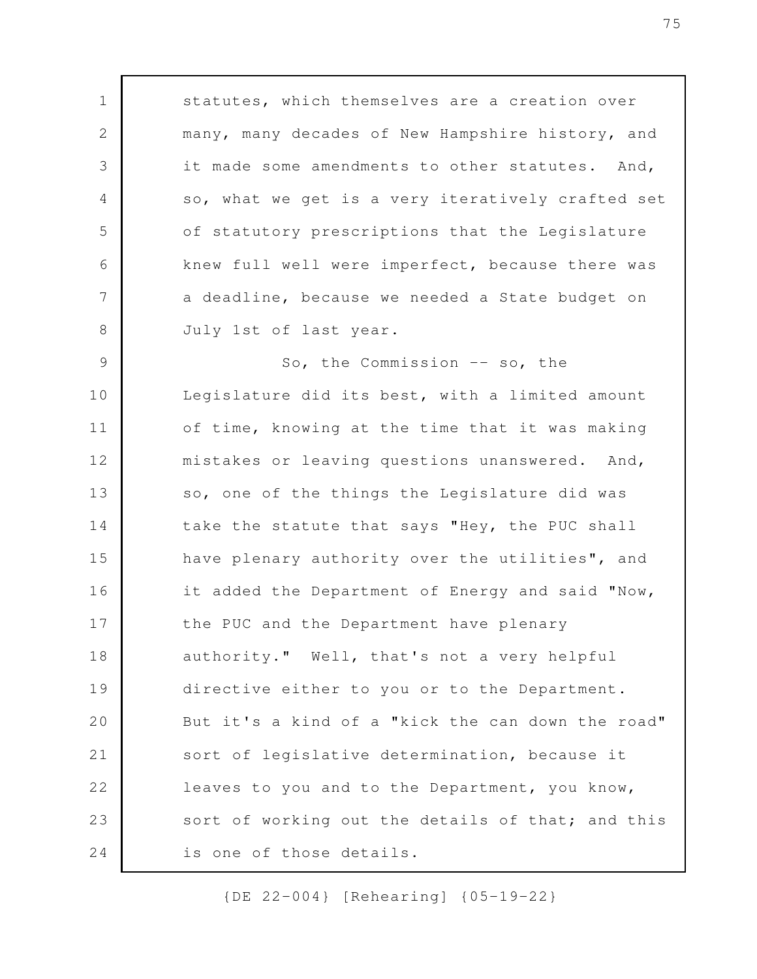statutes, which themselves are a creation over many, many decades of New Hampshire history, and it made some amendments to other statutes. And, so, what we get is a very iteratively crafted set of statutory prescriptions that the Legislature knew full well were imperfect, because there was a deadline, because we needed a State budget on July 1st of last year. So, the Commission -- so, the Legislature did its best, with a limited amount of time, knowing at the time that it was making mistakes or leaving questions unanswered. And, so, one of the things the Legislature did was take the statute that says "Hey, the PUC shall have plenary authority over the utilities", and it added the Department of Energy and said "Now, the PUC and the Department have plenary authority." Well, that's not a very helpful directive either to you or to the Department. But it's a kind of a "kick the can down the road" sort of legislative determination, because it leaves to you and to the Department, you know, sort of working out the details of that; and this is one of those details. 1 2 3 4 5 6 7 8 9 10 11 12 13 14 15 16 17 18 19 20 21 22 23 24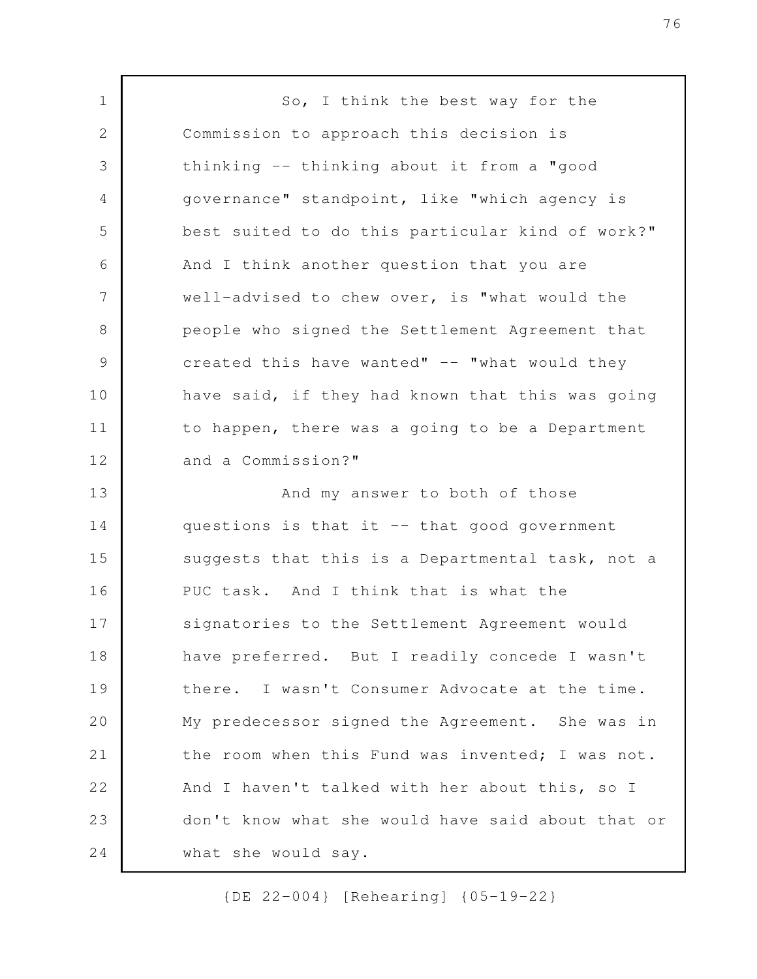So, I think the best way for the Commission to approach this decision is thinking -- thinking about it from a "good governance" standpoint, like "which agency is best suited to do this particular kind of work?" And I think another question that you are well-advised to chew over, is "what would the people who signed the Settlement Agreement that created this have wanted"  $--$  "what would they have said, if they had known that this was going to happen, there was a going to be a Department and a Commission?" And my answer to both of those questions is that it -- that good government suggests that this is a Departmental task, not a PUC task. And I think that is what the signatories to the Settlement Agreement would have preferred. But I readily concede I wasn't there. I wasn't Consumer Advocate at the time. My predecessor signed the Agreement. She was in the room when this Fund was invented; I was not. And I haven't talked with her about this, so I don't know what she would have said about that or what she would say. 1 2 3 4 5 6 7 8 9 10 11 12 13 14 15 16 17 18 19 20 21 22 23 24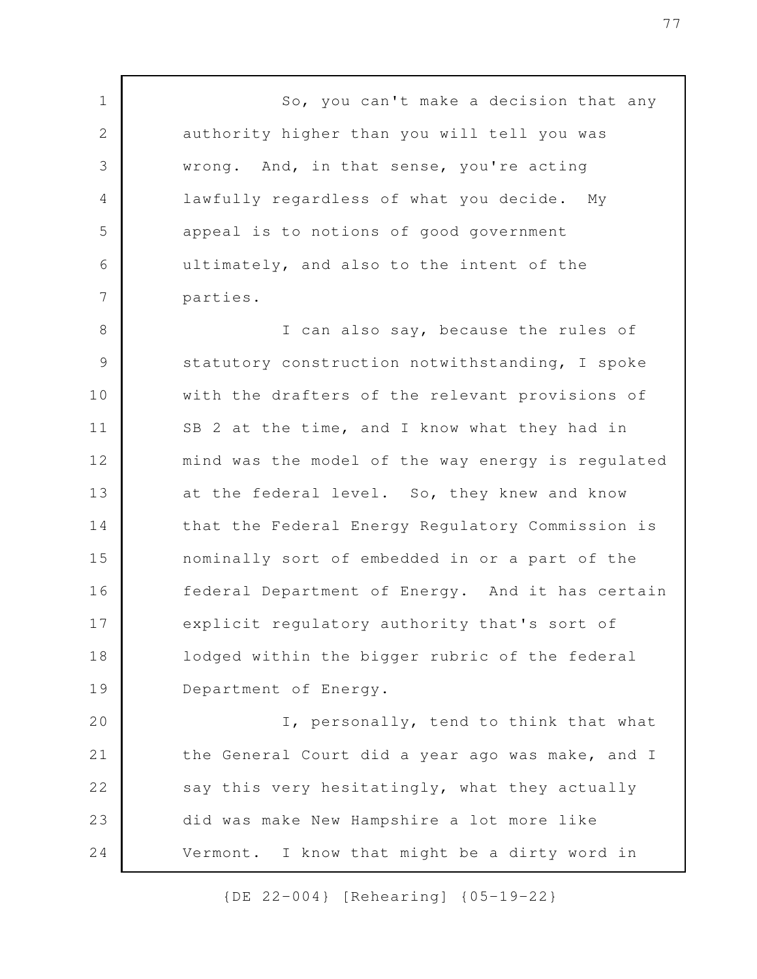So, you can't make a decision that any authority higher than you will tell you was wrong. And, in that sense, you're acting lawfully regardless of what you decide. My appeal is to notions of good government ultimately, and also to the intent of the parties.

1

2

3

4

5

6

7

I can also say, because the rules of statutory construction notwithstanding, I spoke with the drafters of the relevant provisions of SB 2 at the time, and I know what they had in mind was the model of the way energy is regulated at the federal level. So, they knew and know that the Federal Energy Regulatory Commission is nominally sort of embedded in or a part of the federal Department of Energy. And it has certain explicit regulatory authority that's sort of lodged within the bigger rubric of the federal Department of Energy. 8 9 10 11 12 13 14 15 16 17 18 19

I, personally, tend to think that what the General Court did a year ago was make, and I say this very hesitatingly, what they actually did was make New Hampshire a lot more like Vermont. I know that might be a dirty word in 20 21 22 23 24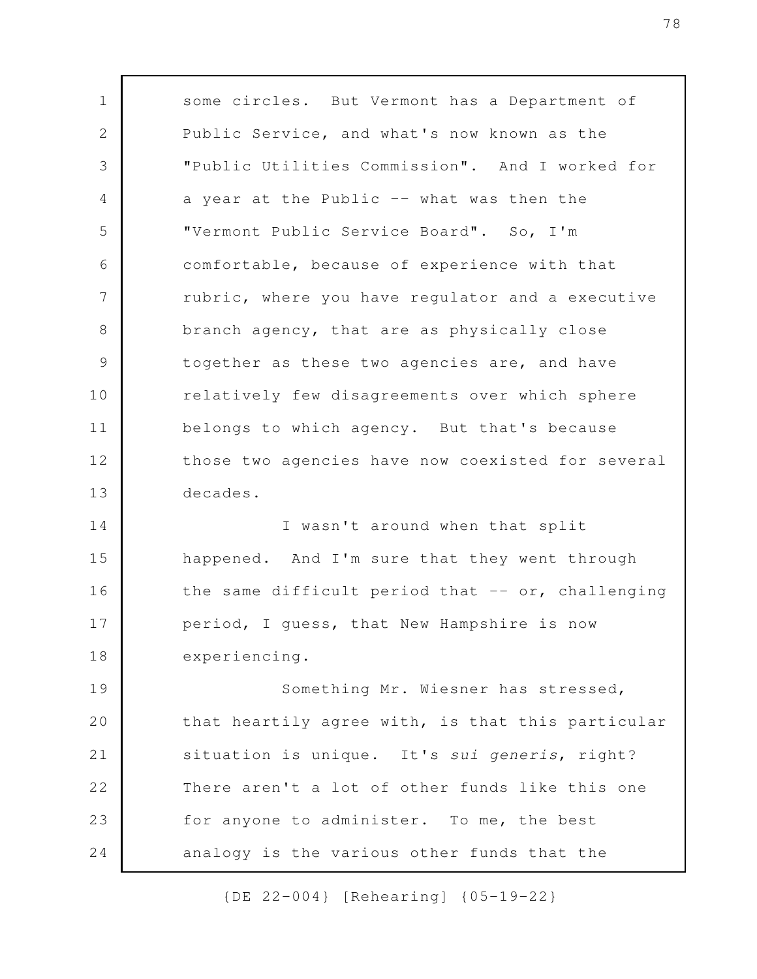some circles. But Vermont has a Department of Public Service, and what's now known as the "Public Utilities Commission". And I worked for a year at the Public -- what was then the "Vermont Public Service Board". So, I'm comfortable, because of experience with that rubric, where you have regulator and a executive branch agency, that are as physically close together as these two agencies are, and have relatively few disagreements over which sphere belongs to which agency. But that's because those two agencies have now coexisted for several decades. I wasn't around when that split happened. And I'm sure that they went through 1 2 3 4 5 6 7 8 9 10 11 12 13 14 15

the same difficult period that  $--$  or, challenging period, I guess, that New Hampshire is now experiencing. 16 17 18

Something Mr. Wiesner has stressed, that heartily agree with, is that this particular situation is unique. It's *sui generis*, right? There aren't a lot of other funds like this one for anyone to administer. To me, the best analogy is the various other funds that the 19 20 21 22 23 24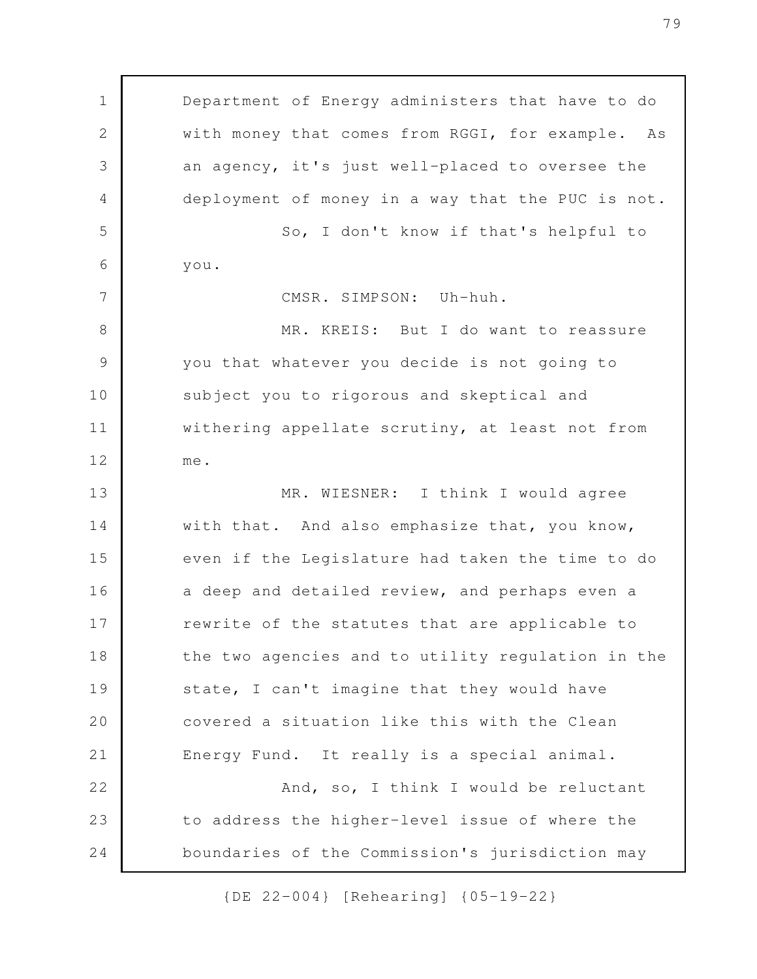Department of Energy administers that have to do with money that comes from RGGI, for example. As an agency, it's just well-placed to oversee the deployment of money in a way that the PUC is not. So, I don't know if that's helpful to you. CMSR. SIMPSON: Uh-huh. MR. KREIS: But I do want to reassure you that whatever you decide is not going to subject you to rigorous and skeptical and withering appellate scrutiny, at least not from me. MR. WIESNER: I think I would agree with that. And also emphasize that, you know, even if the Legislature had taken the time to do a deep and detailed review, and perhaps even a rewrite of the statutes that are applicable to the two agencies and to utility regulation in the state, I can't imagine that they would have covered a situation like this with the Clean Energy Fund. It really is a special animal. And, so, I think I would be reluctant to address the higher-level issue of where the boundaries of the Commission's jurisdiction may 1 2 3 4 5 6 7 8 9 10 11 12 13 14 15 16 17 18 19 20 21 22 23 24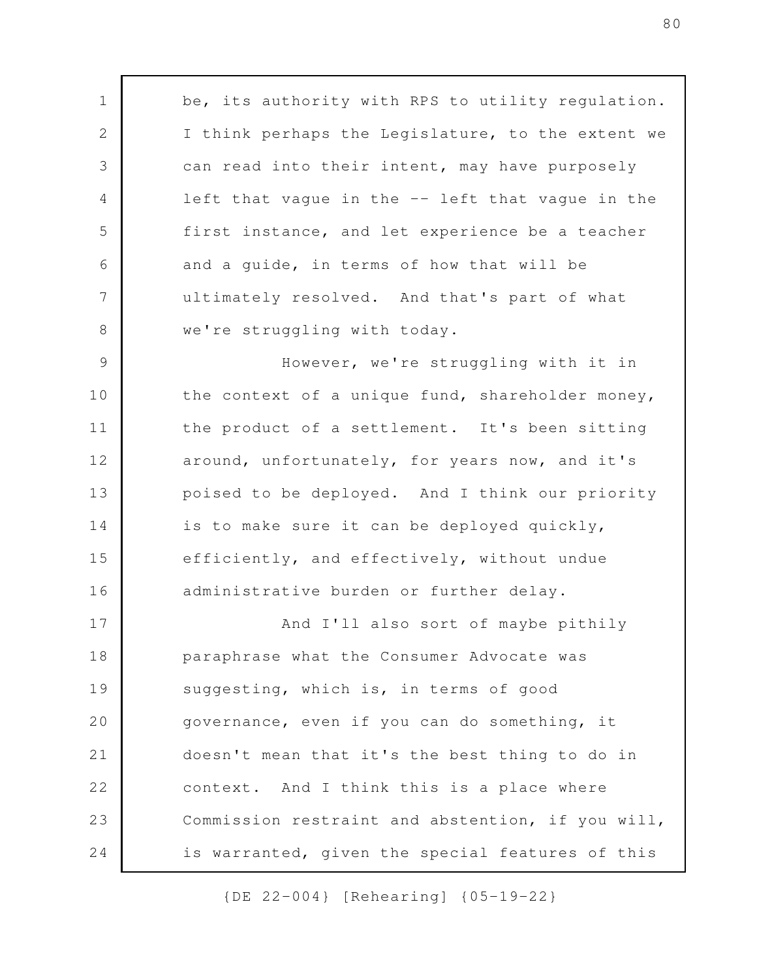be, its authority with RPS to utility regulation. I think perhaps the Legislature, to the extent we can read into their intent, may have purposely left that vague in the -- left that vague in the first instance, and let experience be a teacher and a guide, in terms of how that will be ultimately resolved. And that's part of what we're struggling with today. However, we're struggling with it in the context of a unique fund, shareholder money, the product of a settlement. It's been sitting around, unfortunately, for years now, and it's poised to be deployed. And I think our priority is to make sure it can be deployed quickly, efficiently, and effectively, without undue administrative burden or further delay. And I'll also sort of maybe pithily paraphrase what the Consumer Advocate was suggesting, which is, in terms of good governance, even if you can do something, it 1 2 3 4 5 6 7 8 9 10 11 12 13 14 15 16 17 18 19 20

doesn't mean that it's the best thing to do in context. And I think this is a place where Commission restraint and abstention, if you will, is warranted, given the special features of this 21 23

22

24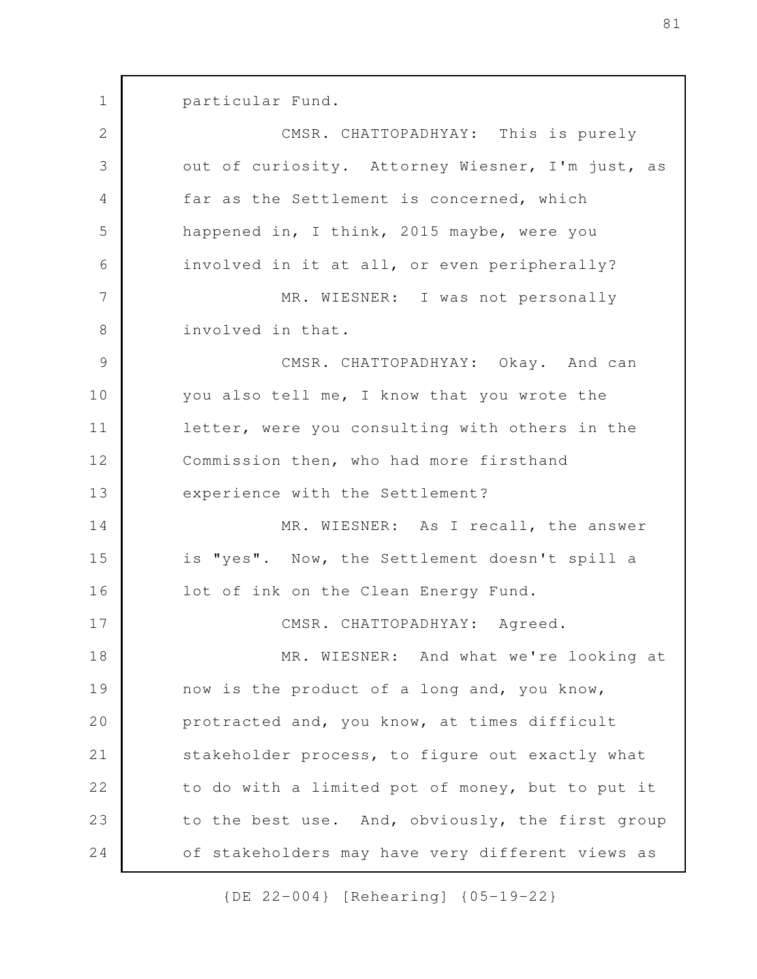particular Fund. CMSR. CHATTOPADHYAY: This is purely out of curiosity. Attorney Wiesner, I'm just, as far as the Settlement is concerned, which happened in, I think, 2015 maybe, were you involved in it at all, or even peripherally? MR. WIESNER: I was not personally involved in that. CMSR. CHATTOPADHYAY: Okay. And can you also tell me, I know that you wrote the letter, were you consulting with others in the Commission then, who had more firsthand experience with the Settlement? MR. WIESNER: As I recall, the answer is "yes". Now, the Settlement doesn't spill a lot of ink on the Clean Energy Fund. CMSR. CHATTOPADHYAY: Agreed. MR. WIESNER: And what we're looking at now is the product of a long and, you know, protracted and, you know, at times difficult stakeholder process, to figure out exactly what to do with a limited pot of money, but to put it to the best use. And, obviously, the first group of stakeholders may have very different views as 1 2 3 4 5 6 7 8 9 10 11 12 13 14 15 16 17 18 19 20 21 22 23 24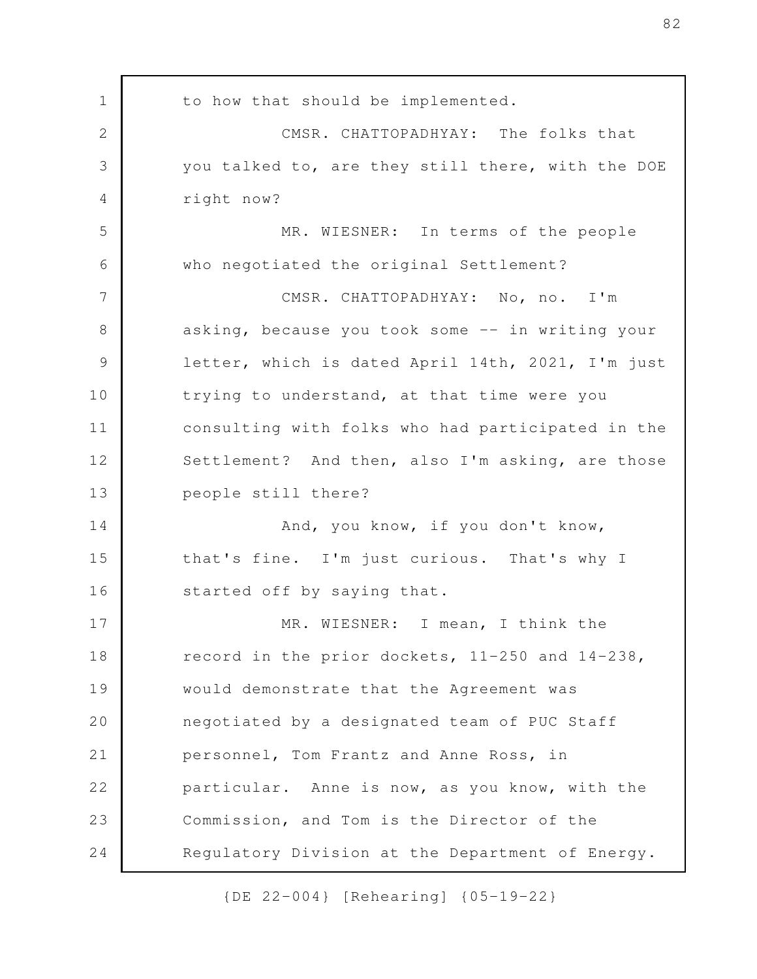to how that should be implemented. CMSR. CHATTOPADHYAY: The folks that you talked to, are they still there, with the DOE right now? MR. WIESNER: In terms of the people who negotiated the original Settlement? CMSR. CHATTOPADHYAY: No, no. I'm asking, because you took some -- in writing your letter, which is dated April 14th, 2021, I'm just trying to understand, at that time were you consulting with folks who had participated in the Settlement? And then, also I'm asking, are those people still there? And, you know, if you don't know, that's fine. I'm just curious. That's why I started off by saying that. MR. WIESNER: I mean, I think the record in the prior dockets, 11-250 and 14-238, would demonstrate that the Agreement was negotiated by a designated team of PUC Staff personnel, Tom Frantz and Anne Ross, in particular. Anne is now, as you know, with the Commission, and Tom is the Director of the Regulatory Division at the Department of Energy. 1 2 3 4 5 6 7 8 9 10 11 12 13 14 15 16 17 18 19 20 21 22 23 24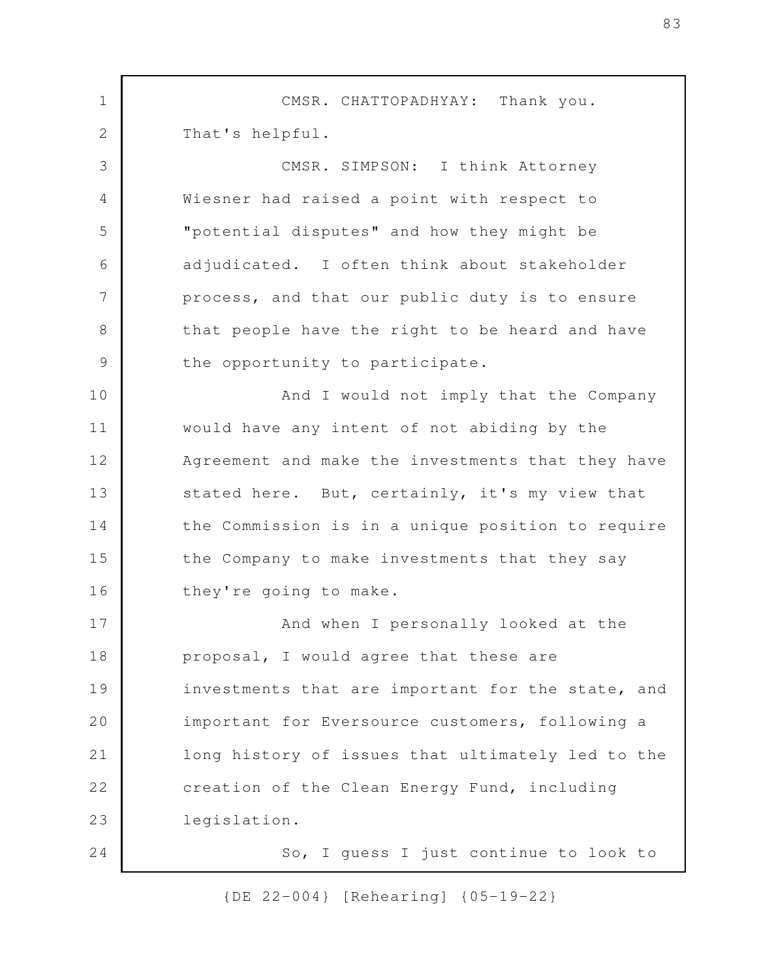CMSR. CHATTOPADHYAY: Thank you. That's helpful. CMSR. SIMPSON: I think Attorney Wiesner had raised a point with respect to "potential disputes" and how they might be adjudicated. I often think about stakeholder process, and that our public duty is to ensure that people have the right to be heard and have the opportunity to participate. And I would not imply that the Company would have any intent of not abiding by the Agreement and make the investments that they have stated here. But, certainly, it's my view that the Commission is in a unique position to require the Company to make investments that they say they're going to make. And when I personally looked at the proposal, I would agree that these are investments that are important for the state, and important for Eversource customers, following a long history of issues that ultimately led to the creation of the Clean Energy Fund, including legislation. So, I guess I just continue to look to 1 2 3 4 5 6 7 8 9 10 11 12 13 14 15 16 17 18 19 20 21 22 23 24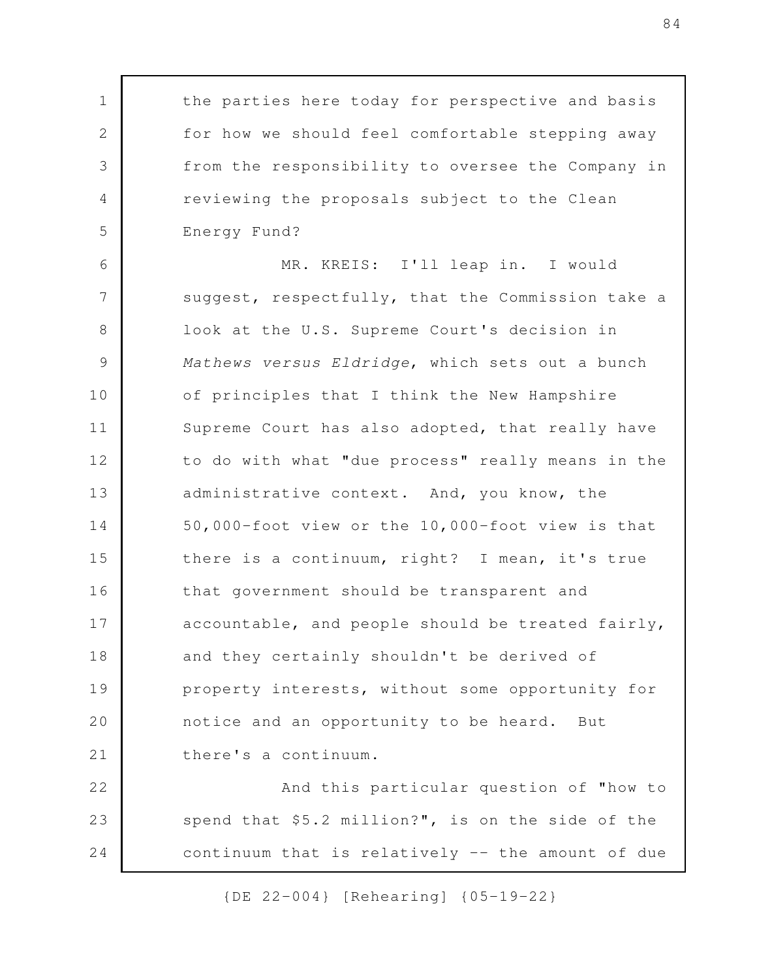the parties here today for perspective and basis for how we should feel comfortable stepping away from the responsibility to oversee the Company in reviewing the proposals subject to the Clean Energy Fund?

1

2

3

4

5

MR. KREIS: I'll leap in. I would suggest, respectfully, that the Commission take a look at the U.S. Supreme Court's decision in *Mathews versus Eldridge*, which sets out a bunch of principles that I think the New Hampshire Supreme Court has also adopted, that really have to do with what "due process" really means in the administrative context. And, you know, the 50,000-foot view or the 10,000-foot view is that there is a continuum, right? I mean, it's true that government should be transparent and accountable, and people should be treated fairly, and they certainly shouldn't be derived of property interests, without some opportunity for notice and an opportunity to be heard. But there's a continuum. 6 7 8 9 10 11 12 13 14 15 16 17 18 19 20 21

And this particular question of "how to spend that \$5.2 million?", is on the side of the continuum that is relatively -- the amount of due 22 23 24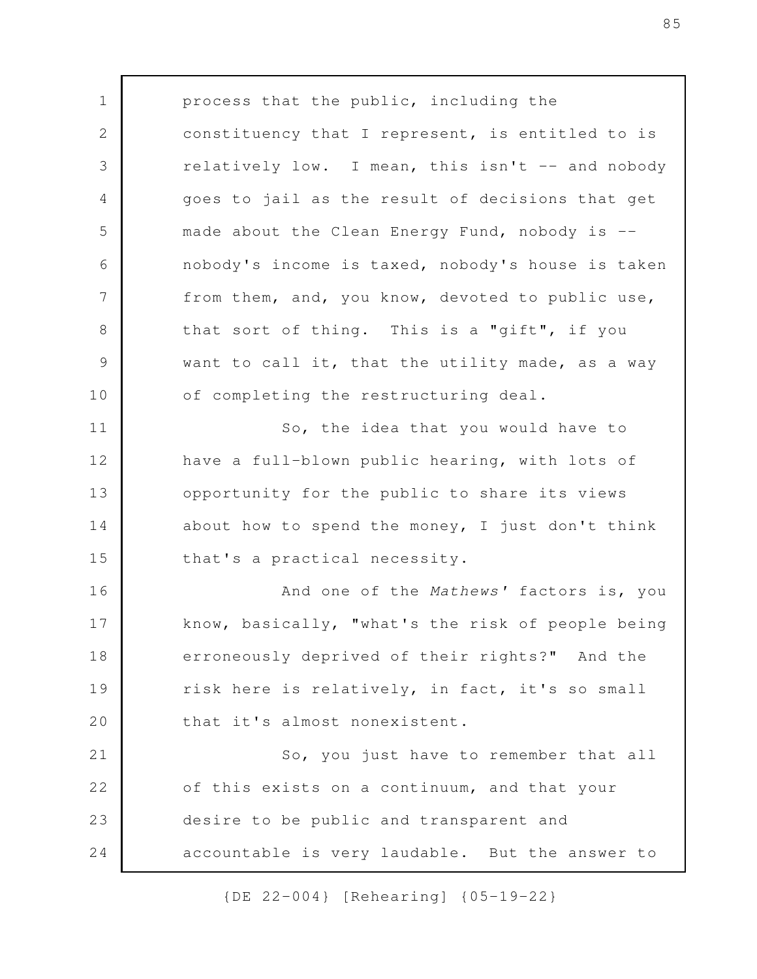process that the public, including the constituency that I represent, is entitled to is relatively low. I mean, this isn't -- and nobody goes to jail as the result of decisions that get made about the Clean Energy Fund, nobody is - nobody's income is taxed, nobody's house is taken from them, and, you know, devoted to public use, that sort of thing. This is a "gift", if you want to call it, that the utility made, as a way of completing the restructuring deal. So, the idea that you would have to have a full-blown public hearing, with lots of opportunity for the public to share its views about how to spend the money, I just don't think that's a practical necessity. And one of the *Mathews'* factors is, you know, basically, "what's the risk of people being erroneously deprived of their rights?" And the risk here is relatively, in fact, it's so small that it's almost nonexistent. So, you just have to remember that all of this exists on a continuum, and that your desire to be public and transparent and accountable is very laudable. But the answer to 1 2 3 4 5 6 7 8 9 10 11 12 13 14 15 16 17 18 19 20 21 22 23 24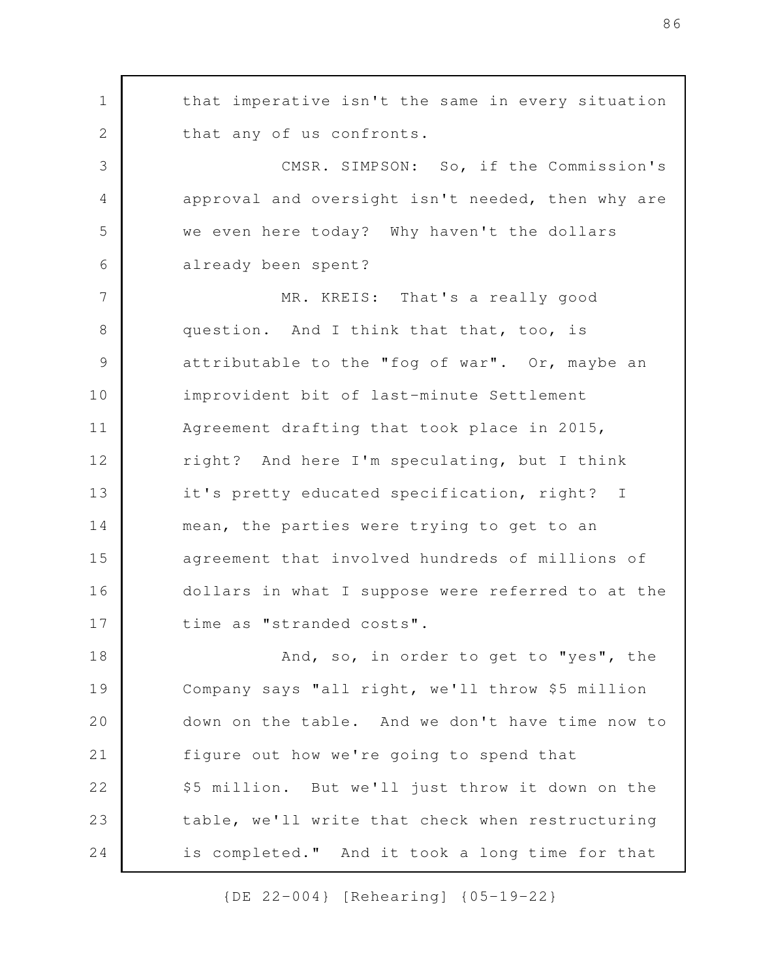that imperative isn't the same in every situation that any of us confronts. CMSR. SIMPSON: So, if the Commission's approval and oversight isn't needed, then why are we even here today? Why haven't the dollars already been spent? MR. KREIS: That's a really good question. And I think that that, too, is attributable to the "fog of war". Or, maybe an improvident bit of last-minute Settlement Agreement drafting that took place in 2015, right? And here I'm speculating, but I think it's pretty educated specification, right? I mean, the parties were trying to get to an agreement that involved hundreds of millions of dollars in what I suppose were referred to at the time as "stranded costs". And, so, in order to get to "yes", the Company says "all right, we'll throw \$5 million down on the table. And we don't have time now to figure out how we're going to spend that \$5 million. But we'll just throw it down on the table, we'll write that check when restructuring is completed." And it took a long time for that 1 2 3 4 5 6 7 8 9 10 11 12 13 14 15 16 17 18 19 20 21 22 23 24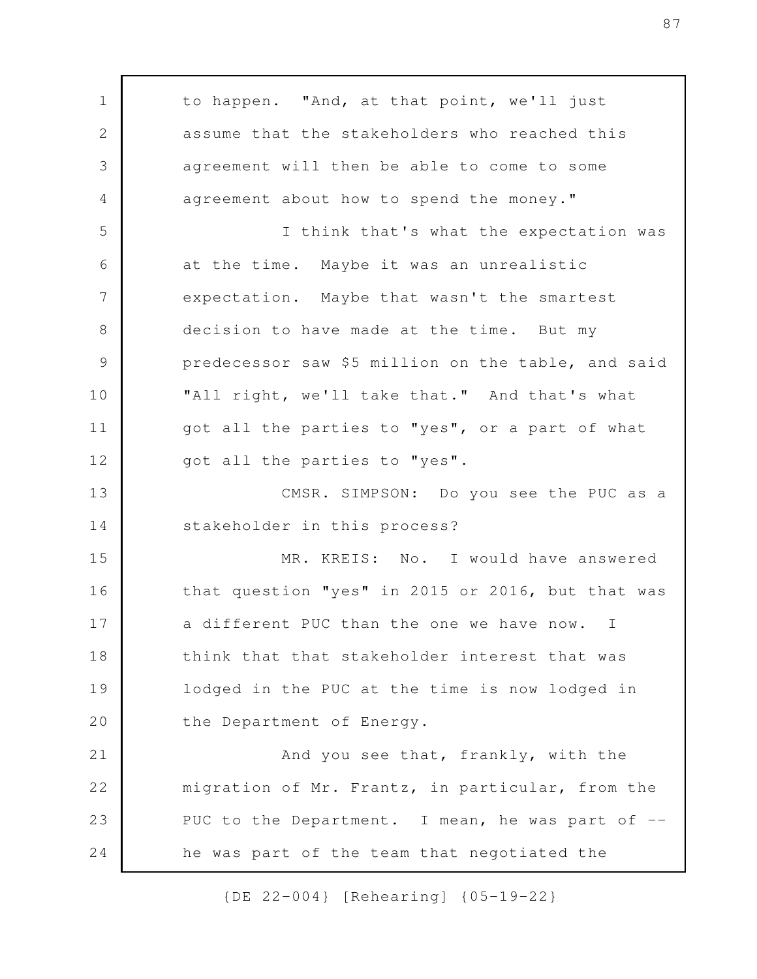to happen. "And, at that point, we'll just assume that the stakeholders who reached this agreement will then be able to come to some agreement about how to spend the money." I think that's what the expectation was at the time. Maybe it was an unrealistic expectation. Maybe that wasn't the smartest decision to have made at the time. But my predecessor saw \$5 million on the table, and said "All right, we'll take that." And that's what got all the parties to "yes", or a part of what got all the parties to "yes". CMSR. SIMPSON: Do you see the PUC as a stakeholder in this process? MR. KREIS: No. I would have answered that question "yes" in 2015 or 2016, but that was a different PUC than the one we have now. I think that that stakeholder interest that was lodged in the PUC at the time is now lodged in the Department of Energy. And you see that, frankly, with the migration of Mr. Frantz, in particular, from the PUC to the Department. I mean, he was part of -he was part of the team that negotiated the 1 2 3 4 5 6 7 8 9 10 11 12 13 14 15 16 17 18 19 20 21 22 23 24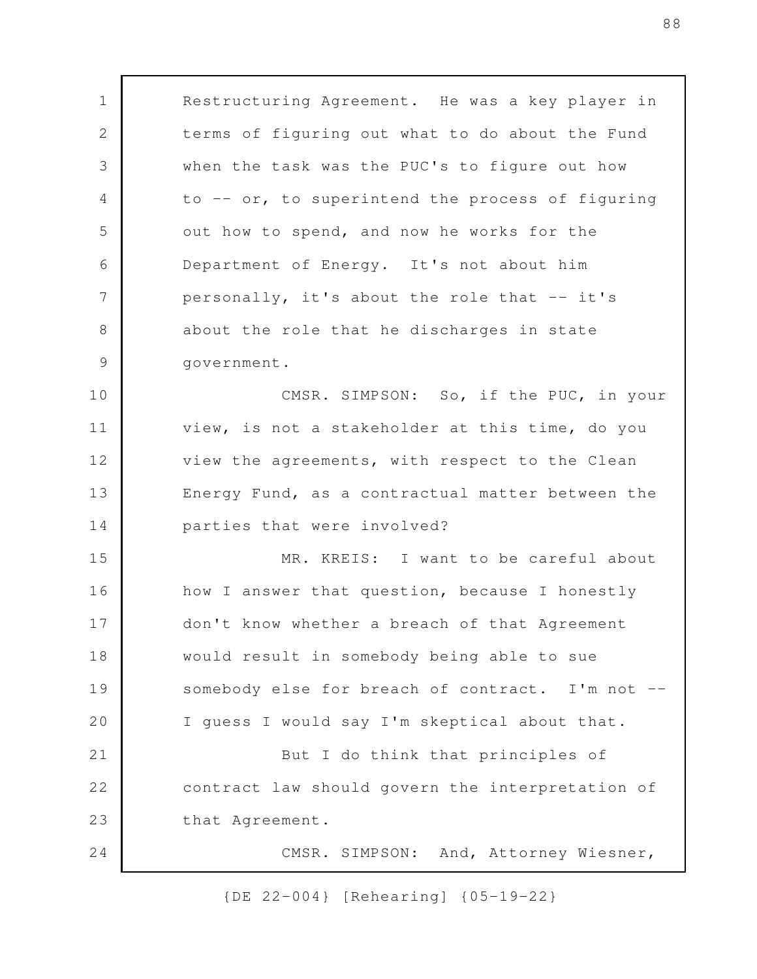Restructuring Agreement. He was a key player in terms of figuring out what to do about the Fund when the task was the PUC's to figure out how to -- or, to superintend the process of figuring out how to spend, and now he works for the Department of Energy. It's not about him personally, it's about the role that -- it's about the role that he discharges in state government. CMSR. SIMPSON: So, if the PUC, in your view, is not a stakeholder at this time, do you view the agreements, with respect to the Clean Energy Fund, as a contractual matter between the parties that were involved? MR. KREIS: I want to be careful about how I answer that question, because I honestly don't know whether a breach of that Agreement would result in somebody being able to sue somebody else for breach of contract. I'm not --I guess I would say I'm skeptical about that. But I do think that principles of contract law should govern the interpretation of that Agreement. CMSR. SIMPSON: And, Attorney Wiesner, 1 2 3 4 5 6 7 8 9 10 11 12 13 14 15 16 17 18 19 20 21 22 23 24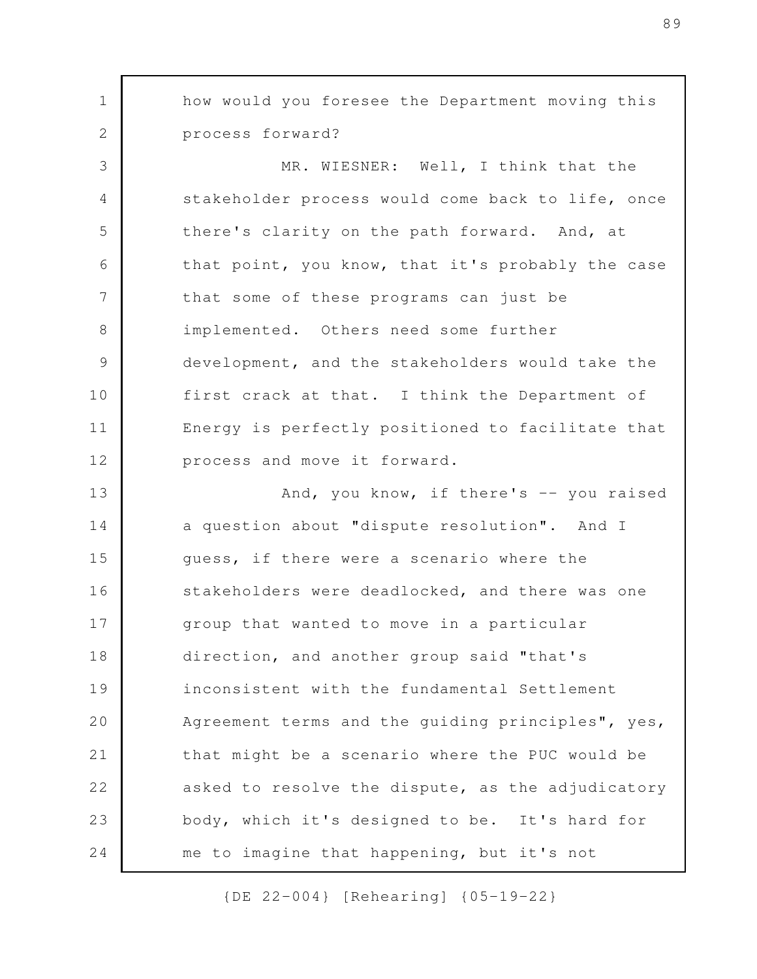how would you foresee the Department moving this process forward? MR. WIESNER: Well, I think that the stakeholder process would come back to life, once there's clarity on the path forward. And, at that point, you know, that it's probably the case that some of these programs can just be implemented. Others need some further development, and the stakeholders would take the first crack at that. I think the Department of Energy is perfectly positioned to facilitate that process and move it forward. And, you know, if there's -- you raised a question about "dispute resolution". And I guess, if there were a scenario where the stakeholders were deadlocked, and there was one group that wanted to move in a particular direction, and another group said "that's inconsistent with the fundamental Settlement Agreement terms and the guiding principles", yes, that might be a scenario where the PUC would be asked to resolve the dispute, as the adjudicatory body, which it's designed to be. It's hard for me to imagine that happening, but it's not 1 2 3 4 5 6 7 8 9 10 11 12 13 14 15 16 17 18 19 20 21 22 23 24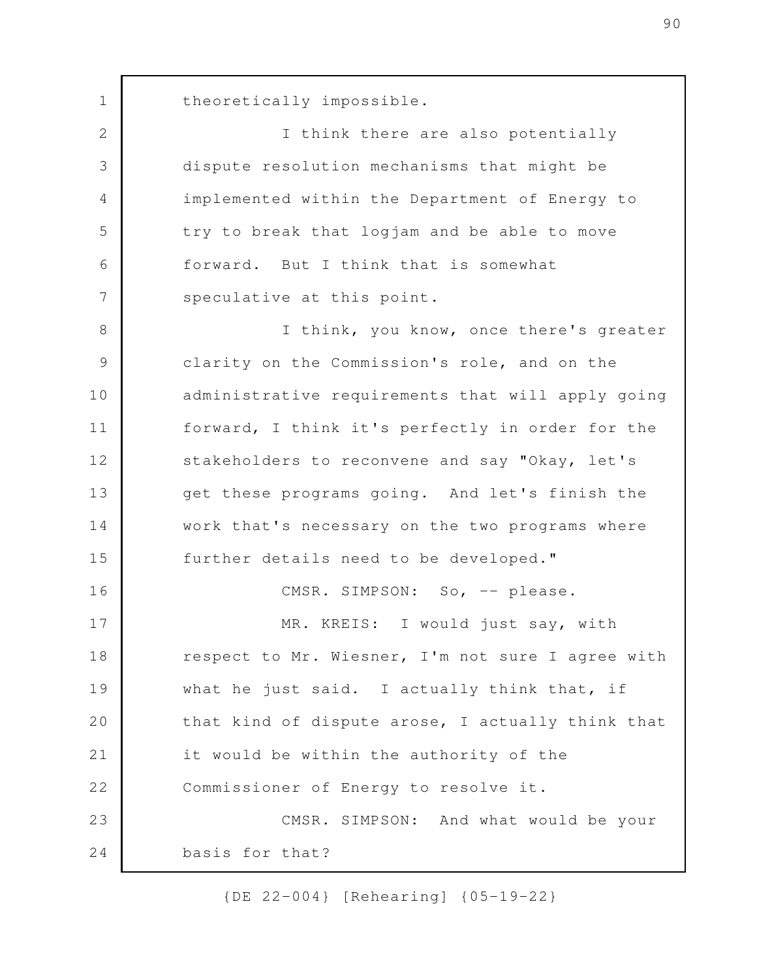theoretically impossible.

1

2

3

4

5

6

7

I think there are also potentially dispute resolution mechanisms that might be implemented within the Department of Energy to try to break that logjam and be able to move forward. But I think that is somewhat speculative at this point.

I think, you know, once there's greater clarity on the Commission's role, and on the administrative requirements that will apply going forward, I think it's perfectly in order for the stakeholders to reconvene and say "Okay, let's get these programs going. And let's finish the work that's necessary on the two programs where further details need to be developed." CMSR. SIMPSON: So, -- please. MR. KREIS: I would just say, with 8 9 10 11 12 13 14 15 16 17

respect to Mr. Wiesner, I'm not sure I agree with what he just said. I actually think that, if that kind of dispute arose, I actually think that it would be within the authority of the Commissioner of Energy to resolve it. CMSR. SIMPSON: And what would be your basis for that? 18 19 20 21 22 23 24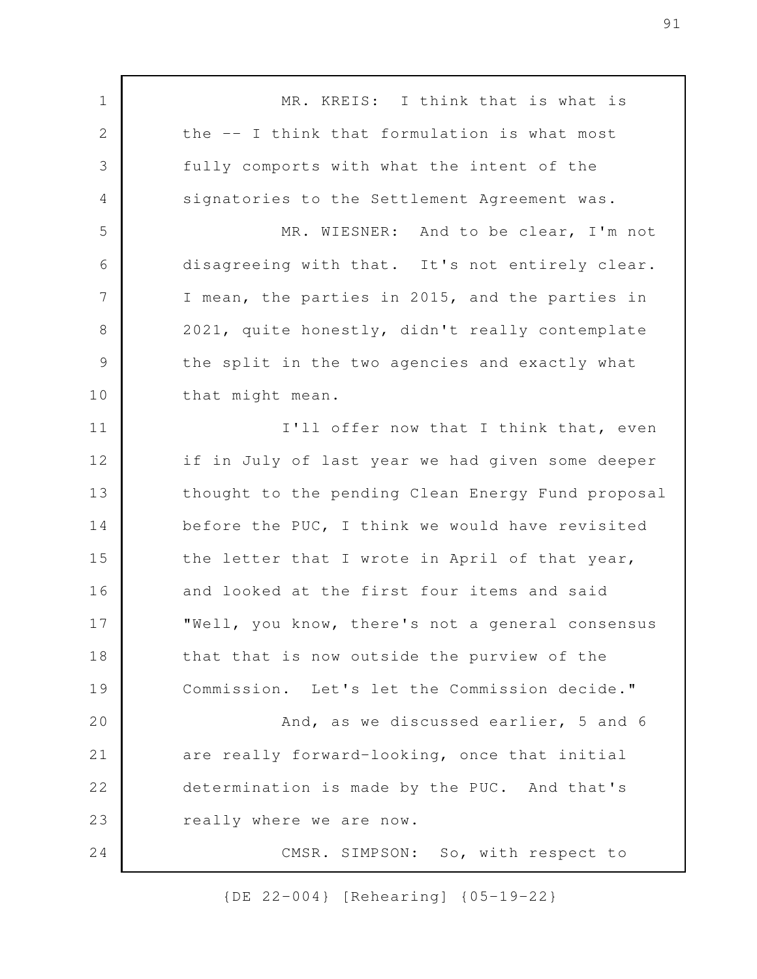MR. KREIS: I think that is what is the -- I think that formulation is what most fully comports with what the intent of the signatories to the Settlement Agreement was. MR. WIESNER: And to be clear, I'm not disagreeing with that. It's not entirely clear. I mean, the parties in 2015, and the parties in 2021, quite honestly, didn't really contemplate the split in the two agencies and exactly what that might mean. I'll offer now that I think that, even if in July of last year we had given some deeper thought to the pending Clean Energy Fund proposal before the PUC, I think we would have revisited the letter that I wrote in April of that year, and looked at the first four items and said "Well, you know, there's not a general consensus that that is now outside the purview of the Commission. Let's let the Commission decide." And, as we discussed earlier, 5 and 6 are really forward-looking, once that initial determination is made by the PUC. And that's really where we are now. CMSR. SIMPSON: So, with respect to 1 2 3 4 5 6 7 8 9 10 11 12 13 14 15 16 17 18 19 20 21 22 23 24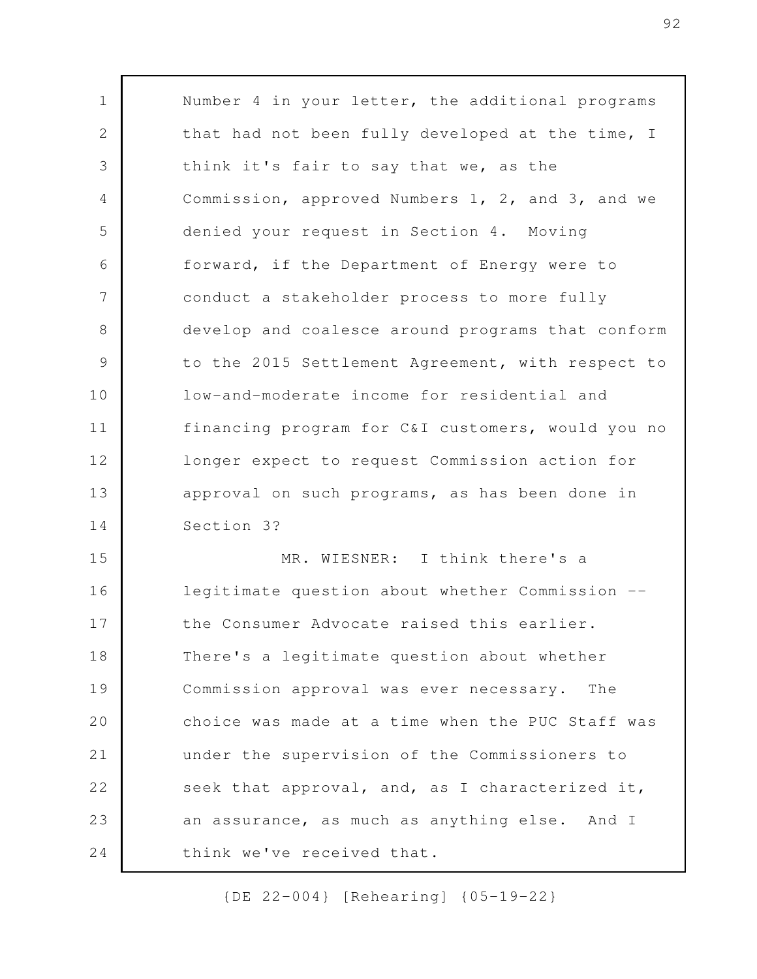Number 4 in your letter, the additional programs that had not been fully developed at the time, I think it's fair to say that we, as the Commission, approved Numbers 1, 2, and 3, and we denied your request in Section 4. Moving forward, if the Department of Energy were to conduct a stakeholder process to more fully develop and coalesce around programs that conform to the 2015 Settlement Agreement, with respect to low-and-moderate income for residential and financing program for C&I customers, would you no longer expect to request Commission action for approval on such programs, as has been done in Section 3? MR. WIESNER: I think there's a legitimate question about whether Commission - the Consumer Advocate raised this earlier. There's a legitimate question about whether Commission approval was ever necessary. The choice was made at a time when the PUC Staff was under the supervision of the Commissioners to seek that approval, and, as I characterized it, 1 2 3 4 5 6 7 8 9 10 11 12 13 14 15 16 17 18 19 20 21 22

an assurance, as much as anything else. And I think we've received that. 23 24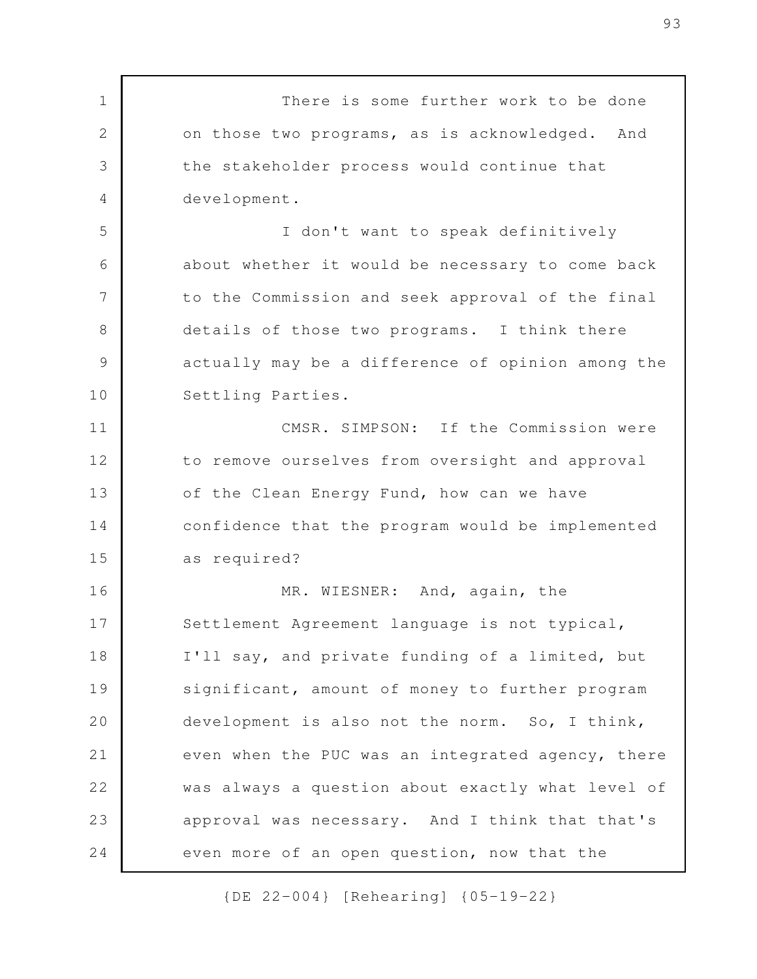There is some further work to be done on those two programs, as is acknowledged. And the stakeholder process would continue that development. I don't want to speak definitively about whether it would be necessary to come back to the Commission and seek approval of the final details of those two programs. I think there actually may be a difference of opinion among the Settling Parties. CMSR. SIMPSON: If the Commission were to remove ourselves from oversight and approval of the Clean Energy Fund, how can we have confidence that the program would be implemented as required? MR. WIESNER: And, again, the Settlement Agreement language is not typical, I'll say, and private funding of a limited, but significant, amount of money to further program development is also not the norm. So, I think, even when the PUC was an integrated agency, there was always a question about exactly what level of approval was necessary. And I think that that's even more of an open question, now that the 1 2 3 4 5 6 7 8 9 10 11 12 13 14 15 16 17 18 19 20 21 22 23 24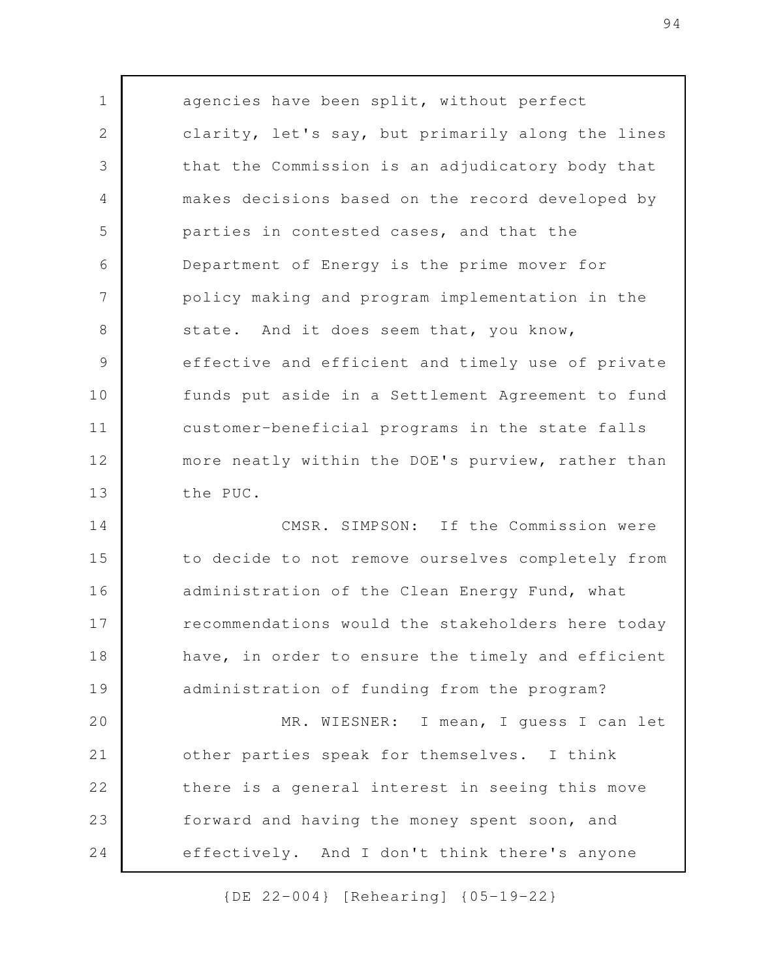agencies have been split, without perfect clarity, let's say, but primarily along the lines that the Commission is an adjudicatory body that makes decisions based on the record developed by parties in contested cases, and that the Department of Energy is the prime mover for policy making and program implementation in the state. And it does seem that, you know, effective and efficient and timely use of private funds put aside in a Settlement Agreement to fund customer-beneficial programs in the state falls more neatly within the DOE's purview, rather than the PUC. CMSR. SIMPSON: If the Commission were 1 2 3 4 5 6 7 8 9 10 11 12 13

to decide to not remove ourselves completely from administration of the Clean Energy Fund, what recommendations would the stakeholders here today have, in order to ensure the timely and efficient administration of funding from the program? MR. WIESNER: I mean, I guess I can let other parties speak for themselves. I think there is a general interest in seeing this move forward and having the money spent soon, and effectively. And I don't think there's anyone 14 15 16 17 18 19 20 21 22 23 24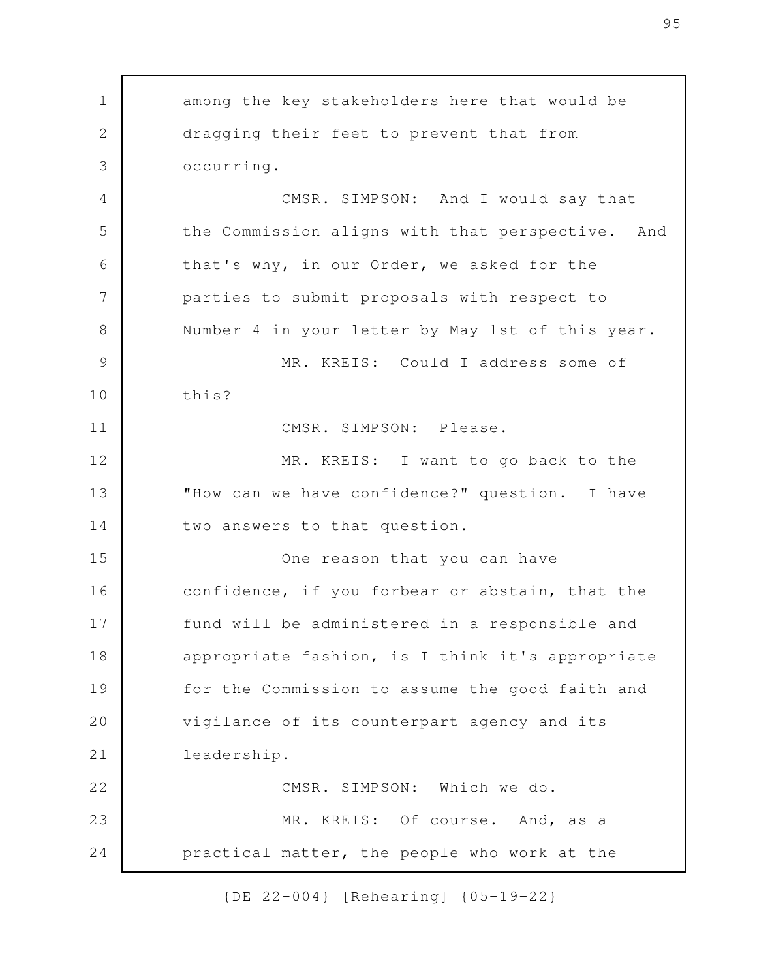among the key stakeholders here that would be dragging their feet to prevent that from occurring. CMSR. SIMPSON: And I would say that the Commission aligns with that perspective. And that's why, in our Order, we asked for the parties to submit proposals with respect to Number 4 in your letter by May 1st of this year. MR. KREIS: Could I address some of this? CMSR. SIMPSON: Please. MR. KREIS: I want to go back to the "How can we have confidence?" question. I have two answers to that question. One reason that you can have confidence, if you forbear or abstain, that the fund will be administered in a responsible and appropriate fashion, is I think it's appropriate for the Commission to assume the good faith and vigilance of its counterpart agency and its leadership. CMSR. SIMPSON: Which we do. MR. KREIS: Of course. And, as a practical matter, the people who work at the 1 2 3 4 5 6 7 8 9 10 11 12 13 14 15 16 17 18 19 20 21 22 23 24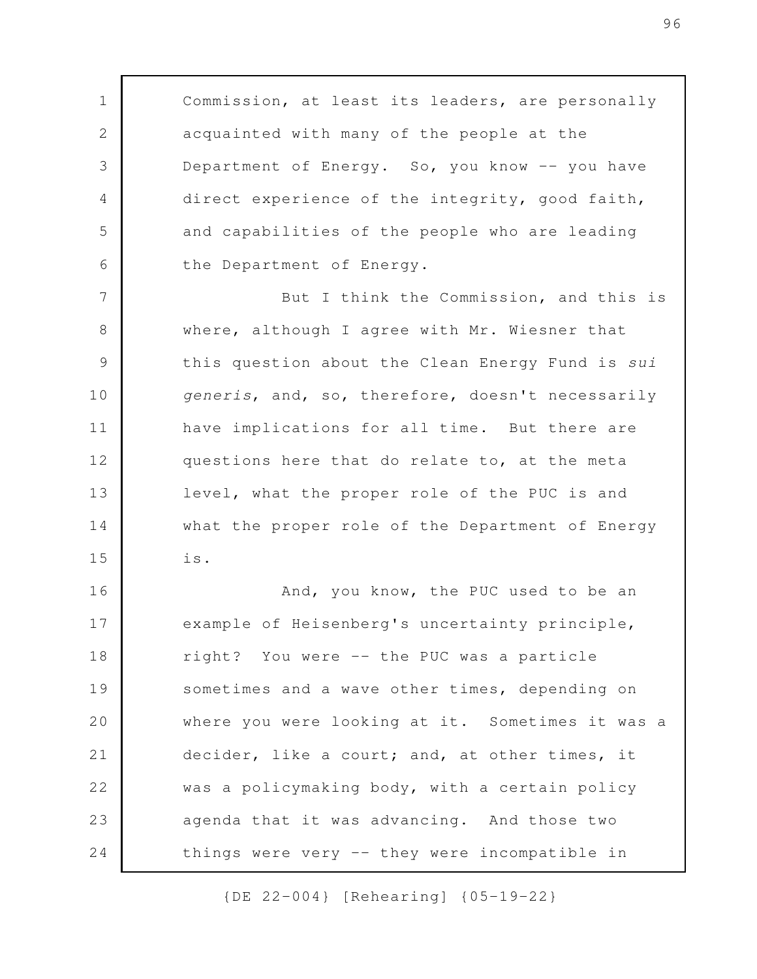Commission, at least its leaders, are personally acquainted with many of the people at the Department of Energy. So, you know -- you have direct experience of the integrity, good faith, and capabilities of the people who are leading the Department of Energy.

1

2

3

4

5

6

But I think the Commission, and this is where, although I agree with Mr. Wiesner that this question about the Clean Energy Fund is *sui generis*, and, so, therefore, doesn't necessarily have implications for all time. But there are questions here that do relate to, at the meta level, what the proper role of the PUC is and what the proper role of the Department of Energy is. 7 8 9 10 11 12 13 14 15

And, you know, the PUC used to be an example of Heisenberg's uncertainty principle, right? You were -- the PUC was a particle sometimes and a wave other times, depending on where you were looking at it. Sometimes it was a decider, like a court; and, at other times, it was a policymaking body, with a certain policy agenda that it was advancing. And those two things were very -- they were incompatible in 16 17 18 19 20 21 22 23 24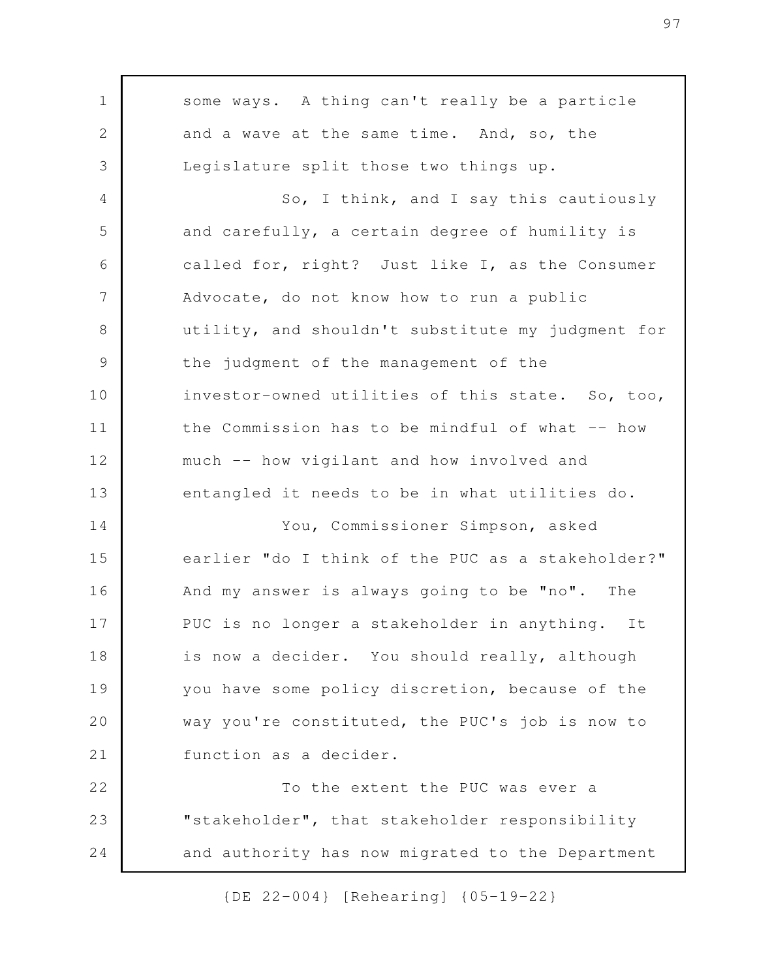some ways. A thing can't really be a particle and a wave at the same time. And, so, the Legislature split those two things up. So, I think, and I say this cautiously and carefully, a certain degree of humility is called for, right? Just like I, as the Consumer Advocate, do not know how to run a public utility, and shouldn't substitute my judgment for the judgment of the management of the investor-owned utilities of this state. So, too, the Commission has to be mindful of what -- how much -- how vigilant and how involved and entangled it needs to be in what utilities do. You, Commissioner Simpson, asked earlier "do I think of the PUC as a stakeholder?" And my answer is always going to be "no". The PUC is no longer a stakeholder in anything. It is now a decider. You should really, although you have some policy discretion, because of the way you're constituted, the PUC's job is now to function as a decider. To the extent the PUC was ever a "stakeholder", that stakeholder responsibility and authority has now migrated to the Department 1 2 3 4 5 6 7 8 9 10 11 12 13 14 15 16 17 18 19 20 21 22 23 24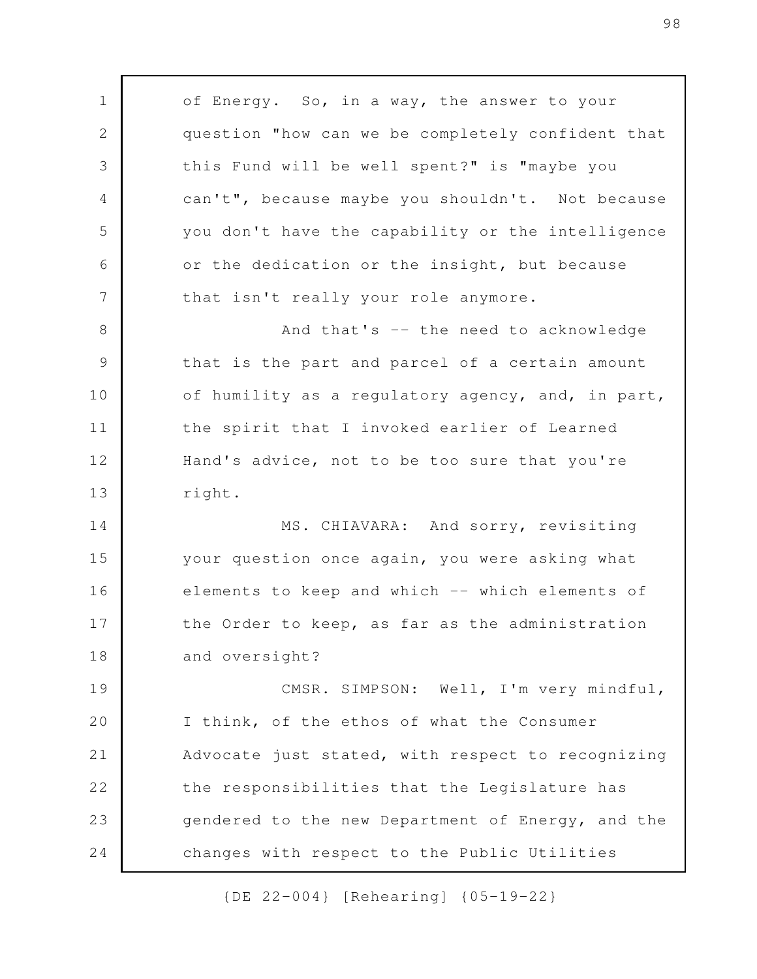of Energy. So, in a way, the answer to your question "how can we be completely confident that this Fund will be well spent?" is "maybe you can't", because maybe you shouldn't. Not because you don't have the capability or the intelligence or the dedication or the insight, but because that isn't really your role anymore. And that's -- the need to acknowledge that is the part and parcel of a certain amount of humility as a regulatory agency, and, in part, the spirit that I invoked earlier of Learned Hand's advice, not to be too sure that you're right. MS. CHIAVARA: And sorry, revisiting your question once again, you were asking what elements to keep and which -- which elements of the Order to keep, as far as the administration and oversight? CMSR. SIMPSON: Well, I'm very mindful, I think, of the ethos of what the Consumer Advocate just stated, with respect to recognizing the responsibilities that the Legislature has gendered to the new Department of Energy, and the changes with respect to the Public Utilities 1 2 3 4 5 6 7 8 9 10 11 12 13 14 15 16 17 18 19 20 21 22 23 24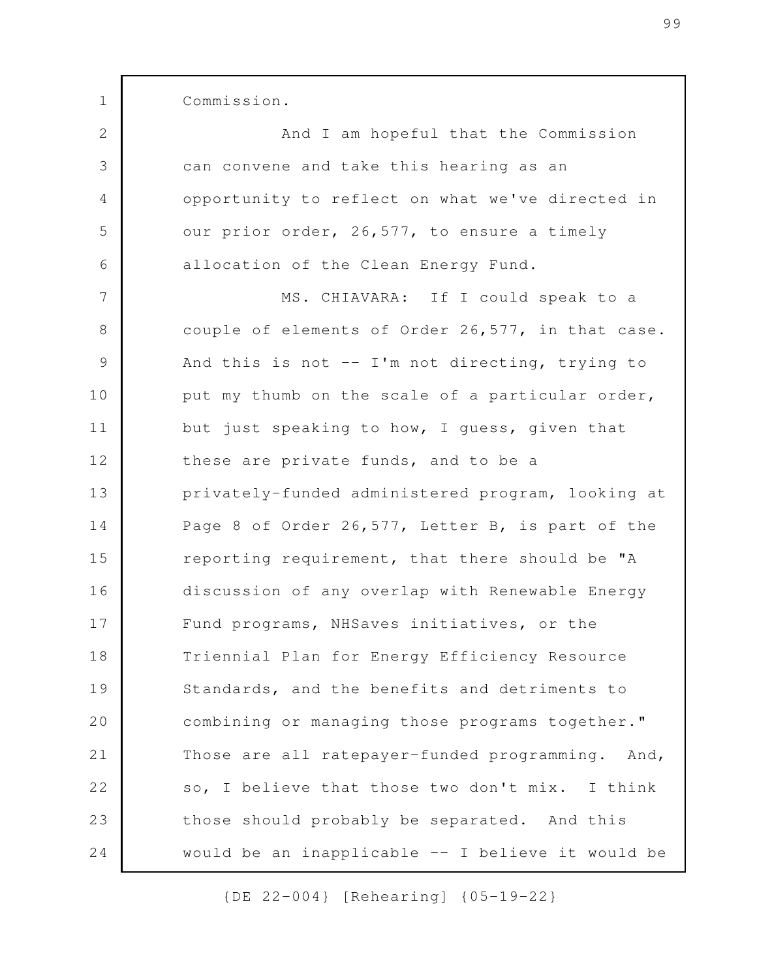Commission.

1

And I am hopeful that the Commission can convene and take this hearing as an opportunity to reflect on what we've directed in our prior order, 26,577, to ensure a timely allocation of the Clean Energy Fund. MS. CHIAVARA: If I could speak to a couple of elements of Order 26,577, in that case. And this is not -- I'm not directing, trying to put my thumb on the scale of a particular order, but just speaking to how, I guess, given that these are private funds, and to be a privately-funded administered program, looking at Page 8 of Order 26,577, Letter B, is part of the reporting requirement, that there should be "A discussion of any overlap with Renewable Energy Fund programs, NHSaves initiatives, or the Triennial Plan for Energy Efficiency Resource Standards, and the benefits and detriments to combining or managing those programs together." Those are all ratepayer-funded programming. And, so, I believe that those two don't mix. I think those should probably be separated. And this would be an inapplicable -- I believe it would be 2 3 4 5 6 7 8 9 10 11 12 13 14 15 16 17 18 19 20 21 22 23 24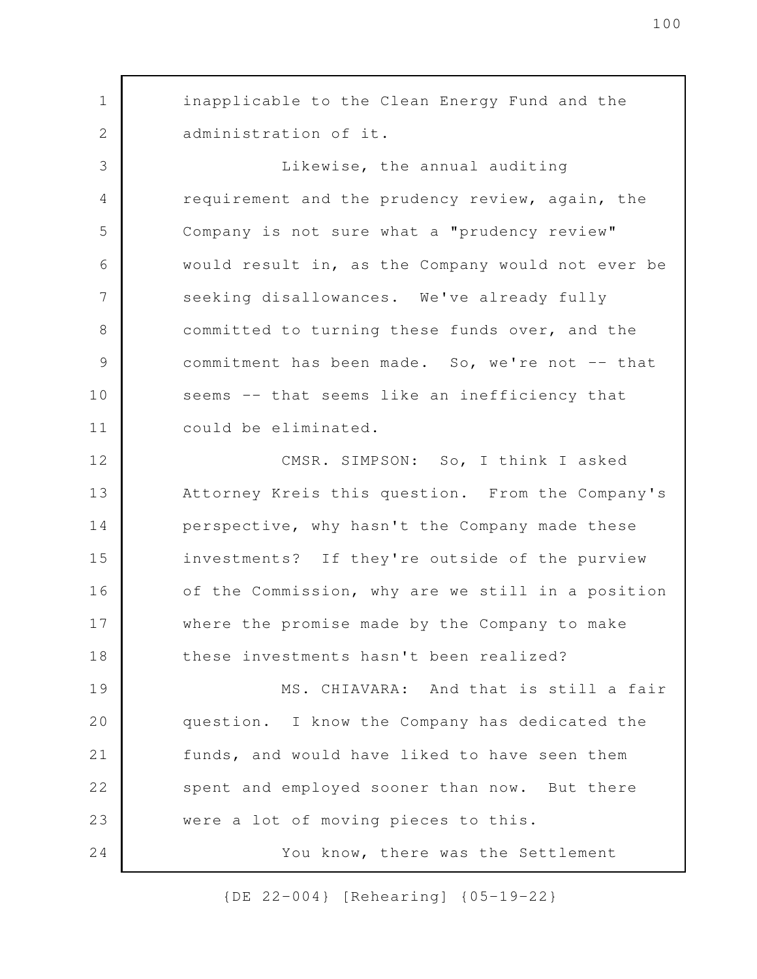inapplicable to the Clean Energy Fund and the administration of it. Likewise, the annual auditing requirement and the prudency review, again, the Company is not sure what a "prudency review" would result in, as the Company would not ever be seeking disallowances. We've already fully committed to turning these funds over, and the commitment has been made. So, we're not -- that seems -- that seems like an inefficiency that could be eliminated. CMSR. SIMPSON: So, I think I asked Attorney Kreis this question. From the Company's perspective, why hasn't the Company made these investments? If they're outside of the purview of the Commission, why are we still in a position where the promise made by the Company to make these investments hasn't been realized? MS. CHIAVARA: And that is still a fair question. I know the Company has dedicated the funds, and would have liked to have seen them spent and employed sooner than now. But there were a lot of moving pieces to this. You know, there was the Settlement 1 2 3 4 5 6 7 8 9 10 11 12 13 14 15 16 17 18 19 20 21 22 23 24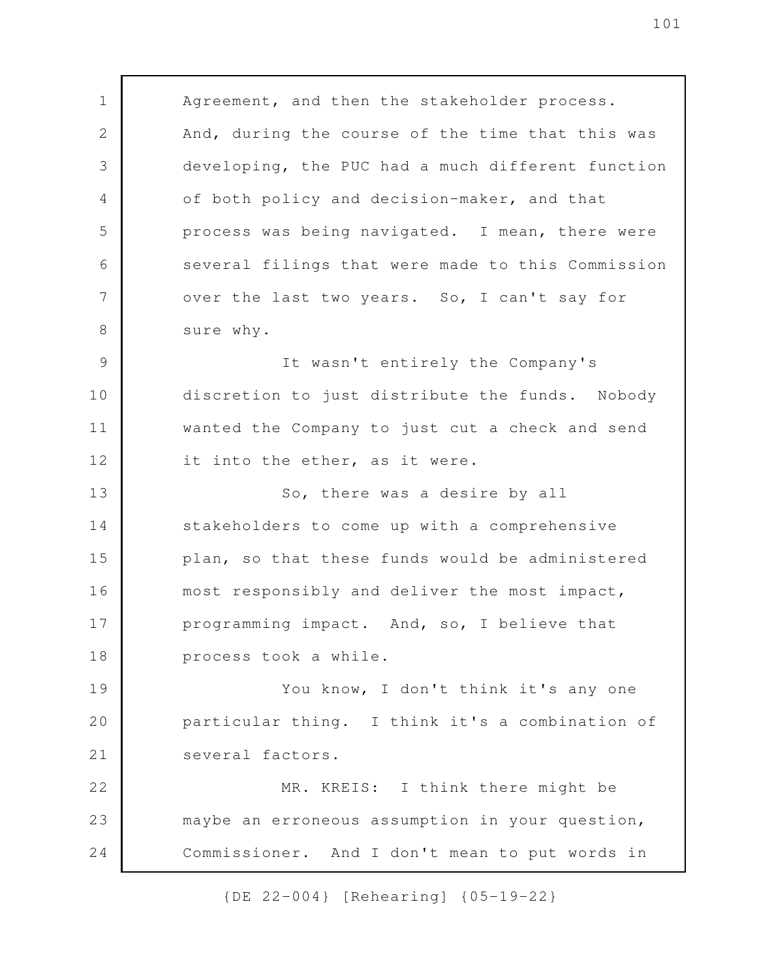Agreement, and then the stakeholder process. And, during the course of the time that this was developing, the PUC had a much different function of both policy and decision-maker, and that process was being navigated. I mean, there were several filings that were made to this Commission over the last two years. So, I can't say for sure why. It wasn't entirely the Company's discretion to just distribute the funds. Nobody 1 2 3 4 5 6 7 8 9 10

wanted the Company to just cut a check and send

it into the ether, as it were. 12

11

So, there was a desire by all stakeholders to come up with a comprehensive plan, so that these funds would be administered most responsibly and deliver the most impact, programming impact. And, so, I believe that process took a while. 13 14 15 16 17 18

You know, I don't think it's any one particular thing. I think it's a combination of several factors. 19 20 21

MR. KREIS: I think there might be maybe an erroneous assumption in your question, Commissioner. And I don't mean to put words in 22 23 24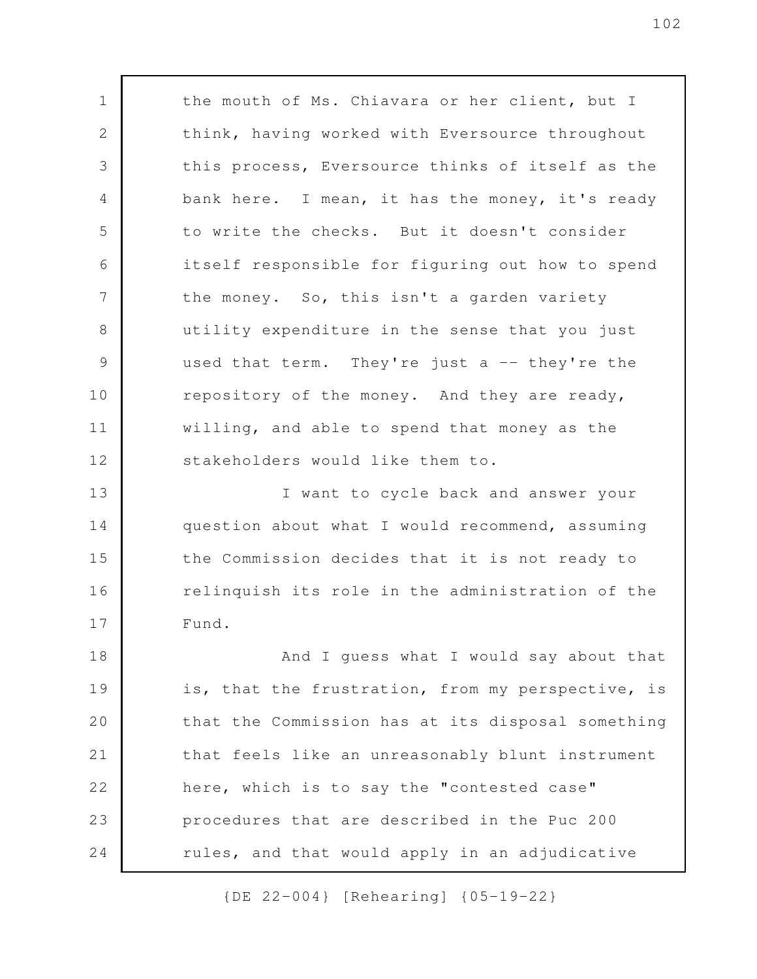the mouth of Ms. Chiavara or her client, but I think, having worked with Eversource throughout this process, Eversource thinks of itself as the bank here. I mean, it has the money, it's ready to write the checks. But it doesn't consider itself responsible for figuring out how to spend the money. So, this isn't a garden variety utility expenditure in the sense that you just used that term. They're just a -- they're the repository of the money. And they are ready, willing, and able to spend that money as the stakeholders would like them to. I want to cycle back and answer your question about what I would recommend, assuming the Commission decides that it is not ready to relinquish its role in the administration of the Fund. And I guess what I would say about that is, that the frustration, from my perspective, is that the Commission has at its disposal something that feels like an unreasonably blunt instrument here, which is to say the "contested case" procedures that are described in the Puc 200 rules, and that would apply in an adjudicative 1 2 3 4 5 6 7 8 9 10 11 12 13 14 15 16 17 18 19 20 21 22 23 24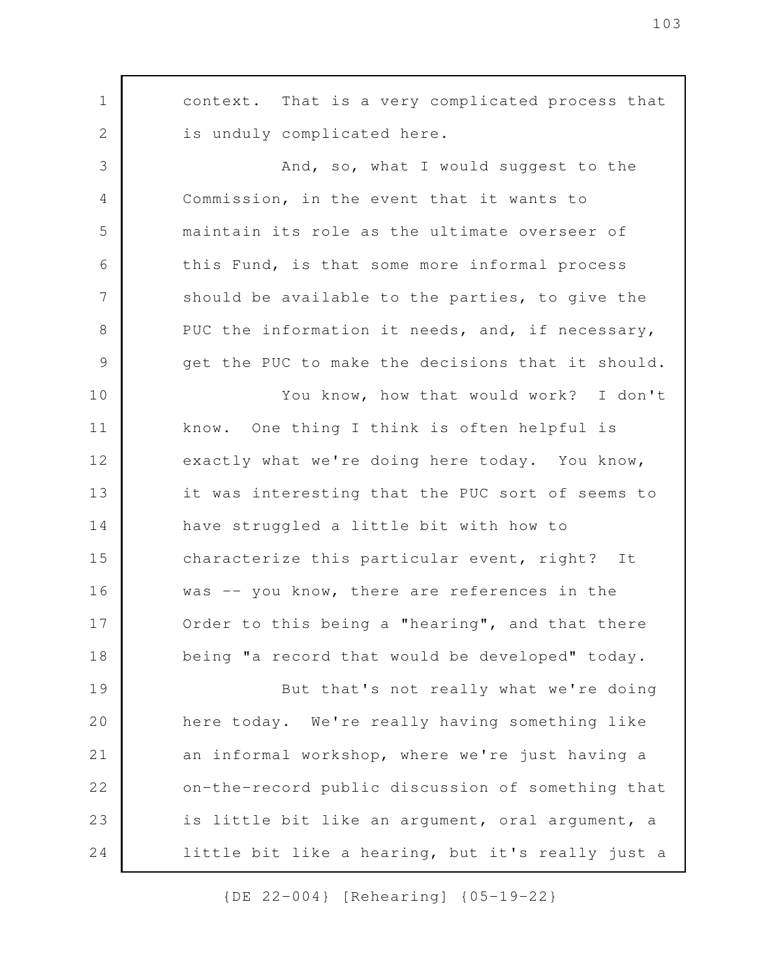context. That is a very complicated process that is unduly complicated here. And, so, what I would suggest to the Commission, in the event that it wants to maintain its role as the ultimate overseer of this Fund, is that some more informal process should be available to the parties, to give the PUC the information it needs, and, if necessary, get the PUC to make the decisions that it should. You know, how that would work? I don't know. One thing I think is often helpful is exactly what we're doing here today. You know, it was interesting that the PUC sort of seems to have struggled a little bit with how to characterize this particular event, right? It was -- you know, there are references in the Order to this being a "hearing", and that there being "a record that would be developed" today. But that's not really what we're doing here today. We're really having something like an informal workshop, where we're just having a on-the-record public discussion of something that is little bit like an argument, oral argument, a little bit like a hearing, but it's really just a 1 2 3 4 5 6 7 8 9 10 11 12 13 14 15 16 17 18 19 20 21 22 23 24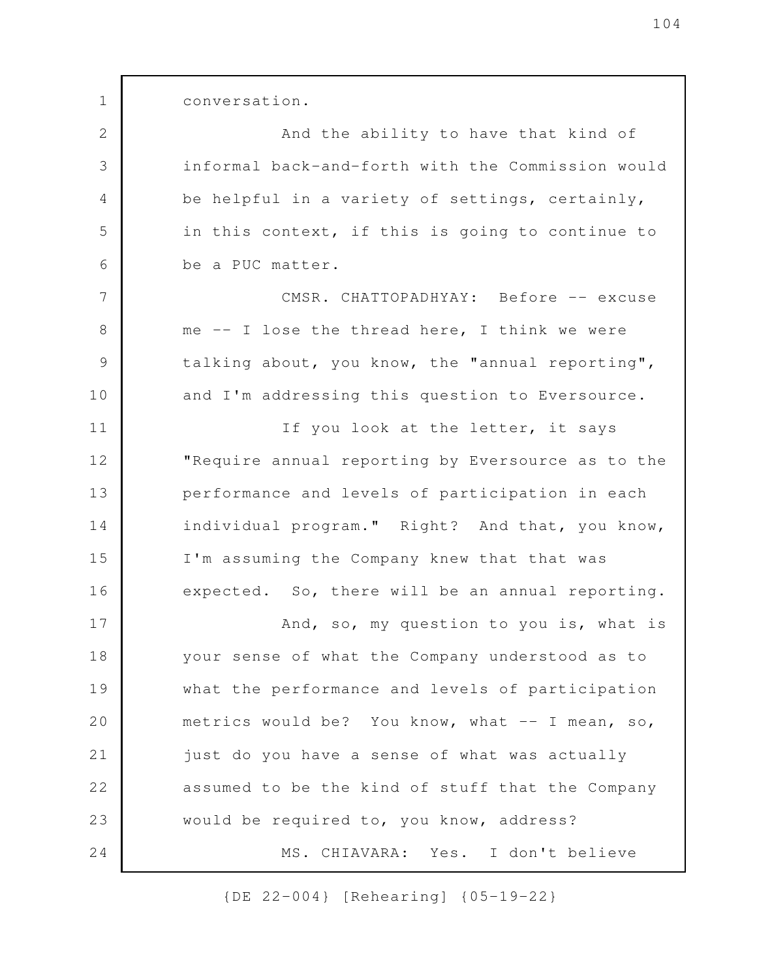conversation. And the ability to have that kind of informal back-and-forth with the Commission would be helpful in a variety of settings, certainly, in this context, if this is going to continue to be a PUC matter. CMSR. CHATTOPADHYAY: Before -- excuse me -- I lose the thread here, I think we were talking about, you know, the "annual reporting", and I'm addressing this question to Eversource. If you look at the letter, it says "Require annual reporting by Eversource as to the performance and levels of participation in each individual program." Right? And that, you know, I'm assuming the Company knew that that was expected. So, there will be an annual reporting. And, so, my question to you is, what is your sense of what the Company understood as to what the performance and levels of participation metrics would be? You know, what -- I mean, so, just do you have a sense of what was actually assumed to be the kind of stuff that the Company would be required to, you know, address? MS. CHIAVARA: Yes. I don't believe 1 2 3 4 5 6 7 8 9 10 11 12 13 14 15 16 17 18 19 20 21 22 23 24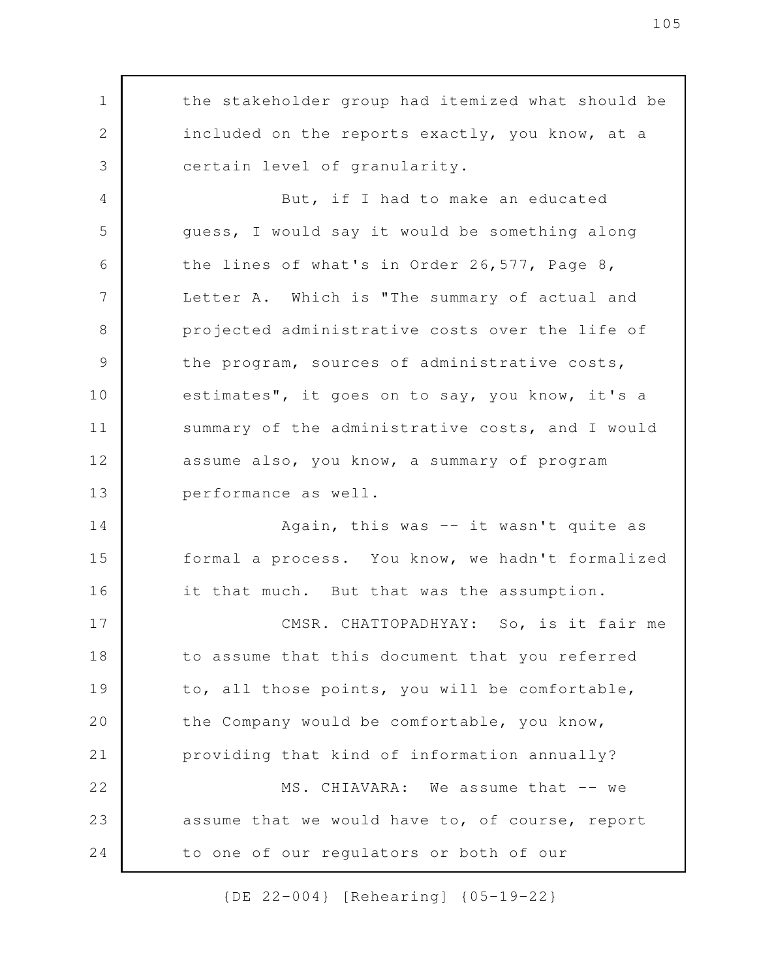the stakeholder group had itemized what should be included on the reports exactly, you know, at a certain level of granularity. But, if I had to make an educated guess, I would say it would be something along the lines of what's in Order 26,577, Page 8, Letter A. Which is "The summary of actual and projected administrative costs over the life of the program, sources of administrative costs, estimates", it goes on to say, you know, it's a summary of the administrative costs, and I would assume also, you know, a summary of program performance as well. Again, this was -- it wasn't quite as formal a process. You know, we hadn't formalized it that much. But that was the assumption. CMSR. CHATTOPADHYAY: So, is it fair me to assume that this document that you referred to, all those points, you will be comfortable, the Company would be comfortable, you know, providing that kind of information annually? MS. CHIAVARA: We assume that -- we assume that we would have to, of course, report to one of our regulators or both of our 1 2 3 4 5 6 7 8 9 10 11 12 13 14 15 16 17 18 19 20 21 22 23 24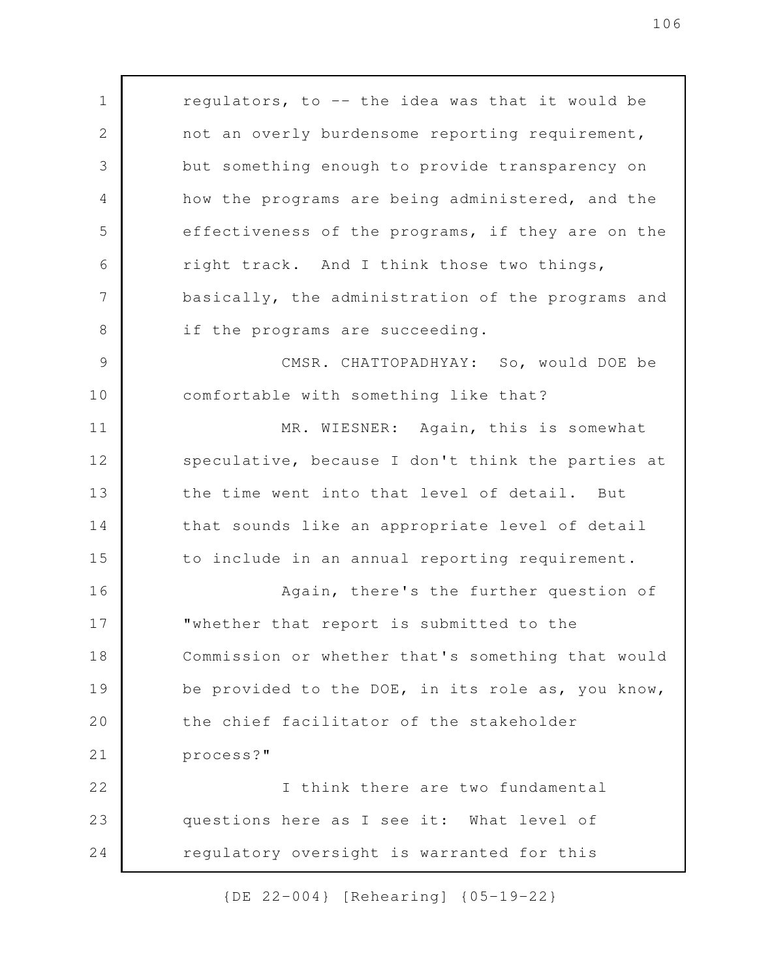regulators, to -- the idea was that it would be not an overly burdensome reporting requirement, but something enough to provide transparency on how the programs are being administered, and the effectiveness of the programs, if they are on the right track. And I think those two things, basically, the administration of the programs and if the programs are succeeding. CMSR. CHATTOPADHYAY: So, would DOE be comfortable with something like that? MR. WIESNER: Again, this is somewhat speculative, because I don't think the parties at the time went into that level of detail. But that sounds like an appropriate level of detail to include in an annual reporting requirement. Again, there's the further question of "whether that report is submitted to the Commission or whether that's something that would be provided to the DOE, in its role as, you know, the chief facilitator of the stakeholder process?" I think there are two fundamental questions here as I see it: What level of regulatory oversight is warranted for this 1 2 3 4 5 6 7 8 9 10 11 12 13 14 15 16 17 18 19 20 21 22 23 24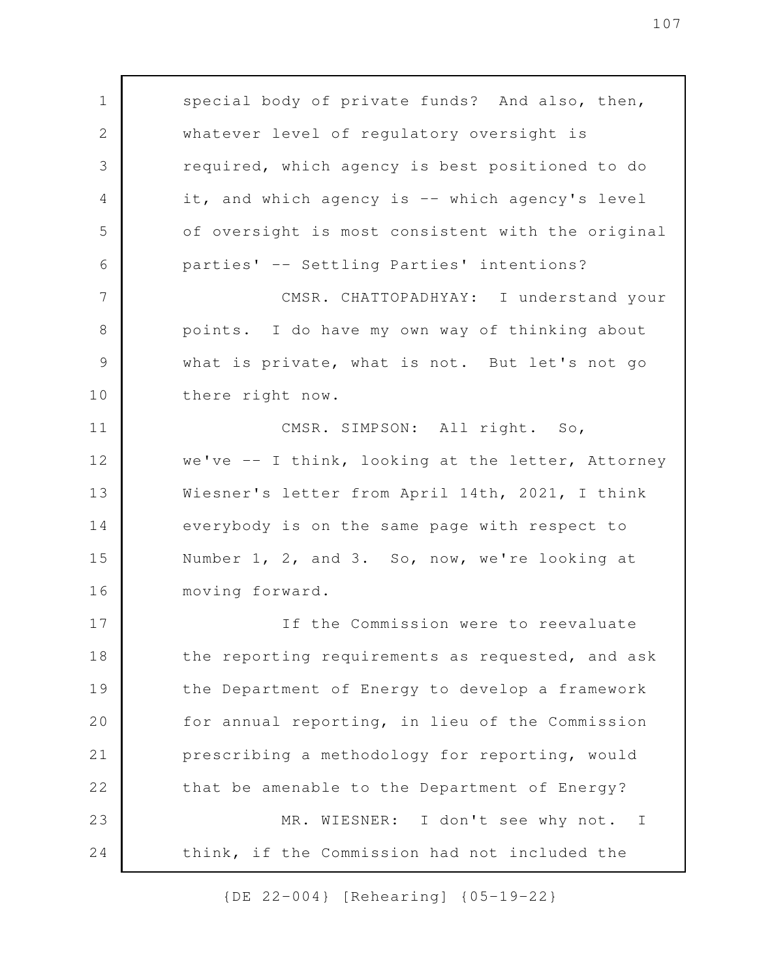special body of private funds? And also, then, whatever level of regulatory oversight is required, which agency is best positioned to do it, and which agency is -- which agency's level of oversight is most consistent with the original parties' -- Settling Parties' intentions? CMSR. CHATTOPADHYAY: I understand your points. I do have my own way of thinking about what is private, what is not. But let's not go there right now. CMSR. SIMPSON: All right. So, we've  $-$  I think, looking at the letter, Attorney Wiesner's letter from April 14th, 2021, I think everybody is on the same page with respect to Number 1, 2, and 3. So, now, we're looking at moving forward. If the Commission were to reevaluate the reporting requirements as requested, and ask the Department of Energy to develop a framework for annual reporting, in lieu of the Commission prescribing a methodology for reporting, would that be amenable to the Department of Energy? MR. WIESNER: I don't see why not. I think, if the Commission had not included the 1 2 3 4 5 6 7 8 9 10 11 12 13 14 15 16 17 18 19 20 21 22 23 24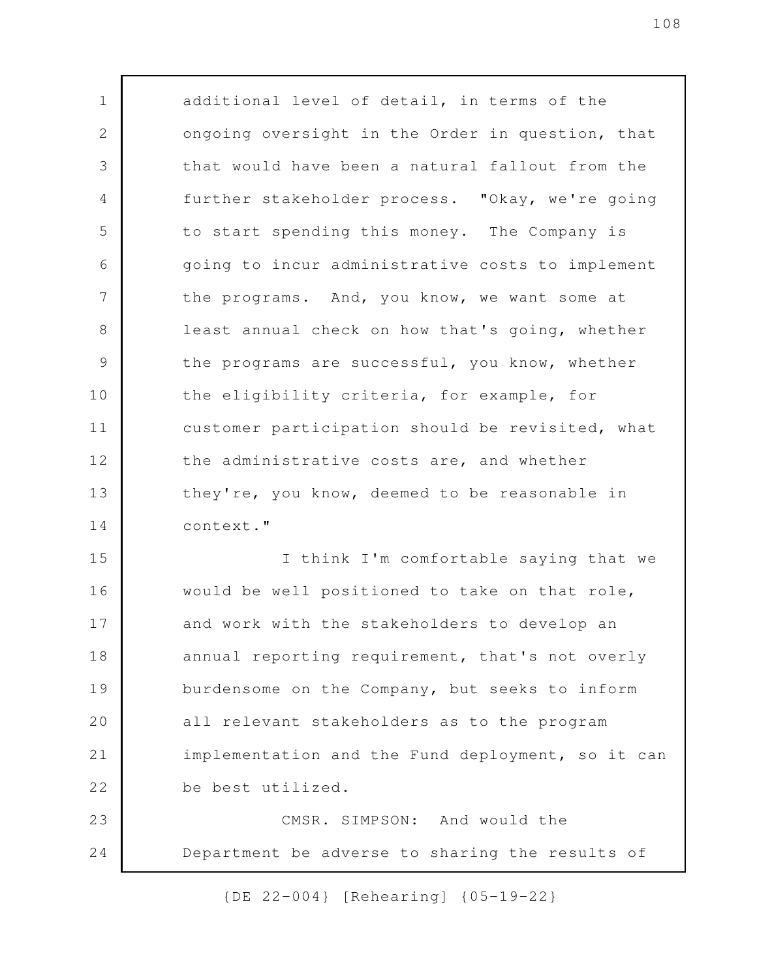additional level of detail, in terms of the ongoing oversight in the Order in question, that that would have been a natural fallout from the further stakeholder process. "Okay, we're going to start spending this money. The Company is going to incur administrative costs to implement the programs. And, you know, we want some at least annual check on how that's going, whether the programs are successful, you know, whether the eligibility criteria, for example, for customer participation should be revisited, what the administrative costs are, and whether they're, you know, deemed to be reasonable in context." I think I'm comfortable saying that we would be well positioned to take on that role, and work with the stakeholders to develop an annual reporting requirement, that's not overly burdensome on the Company, but seeks to inform all relevant stakeholders as to the program implementation and the Fund deployment, so it can be best utilized. CMSR. SIMPSON: And would the Department be adverse to sharing the results of 1 2 3 4 5 6 7 8 9 10 11 12 13 14 15 16 17 18 19 20 21 22 23 24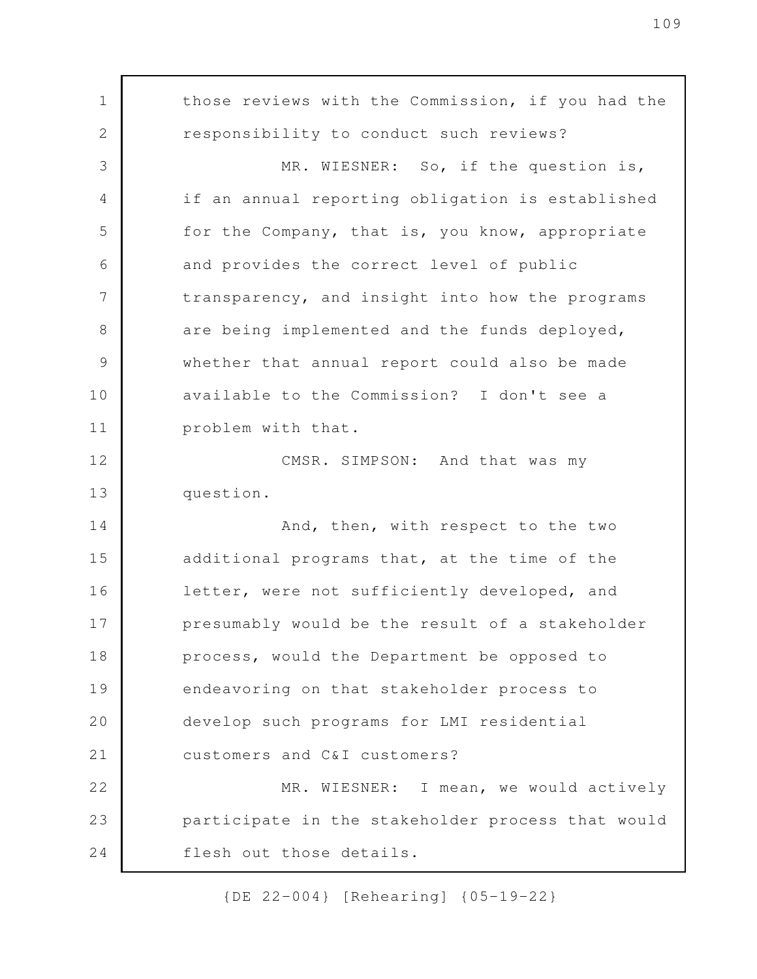those reviews with the Commission, if you had the responsibility to conduct such reviews? MR. WIESNER: So, if the question is, if an annual reporting obligation is established for the Company, that is, you know, appropriate and provides the correct level of public transparency, and insight into how the programs are being implemented and the funds deployed, whether that annual report could also be made available to the Commission? I don't see a problem with that. CMSR. SIMPSON: And that was my question. And, then, with respect to the two additional programs that, at the time of the letter, were not sufficiently developed, and presumably would be the result of a stakeholder process, would the Department be opposed to endeavoring on that stakeholder process to develop such programs for LMI residential customers and C&I customers? MR. WIESNER: I mean, we would actively participate in the stakeholder process that would flesh out those details. 1 2 3 4 5 6 7 8 9 10 11 12 13 14 15 16 17 18 19 20 21 22 23 24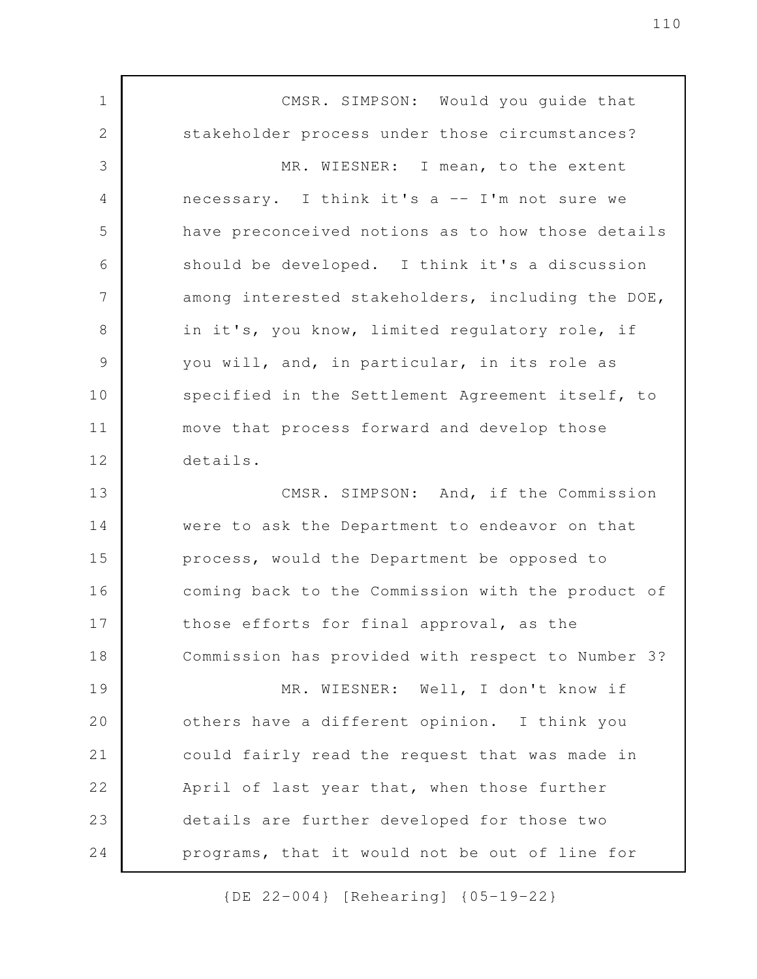CMSR. SIMPSON: Would you guide that stakeholder process under those circumstances? MR. WIESNER: I mean, to the extent necessary. I think it's a -- I'm not sure we have preconceived notions as to how those details should be developed. I think it's a discussion among interested stakeholders, including the DOE, in it's, you know, limited regulatory role, if you will, and, in particular, in its role as specified in the Settlement Agreement itself, to move that process forward and develop those details. CMSR. SIMPSON: And, if the Commission were to ask the Department to endeavor on that process, would the Department be opposed to coming back to the Commission with the product of those efforts for final approval, as the Commission has provided with respect to Number 3? MR. WIESNER: Well, I don't know if others have a different opinion. I think you could fairly read the request that was made in April of last year that, when those further details are further developed for those two programs, that it would not be out of line for 1 2 3 4 5 6 7 8 9 10 11 12 13 14 15 16 17 18 19 20 21 22 23 24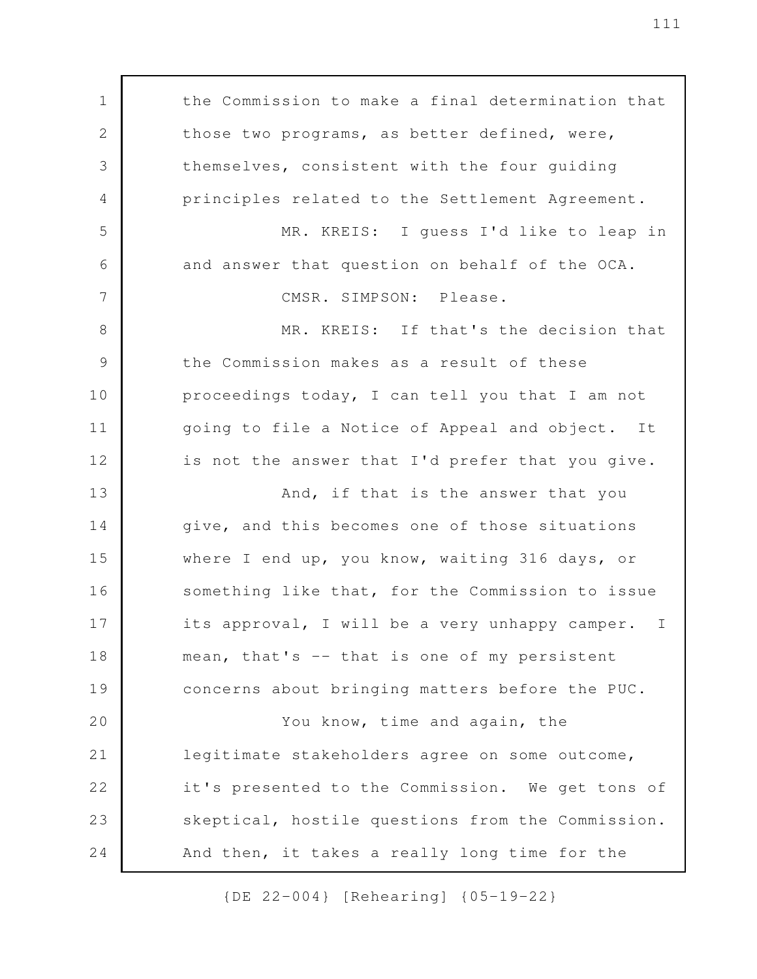the Commission to make a final determination that those two programs, as better defined, were, themselves, consistent with the four guiding principles related to the Settlement Agreement. MR. KREIS: I guess I'd like to leap in and answer that question on behalf of the OCA. CMSR. SIMPSON: Please. MR. KREIS: If that's the decision that the Commission makes as a result of these proceedings today, I can tell you that I am not going to file a Notice of Appeal and object. It is not the answer that I'd prefer that you give. And, if that is the answer that you give, and this becomes one of those situations where I end up, you know, waiting 316 days, or something like that, for the Commission to issue its approval, I will be a very unhappy camper. I mean, that's -- that is one of my persistent concerns about bringing matters before the PUC. You know, time and again, the legitimate stakeholders agree on some outcome, it's presented to the Commission. We get tons of skeptical, hostile questions from the Commission. And then, it takes a really long time for the 1 2 3 4 5 6 7 8 9 10 11 12 13 14 15 16 17 18 19 20 21 22 23 24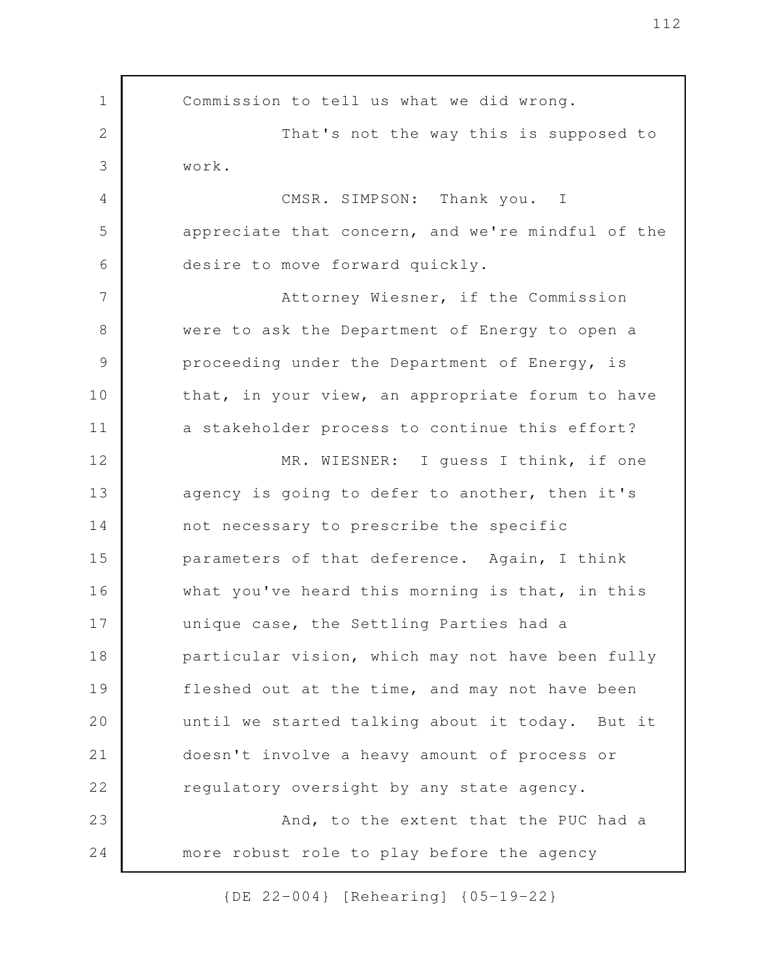Commission to tell us what we did wrong. That's not the way this is supposed to work. CMSR. SIMPSON: Thank you. I appreciate that concern, and we're mindful of the desire to move forward quickly. Attorney Wiesner, if the Commission were to ask the Department of Energy to open a proceeding under the Department of Energy, is that, in your view, an appropriate forum to have a stakeholder process to continue this effort? MR. WIESNER: I guess I think, if one agency is going to defer to another, then it's not necessary to prescribe the specific parameters of that deference. Again, I think what you've heard this morning is that, in this unique case, the Settling Parties had a particular vision, which may not have been fully fleshed out at the time, and may not have been until we started talking about it today. But it doesn't involve a heavy amount of process or regulatory oversight by any state agency. And, to the extent that the PUC had a more robust role to play before the agency 1 2 3 4 5 6 7 8 9 10 11 12 13 14 15 16 17 18 19 20 21 22 23 24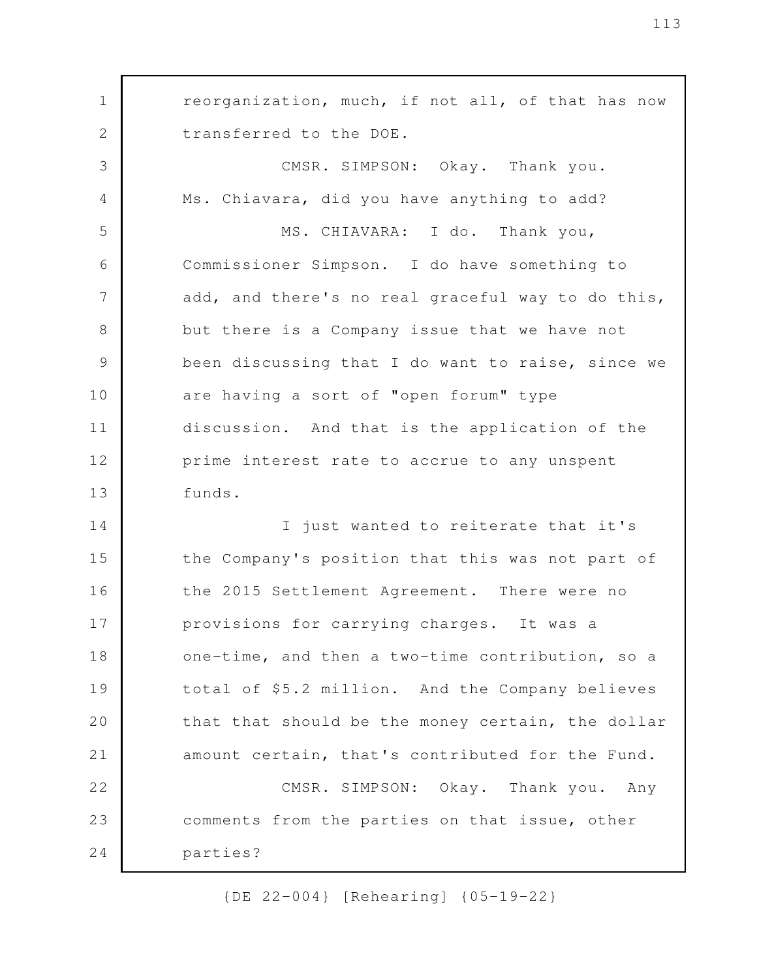reorganization, much, if not all, of that has now transferred to the DOE. CMSR. SIMPSON: Okay. Thank you. Ms. Chiavara, did you have anything to add? MS. CHIAVARA: I do. Thank you, Commissioner Simpson. I do have something to add, and there's no real graceful way to do this, but there is a Company issue that we have not been discussing that I do want to raise, since we are having a sort of "open forum" type discussion. And that is the application of the prime interest rate to accrue to any unspent funds. I just wanted to reiterate that it's the Company's position that this was not part of the 2015 Settlement Agreement. There were no provisions for carrying charges. It was a one-time, and then a two-time contribution, so a total of \$5.2 million. And the Company believes that that should be the money certain, the dollar amount certain, that's contributed for the Fund. CMSR. SIMPSON: Okay. Thank you. Any comments from the parties on that issue, other parties? 1 2 3 4 5 6 7 8 9 10 11 12 13 14 15 16 17 18 19 20 21 22 23 24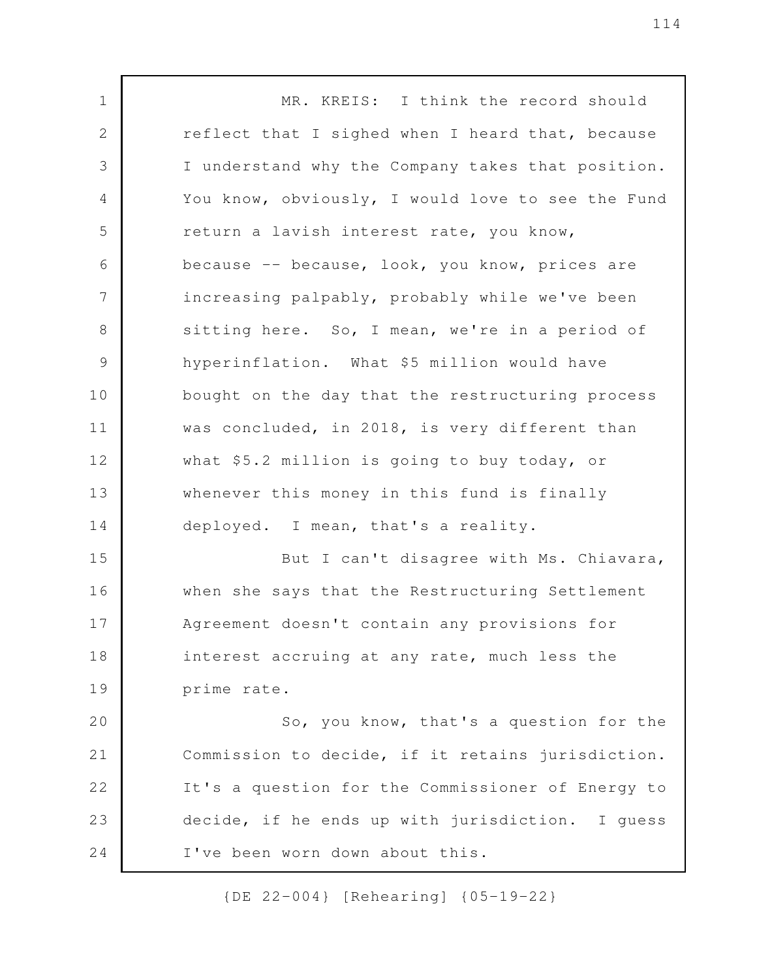MR. KREIS: I think the record should reflect that I sighed when I heard that, because I understand why the Company takes that position. You know, obviously, I would love to see the Fund return a lavish interest rate, you know, because -- because, look, you know, prices are increasing palpably, probably while we've been sitting here. So, I mean, we're in a period of hyperinflation. What \$5 million would have bought on the day that the restructuring process was concluded, in 2018, is very different than what \$5.2 million is going to buy today, or whenever this money in this fund is finally deployed. I mean, that's a reality. But I can't disagree with Ms. Chiavara, when she says that the Restructuring Settlement Agreement doesn't contain any provisions for interest accruing at any rate, much less the prime rate. So, you know, that's a question for the Commission to decide, if it retains jurisdiction. It's a question for the Commissioner of Energy to decide, if he ends up with jurisdiction. I guess I've been worn down about this. 1 2 3 4 5 6 7 8 9 10 11 12 13 14 15 16 17 18 19 20 21 22 23 24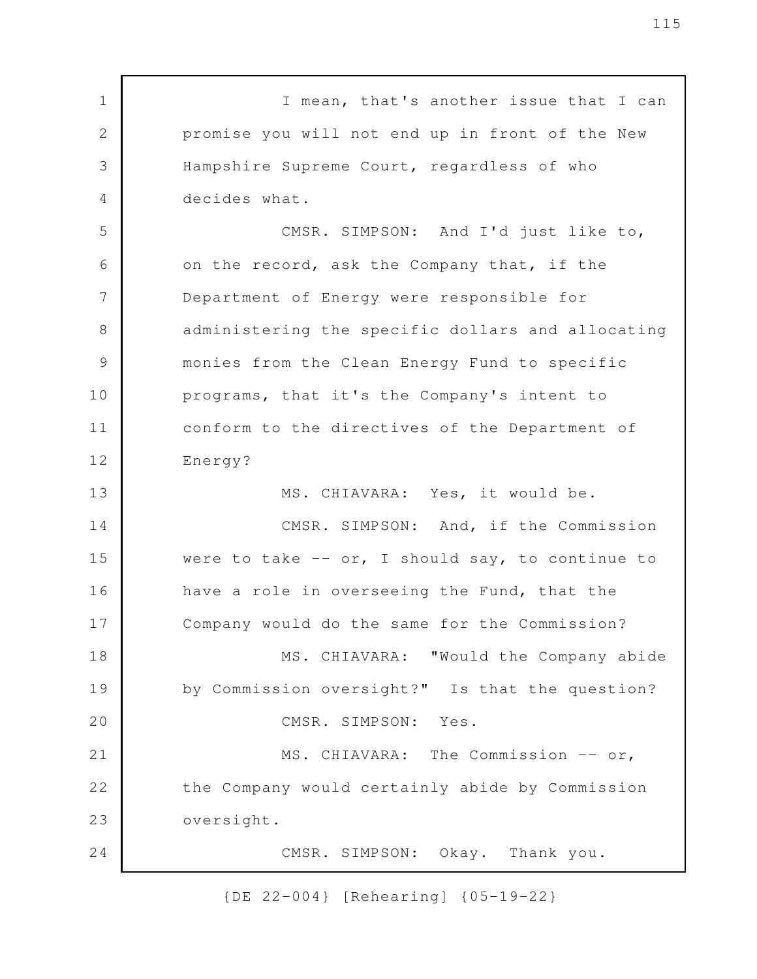I mean, that's another issue that I can promise you will not end up in front of the New Hampshire Supreme Court, regardless of who decides what. CMSR. SIMPSON: And I'd just like to, on the record, ask the Company that, if the Department of Energy were responsible for administering the specific dollars and allocating monies from the Clean Energy Fund to specific programs, that it's the Company's intent to conform to the directives of the Department of Energy? MS. CHIAVARA: Yes, it would be. CMSR. SIMPSON: And, if the Commission were to take  $--$  or, I should say, to continue to have a role in overseeing the Fund, that the Company would do the same for the Commission? MS. CHIAVARA: "Would the Company abide by Commission oversight?" Is that the question? CMSR. SIMPSON: Yes. MS. CHIAVARA: The Commission -- or, the Company would certainly abide by Commission oversight. CMSR. SIMPSON: Okay. Thank you. 1 2 3 4 5 6 7 8 9 10 11 12 13 14 15 16 17 18 19 20 21 22 23 24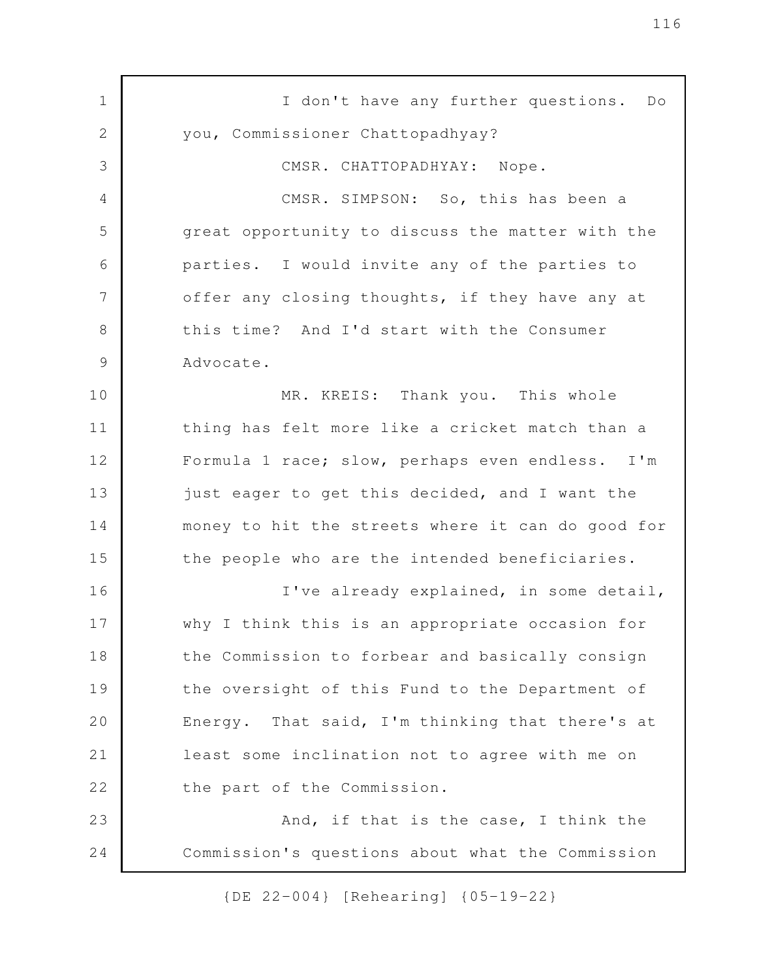I don't have any further questions. Do you, Commissioner Chattopadhyay? CMSR. CHATTOPADHYAY: Nope. CMSR. SIMPSON: So, this has been a great opportunity to discuss the matter with the parties. I would invite any of the parties to offer any closing thoughts, if they have any at this time? And I'd start with the Consumer Advocate. MR. KREIS: Thank you. This whole thing has felt more like a cricket match than a Formula 1 race; slow, perhaps even endless. I'm just eager to get this decided, and I want the money to hit the streets where it can do good for the people who are the intended beneficiaries. I've already explained, in some detail, why I think this is an appropriate occasion for the Commission to forbear and basically consign the oversight of this Fund to the Department of Energy. That said, I'm thinking that there's at least some inclination not to agree with me on the part of the Commission. And, if that is the case, I think the Commission's questions about what the Commission 1 2 3 4 5 6 7 8 9 10 11 12 13 14 15 16 17 18 19 20 21 22 23 24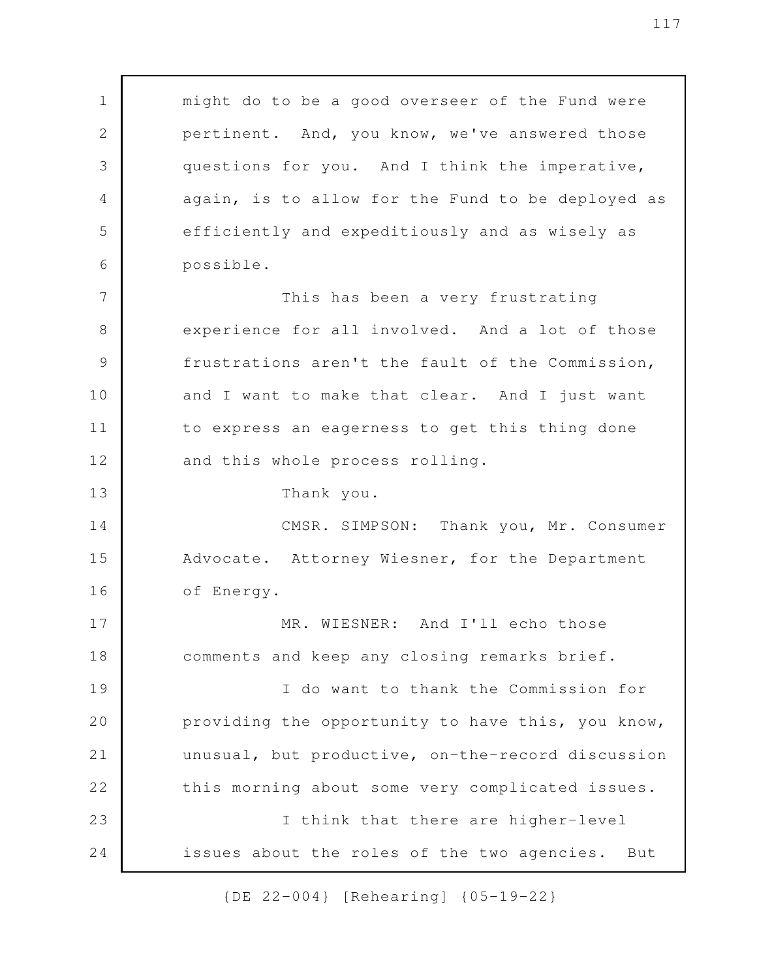| $\mathbf 1$    | might do to be a good overseer of the Fund were    |
|----------------|----------------------------------------------------|
| $\sqrt{2}$     | pertinent. And, you know, we've answered those     |
| 3              | questions for you. And I think the imperative,     |
| 4              | again, is to allow for the Fund to be deployed as  |
| 5              | efficiently and expeditiously and as wisely as     |
| 6              | possible.                                          |
| $\overline{7}$ | This has been a very frustrating                   |
| 8              | experience for all involved. And a lot of those    |
| $\mathcal{G}$  | frustrations aren't the fault of the Commission,   |
| 10             | and I want to make that clear. And I just want     |
| 11             | to express an eagerness to get this thing done     |
| 12             | and this whole process rolling.                    |
| 13             | Thank you.                                         |
| 14             | CMSR. SIMPSON: Thank you, Mr. Consumer             |
| 15             | Advocate. Attorney Wiesner, for the Department     |
| 16             | of Energy.                                         |
| 17             | MR. WIESNER: And I'll echo those                   |
| 18             | comments and keep any closing remarks brief.       |
| 19             | I do want to thank the Commission for              |
| 20             | providing the opportunity to have this, you know,  |
| 21             | unusual, but productive, on-the-record discussion  |
| 22             | this morning about some very complicated issues.   |
| 23             | I think that there are higher-level                |
| 24             | issues about the roles of the two agencies.<br>But |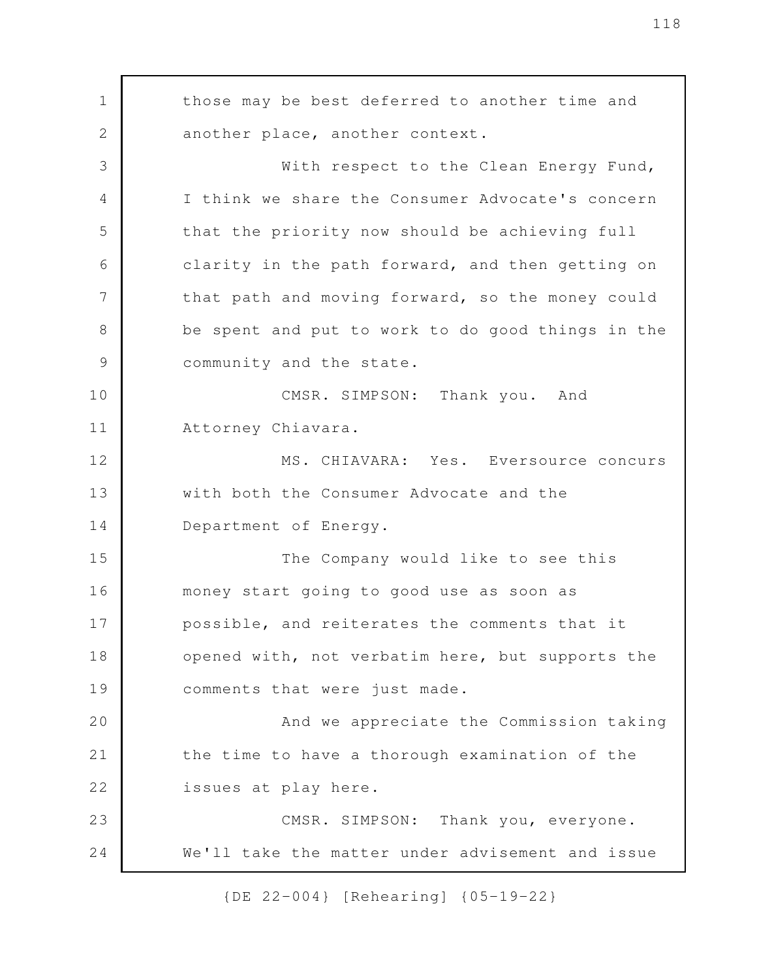those may be best deferred to another time and another place, another context. With respect to the Clean Energy Fund, I think we share the Consumer Advocate's concern that the priority now should be achieving full clarity in the path forward, and then getting on that path and moving forward, so the money could be spent and put to work to do good things in the community and the state. CMSR. SIMPSON: Thank you. And Attorney Chiavara. MS. CHIAVARA: Yes. Eversource concurs with both the Consumer Advocate and the Department of Energy. The Company would like to see this money start going to good use as soon as possible, and reiterates the comments that it opened with, not verbatim here, but supports the comments that were just made. And we appreciate the Commission taking the time to have a thorough examination of the issues at play here. CMSR. SIMPSON: Thank you, everyone. We'll take the matter under advisement and issue 1 2 3 4 5 6 7 8 9 10 11 12 13 14 15 16 17 18 19 20 21 22 23 24